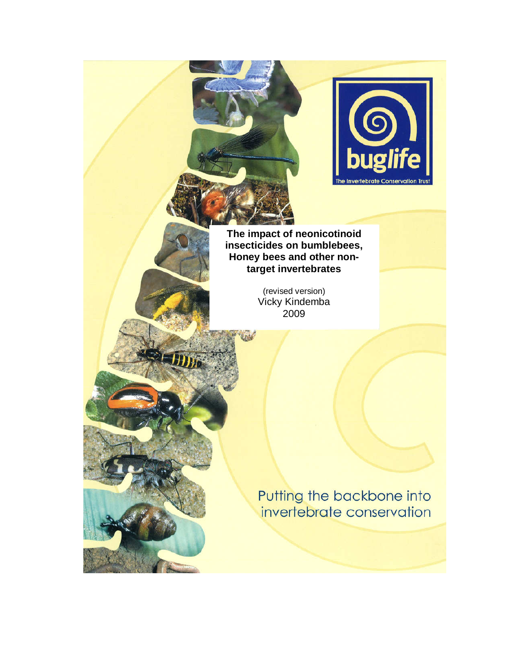

**The impact of neonicotinoid insecticides on bumblebees, Honey bees and other nontarget invertebrates** 

> (revised version) Vicky Kindemba 2009

Putting the backbone into invertebrate conservation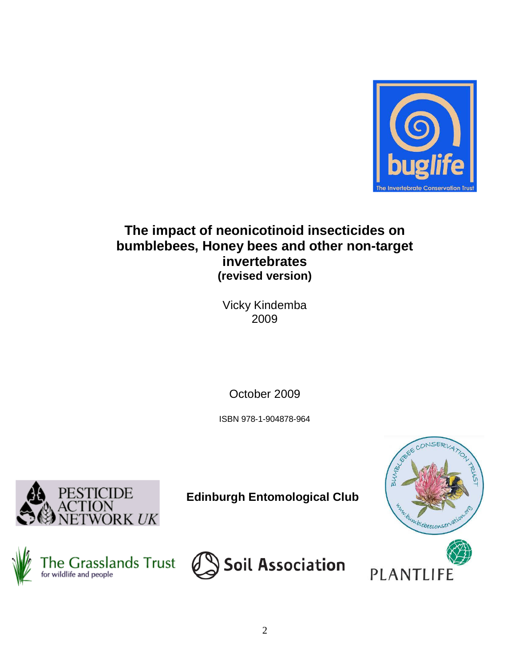

# **The impact of neonicotinoid insecticides on bumblebees, Honey bees and other non-target invertebrates (revised version)**

Vicky Kindemba 2009

October 2009

ISBN 978-1-904878-964



**Edinburgh Entomological Club**





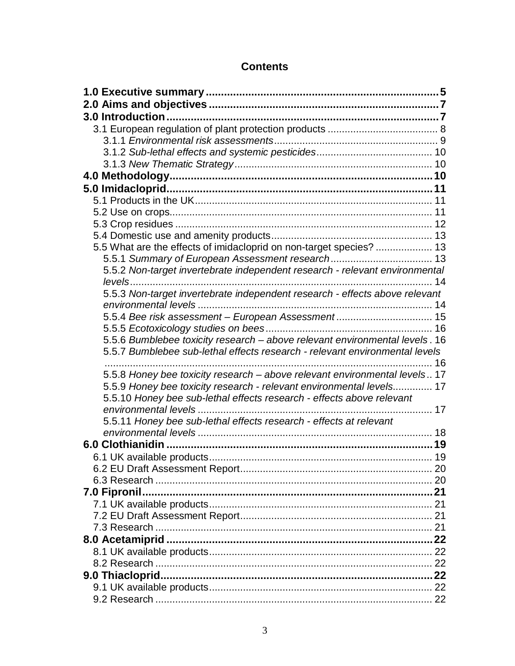# **Contents**

| 5.5 What are the effects of imidacloprid on non-target species?  13         |    |
|-----------------------------------------------------------------------------|----|
|                                                                             |    |
| 5.5.2 Non-target invertebrate independent research - relevant environmental |    |
|                                                                             |    |
| 5.5.3 Non-target invertebrate independent research - effects above relevant |    |
|                                                                             |    |
| 5.5.4 Bee risk assessment - European Assessment 15                          |    |
|                                                                             |    |
| 5.5.6 Bumblebee toxicity research - above relevant environmental levels. 16 |    |
| 5.5.7 Bumblebee sub-lethal effects research - relevant environmental levels |    |
|                                                                             | 16 |
| 5.5.8 Honey bee toxicity research - above relevant environmental levels 17  |    |
| 5.5.9 Honey bee toxicity research - relevant environmental levels 17        |    |
| 5.5.10 Honey bee sub-lethal effects research - effects above relevant       |    |
|                                                                             |    |
| 5.5.11 Honey bee sub-lethal effects research - effects at relevant          |    |
|                                                                             |    |
|                                                                             |    |
|                                                                             |    |
|                                                                             |    |
|                                                                             |    |
| 7.0 Fipronil.                                                               |    |
|                                                                             |    |
|                                                                             |    |
|                                                                             |    |
|                                                                             |    |
|                                                                             |    |
|                                                                             |    |
|                                                                             |    |
|                                                                             |    |
|                                                                             |    |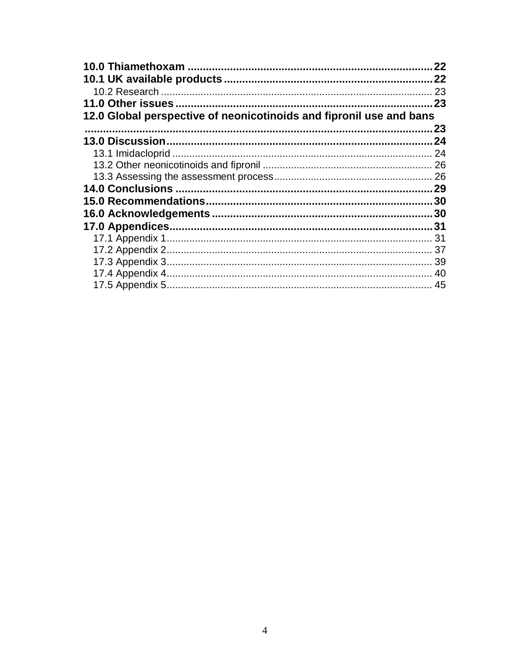|                                                                     | 22 |
|---------------------------------------------------------------------|----|
|                                                                     | 22 |
|                                                                     | 23 |
|                                                                     | 23 |
| 12.0 Global perspective of neonicotinoids and fipronil use and bans |    |
|                                                                     | 23 |
| <b>13.0 Discussion</b>                                              | 24 |
|                                                                     | 24 |
|                                                                     |    |
|                                                                     |    |
|                                                                     | 29 |
|                                                                     |    |
|                                                                     |    |
|                                                                     |    |
|                                                                     |    |
|                                                                     | 37 |
|                                                                     | 39 |
|                                                                     | 40 |
|                                                                     |    |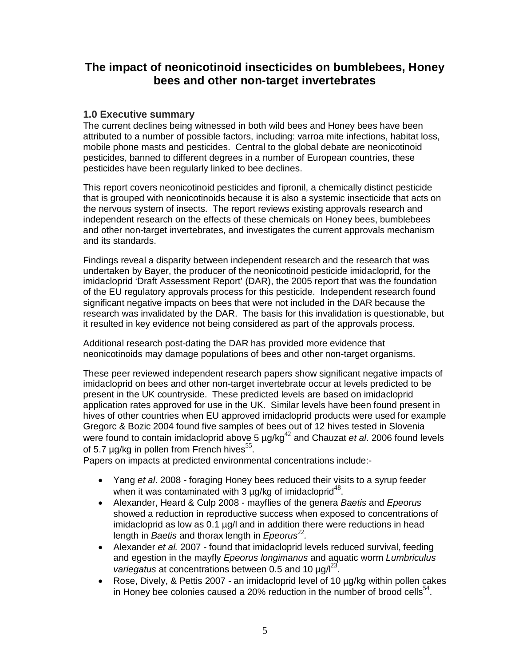# **The impact of neonicotinoid insecticides on bumblebees, Honey bees and other non-target invertebrates**

### **1.0 Executive summary**

The current declines being witnessed in both wild bees and Honey bees have been attributed to a number of possible factors, including: varroa mite infections, habitat loss, mobile phone masts and pesticides. Central to the global debate are neonicotinoid pesticides, banned to different degrees in a number of European countries, these pesticides have been regularly linked to bee declines.

This report covers neonicotinoid pesticides and fipronil, a chemically distinct pesticide that is grouped with neonicotinoids because it is also a systemic insecticide that acts on the nervous system of insects. The report reviews existing approvals research and independent research on the effects of these chemicals on Honey bees, bumblebees and other non-target invertebrates, and investigates the current approvals mechanism and its standards.

Findings reveal a disparity between independent research and the research that was undertaken by Bayer, the producer of the neonicotinoid pesticide imidacloprid, for the imidacloprid 'Draft Assessment Report' (DAR), the 2005 report that was the foundation of the EU regulatory approvals process for this pesticide. Independent research found significant negative impacts on bees that were not included in the DAR because the research was invalidated by the DAR. The basis for this invalidation is questionable, but it resulted in key evidence not being considered as part of the approvals process.

Additional research post-dating the DAR has provided more evidence that neonicotinoids may damage populations of bees and other non-target organisms.

These peer reviewed independent research papers show significant negative impacts of imidacloprid on bees and other non-target invertebrate occur at levels predicted to be present in the UK countryside. These predicted levels are based on imidacloprid application rates approved for use in the UK. Similar levels have been found present in hives of other countries when EU approved imidacloprid products were used for example Gregorc & Bozic 2004 found five samples of bees out of 12 hives tested in Slovenia were found to contain imidacloprid above 5  $\mu$ g/kg<sup>42</sup> and Chauzat et al. 2006 found levels of 5.7  $\mu$ g/kg in pollen from French hives<sup>55</sup>.

Papers on impacts at predicted environmental concentrations include:-

- Yang et al. 2008 foraging Honey bees reduced their visits to a syrup feeder when it was contaminated with 3  $\mu$ g/kg of imidacloprid<sup>48</sup>.
- Alexander, Heard & Culp 2008 mayflies of the genera Baetis and Epeorus showed a reduction in reproductive success when exposed to concentrations of imidacloprid as low as 0.1 µg/l and in addition there were reductions in head length in Baetis and thorax length in  $E$ *peorus*<sup>22</sup>.
- Alexander et al. 2007 found that imidacloprid levels reduced survival, feeding and egestion in the mayfly Epeorus longimanus and aquatic worm Lumbriculus variegatus at concentrations between 0.5 and 10  $\mu$ g/ $l^{23}$ .
- Rose, Dively, & Pettis 2007 an imidacloprid level of 10 µg/kg within pollen cakes in Honey bee colonies caused a 20% reduction in the number of brood cells<sup>54</sup>.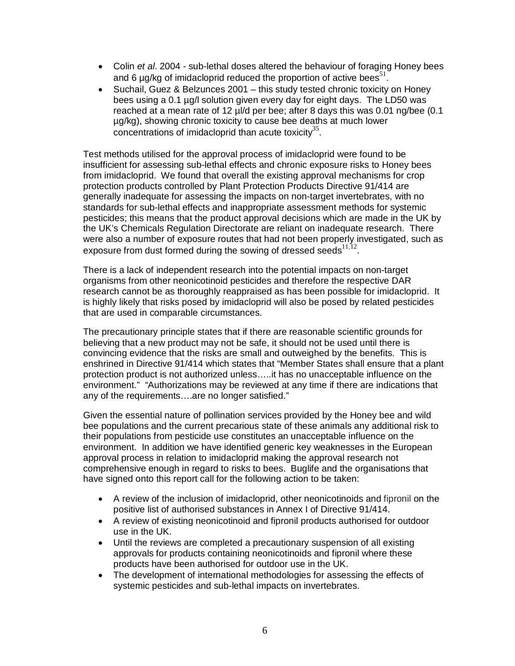- Colin et al. 2004 sub-lethal doses altered the behaviour of foraging Honey bees and 6  $\mu$ g/kg of imidacloprid reduced the proportion of active bees<sup>51</sup>.
- Suchail, Guez & Belzunces 2001 this study tested chronic toxicity on Honey bees using a 0.1 µg/l solution given every day for eight days. The LD50 was reached at a mean rate of 12 µl/d per bee; after 8 days this was 0.01 ng/bee (0.1 µg/kg), showing chronic toxicity to cause bee deaths at much lower  $\frac{1}{2}$  concentrations of imidacloprid than acute toxicity<sup>35</sup>.

Test methods utilised for the approval process of imidacloprid were found to be insufficient for assessing sub-lethal effects and chronic exposure risks to Honey bees from imidacloprid. We found that overall the existing approval mechanisms for crop protection products controlled by Plant Protection Products Directive 91/414 are generally inadequate for assessing the impacts on non-target invertebrates, with no standards for sub-lethal effects and inappropriate assessment methods for systemic pesticides; this means that the product approval decisions which are made in the UK by the UK's Chemicals Regulation Directorate are reliant on inadequate research. There were also a number of exposure routes that had not been properly investigated, such as exposure from dust formed during the sowing of dressed seeds $^{11,12}$ .

There is a lack of independent research into the potential impacts on non-target organisms from other neonicotinoid pesticides and therefore the respective DAR research cannot be as thoroughly reappraised as has been possible for imidacloprid. It is highly likely that risks posed by imidacloprid will also be posed by related pesticides that are used in comparable circumstances.

The precautionary principle states that if there are reasonable scientific grounds for believing that a new product may not be safe, it should not be used until there is convincing evidence that the risks are small and outweighed by the benefits. This is enshrined in Directive 91/414 which states that "Member States shall ensure that a plant protection product is not authorized unless…..it has no unacceptable influence on the environment." "Authorizations may be reviewed at any time if there are indications that any of the requirements….are no longer satisfied."

Given the essential nature of pollination services provided by the Honey bee and wild bee populations and the current precarious state of these animals any additional risk to their populations from pesticide use constitutes an unacceptable influence on the environment. In addition we have identified generic key weaknesses in the European approval process in relation to imidacloprid making the approval research not comprehensive enough in regard to risks to bees. Buglife and the organisations that have signed onto this report call for the following action to be taken:

- A review of the inclusion of imidacloprid, other neonicotinoids and fipronil on the positive list of authorised substances in Annex I of Directive 91/414.
- A review of existing neonicotinoid and fipronil products authorised for outdoor use in the UK.
- Until the reviews are completed a precautionary suspension of all existing approvals for products containing neonicotinoids and fipronil where these products have been authorised for outdoor use in the UK.
- The development of international methodologies for assessing the effects of systemic pesticides and sub-lethal impacts on invertebrates.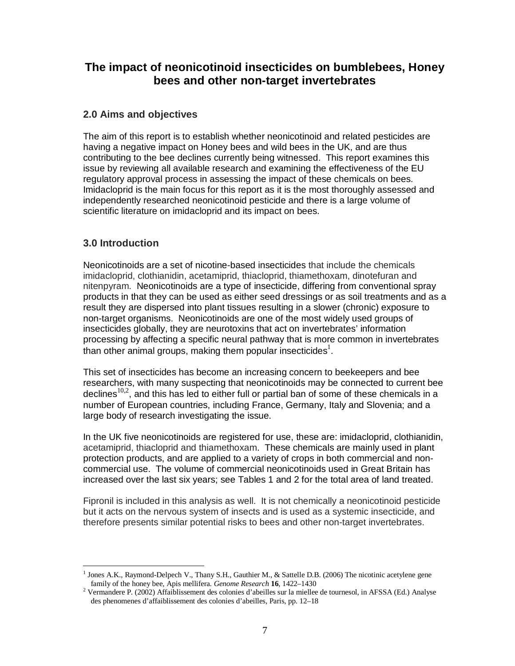# **The impact of neonicotinoid insecticides on bumblebees, Honey bees and other non-target invertebrates**

## **2.0 Aims and objectives**

The aim of this report is to establish whether neonicotinoid and related pesticides are having a negative impact on Honey bees and wild bees in the UK, and are thus contributing to the bee declines currently being witnessed. This report examines this issue by reviewing all available research and examining the effectiveness of the EU regulatory approval process in assessing the impact of these chemicals on bees. Imidacloprid is the main focus for this report as it is the most thoroughly assessed and independently researched neonicotinoid pesticide and there is a large volume of scientific literature on imidacloprid and its impact on bees.

# **3.0 Introduction**

<u>.</u>

Neonicotinoids are a set of nicotine-based insecticides that include the chemicals imidacloprid, clothianidin, acetamiprid, thiacloprid, thiamethoxam, dinotefuran and nitenpyram. Neonicotinoids are a type of insecticide, differing from conventional spray products in that they can be used as either seed dressings or as soil treatments and as a result they are dispersed into plant tissues resulting in a slower (chronic) exposure to non-target organisms. Neonicotinoids are one of the most widely used groups of insecticides globally, they are neurotoxins that act on invertebrates' information processing by affecting a specific neural pathway that is more common in invertebrates than other animal groups, making them popular insecticides<sup>1</sup>.

This set of insecticides has become an increasing concern to beekeepers and bee researchers, with many suspecting that neonicotinoids may be connected to current bee declines<sup>10,2</sup>, and this has led to either full or partial ban of some of these chemicals in a number of European countries, including France, Germany, Italy and Slovenia; and a large body of research investigating the issue.

In the UK five neonicotinoids are registered for use, these are: imidacloprid, clothianidin, acetamiprid, thiacloprid and thiamethoxam. These chemicals are mainly used in plant protection products, and are applied to a variety of crops in both commercial and noncommercial use. The volume of commercial neonicotinoids used in Great Britain has increased over the last six years; see Tables 1 and 2 for the total area of land treated.

Fipronil is included in this analysis as well. It is not chemically a neonicotinoid pesticide but it acts on the nervous system of insects and is used as a systemic insecticide, and therefore presents similar potential risks to bees and other non-target invertebrates.

<sup>1</sup> Jones A.K., Raymond-Delpech V., Thany S.H., Gauthier M., & Sattelle D.B. (2006) The nicotinic acetylene gene family of the honey bee, Apis mellifera*. Genome Research* **16**, 1422–1430

<sup>&</sup>lt;sup>2</sup> Vermandere P. (2002) Affaiblissement des colonies d'abeilles sur la miellee de tournesol, in AFSSA (Ed.) Analyse des phenomenes d'affaiblissement des colonies d'abeilles, Paris, pp. 12–18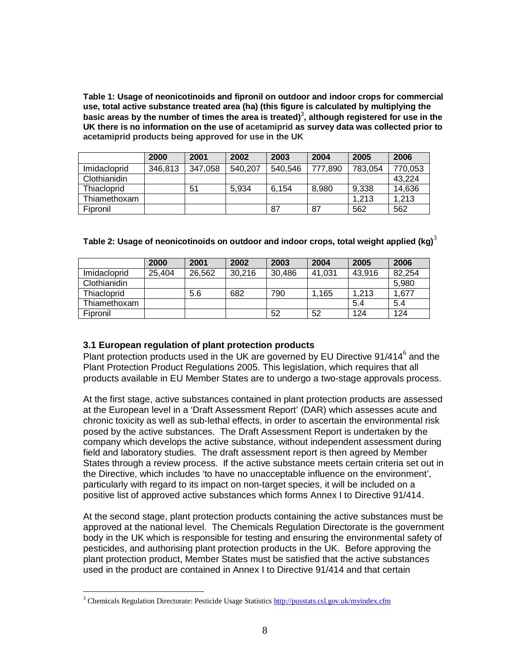**Table 1: Usage of neonicotinoids and fipronil on outdoor and indoor crops for commercial use, total active substance treated area (ha) (this figure is calculated by multiplying the**  basic areas by the number of times the area is treated)<sup>3</sup>, although registered for use in the **UK there is no information on the use of acetamiprid as survey data was collected prior to acetamiprid products being approved for use in the UK**

|              | 2000    | 2001    | 2002    | 2003    | 2004    | 2005    | 2006    |
|--------------|---------|---------|---------|---------|---------|---------|---------|
| Imidacloprid | 346,813 | 347,058 | 540,207 | 540,546 | 777,890 | 783,054 | 770,053 |
| Clothianidin |         |         |         |         |         |         | 43,224  |
| Thiacloprid  |         | 51      | 5.934   | 6.154   | 8,980   | 9,338   | 14,636  |
| Thiamethoxam |         |         |         |         |         | 1.213   | 1,213   |
| Fipronil     |         |         |         | -87     | 87      | 562     | 562     |

| Table 2: Usage of neonicotinoids on outdoor and indoor crops, total weight applied (kg) $^{\circ}$ |  |
|----------------------------------------------------------------------------------------------------|--|
|                                                                                                    |  |

|              | 2000   | 2001   | 2002   | 2003   | 2004   | 2005   | 2006   |
|--------------|--------|--------|--------|--------|--------|--------|--------|
| Imidacloprid | 25,404 | 26,562 | 30,216 | 30,486 | 41,031 | 43,916 | 82,254 |
| Clothianidin |        |        |        |        |        |        | 5,980  |
| Thiacloprid  |        | 5.6    | 682    | 790    | .165   | 1,213  | 1,677  |
| Thiamethoxam |        |        |        |        |        | 5.4    | 5.4    |
| Fipronil     |        |        |        | 52     | 52     | 124    | 124    |

### **3.1 European regulation of plant protection products**

Plant protection products used in the UK are governed by EU Directive 91/414<sup>6</sup> and the Plant Protection Product Regulations 2005. This legislation, which requires that all products available in EU Member States are to undergo a two-stage approvals process.

At the first stage, active substances contained in plant protection products are assessed at the European level in a 'Draft Assessment Report' (DAR) which assesses acute and chronic toxicity as well as sub-lethal effects, in order to ascertain the environmental risk posed by the active substances. The Draft Assessment Report is undertaken by the company which develops the active substance, without independent assessment during field and laboratory studies. The draft assessment report is then agreed by Member States through a review process. If the active substance meets certain criteria set out in the Directive, which includes 'to have no unacceptable influence on the environment', particularly with regard to its impact on non-target species, it will be included on a positive list of approved active substances which forms Annex I to Directive 91/414.

At the second stage, plant protection products containing the active substances must be approved at the national level. The Chemicals Regulation Directorate is the government body in the UK which is responsible for testing and ensuring the environmental safety of pesticides, and authorising plant protection products in the UK. Before approving the plant protection product, Member States must be satisfied that the active substances used in the product are contained in Annex I to Directive 91/414 and that certain

-

<sup>&</sup>lt;sup>3</sup> Chemicals Regulation Directorate: Pesticide Usage Statistics http://pusstats.csl.gov.uk/myindex.cfm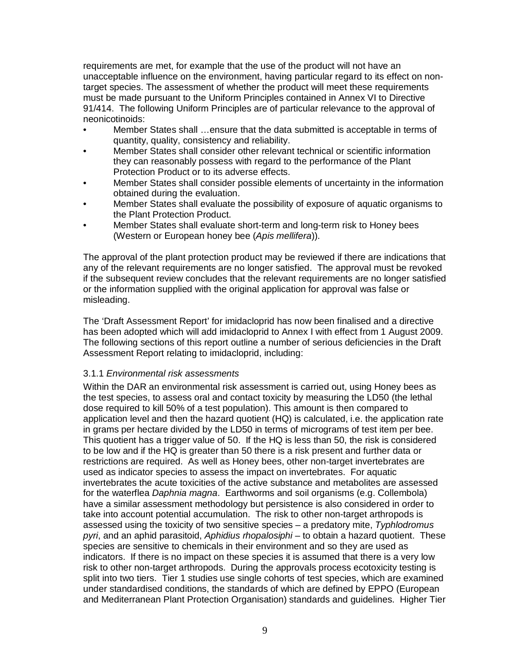requirements are met, for example that the use of the product will not have an unacceptable influence on the environment, having particular regard to its effect on nontarget species. The assessment of whether the product will meet these requirements must be made pursuant to the Uniform Principles contained in Annex VI to Directive 91/414. The following Uniform Principles are of particular relevance to the approval of neonicotinoids:

- Member States shall …ensure that the data submitted is acceptable in terms of quantity, quality, consistency and reliability.
- Member States shall consider other relevant technical or scientific information they can reasonably possess with regard to the performance of the Plant Protection Product or to its adverse effects.
- Member States shall consider possible elements of uncertainty in the information obtained during the evaluation.
- Member States shall evaluate the possibility of exposure of aquatic organisms to the Plant Protection Product.
- Member States shall evaluate short-term and long-term risk to Honey bees (Western or European honey bee (Apis mellifera)).

The approval of the plant protection product may be reviewed if there are indications that any of the relevant requirements are no longer satisfied. The approval must be revoked if the subsequent review concludes that the relevant requirements are no longer satisfied or the information supplied with the original application for approval was false or misleading.

The 'Draft Assessment Report' for imidacloprid has now been finalised and a directive has been adopted which will add imidacloprid to Annex I with effect from 1 August 2009. The following sections of this report outline a number of serious deficiencies in the Draft Assessment Report relating to imidacloprid, including:

### 3.1.1 Environmental risk assessments

Within the DAR an environmental risk assessment is carried out, using Honey bees as the test species, to assess oral and contact toxicity by measuring the LD50 (the lethal dose required to kill 50% of a test population). This amount is then compared to application level and then the hazard quotient (HQ) is calculated, i.e. the application rate in grams per hectare divided by the LD50 in terms of micrograms of test item per bee. This quotient has a trigger value of 50. If the HQ is less than 50, the risk is considered to be low and if the HQ is greater than 50 there is a risk present and further data or restrictions are required. As well as Honey bees, other non-target invertebrates are used as indicator species to assess the impact on invertebrates. For aquatic invertebrates the acute toxicities of the active substance and metabolites are assessed for the waterflea Daphnia magna. Earthworms and soil organisms (e.g. Collembola) have a similar assessment methodology but persistence is also considered in order to take into account potential accumulation. The risk to other non-target arthropods is assessed using the toxicity of two sensitive species – a predatory mite, Typhlodromus pyri, and an aphid parasitoid, Aphidius rhopalosiphi $-$  to obtain a hazard quotient. These species are sensitive to chemicals in their environment and so they are used as indicators. If there is no impact on these species it is assumed that there is a very low risk to other non-target arthropods. During the approvals process ecotoxicity testing is split into two tiers. Tier 1 studies use single cohorts of test species, which are examined under standardised conditions, the standards of which are defined by EPPO (European and Mediterranean Plant Protection Organisation) standards and guidelines. Higher Tier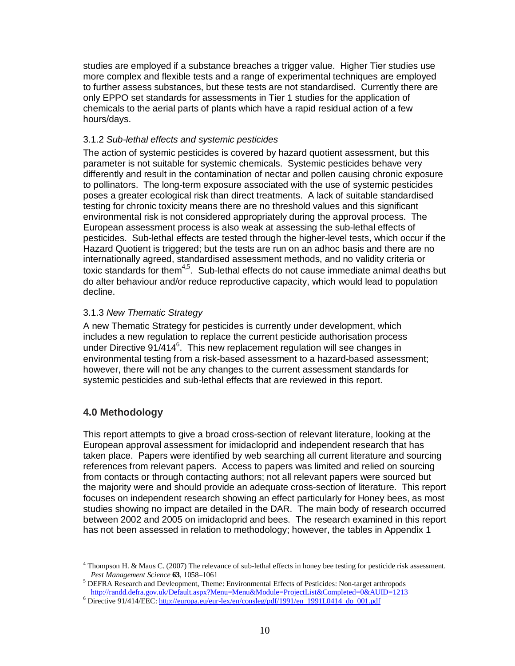studies are employed if a substance breaches a trigger value. Higher Tier studies use more complex and flexible tests and a range of experimental techniques are employed to further assess substances, but these tests are not standardised. Currently there are only EPPO set standards for assessments in Tier 1 studies for the application of chemicals to the aerial parts of plants which have a rapid residual action of a few hours/days.

### 3.1.2 Sub-lethal effects and systemic pesticides

The action of systemic pesticides is covered by hazard quotient assessment, but this parameter is not suitable for systemic chemicals. Systemic pesticides behave very differently and result in the contamination of nectar and pollen causing chronic exposure to pollinators. The long-term exposure associated with the use of systemic pesticides poses a greater ecological risk than direct treatments. A lack of suitable standardised testing for chronic toxicity means there are no threshold values and this significant environmental risk is not considered appropriately during the approval process. The European assessment process is also weak at assessing the sub-lethal effects of pesticides. Sub-lethal effects are tested through the higher-level tests, which occur if the Hazard Quotient is triggered; but the tests are run on an adhoc basis and there are no internationally agreed, standardised assessment methods, and no validity criteria or toxic standards for them<sup>4,5</sup>. Sub-lethal effects do not cause immediate animal deaths but do alter behaviour and/or reduce reproductive capacity, which would lead to population decline.

### 3.1.3 New Thematic Strategy

A new Thematic Strategy for pesticides is currently under development, which includes a new regulation to replace the current pesticide authorisation process under Directive  $91/414^6$ . This new replacement regulation will see changes in environmental testing from a risk-based assessment to a hazard-based assessment; however, there will not be any changes to the current assessment standards for systemic pesticides and sub-lethal effects that are reviewed in this report.

# **4.0 Methodology**

This report attempts to give a broad cross-section of relevant literature, looking at the European approval assessment for imidacloprid and independent research that has taken place. Papers were identified by web searching all current literature and sourcing references from relevant papers. Access to papers was limited and relied on sourcing from contacts or through contacting authors; not all relevant papers were sourced but the majority were and should provide an adequate cross-section of literature. This report focuses on independent research showing an effect particularly for Honey bees, as most studies showing no impact are detailed in the DAR. The main body of research occurred between 2002 and 2005 on imidacloprid and bees. The research examined in this report has not been assessed in relation to methodology; however, the tables in Appendix 1

<sup>-</sup>4 Thompson H. & Maus C. (2007) The relevance of sub-lethal effects in honey bee testing for pesticide risk assessment. *Pest Management Science* **63**, 1058–1061

<sup>&</sup>lt;sup>5</sup> DEFRA Research and Devleopment, Theme: Environmental Effects of Pesticides: Non-target arthropods http://randd.defra.gov.uk/Default.aspx?Menu=Menu&Module=ProjectList&Completed=0&AUID=1213

<sup>&</sup>lt;sup>6</sup> Directive 91/414/EEC: http://europa.eu/eur-lex/en/consleg/pdf/1991/en\_1991L0414\_do\_001.pdf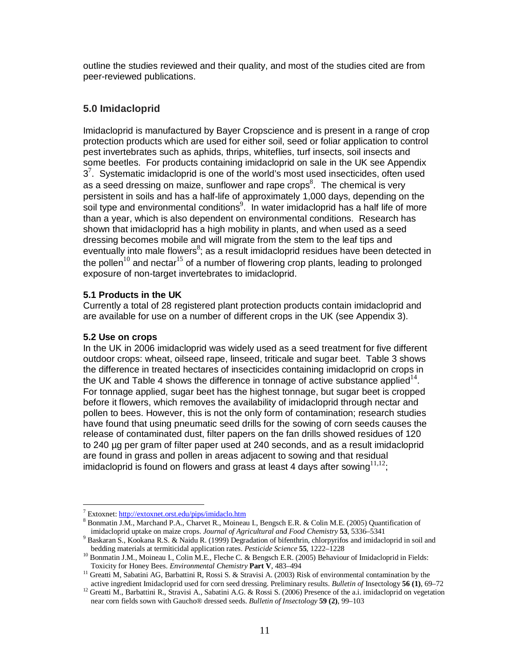outline the studies reviewed and their quality, and most of the studies cited are from peer-reviewed publications.

# **5.0 Imidacloprid**

Imidacloprid is manufactured by Bayer Cropscience and is present in a range of crop protection products which are used for either soil, seed or foliar application to control pest invertebrates such as aphids, thrips, whiteflies, turf insects, soil insects and some beetles. For products containing imidacloprid on sale in the UK see Appendix  $3<sup>7</sup>$ . Systematic imidacloprid is one of the world's most used insecticides, often used as a seed dressing on maize, sunflower and rape crops<sup>8</sup>. The chemical is very persistent in soils and has a half-life of approximately 1,000 days, depending on the soil type and environmental conditions<sup>9</sup>. In water imidacloprid has a half life of more than a year, which is also dependent on environmental conditions. Research has shown that imidacloprid has a high mobility in plants, and when used as a seed dressing becomes mobile and will migrate from the stem to the leaf tips and eventually into male flowers $<sup>8</sup>$ ; as a result imidacloprid residues have been detected in</sup> the pollen $10$  and nectar<sup>15</sup> of a number of flowering crop plants, leading to prolonged exposure of non-target invertebrates to imidacloprid.

### **5.1 Products in the UK**

Currently a total of 28 registered plant protection products contain imidacloprid and are available for use on a number of different crops in the UK (see Appendix 3).

### **5.2 Use on crops**

In the UK in 2006 imidacloprid was widely used as a seed treatment for five different outdoor crops: wheat, oilseed rape, linseed, triticale and sugar beet. Table 3 shows the difference in treated hectares of insecticides containing imidacloprid on crops in the UK and Table 4 shows the difference in tonnage of active substance applied $14$ . For tonnage applied, sugar beet has the highest tonnage, but sugar beet is cropped before it flowers, which removes the availability of imidacloprid through nectar and pollen to bees. However, this is not the only form of contamination; research studies have found that using pneumatic seed drills for the sowing of corn seeds causes the release of contaminated dust, filter papers on the fan drills showed residues of 120 to 240 µg per gram of filter paper used at 240 seconds, and as a result imidacloprid are found in grass and pollen in areas adjacent to sowing and that residual imidacloprid is found on flowers and grass at least 4 days after sowing  $11,12$ ;

<sup>&</sup>lt;u>.</u> <sup>7</sup> Extoxnet: http://extoxnet.orst.edu/pips/imidaclo.htm

<sup>&</sup>lt;sup>8</sup> Bonmatin J.M., Marchand P.A., Charvet R., Moineau I., Bengsch E.R. & Colin M.E. (2005) Quantification of imidacloprid uptake on maize crops. *Journal of Agricultural and Food Chemistry* **53**, 5336–5341

<sup>&</sup>lt;sup>9</sup> Baskaran S., Kookana R.S. & Naidu R. (1999) Degradation of bifenthrin, chlorpyrifos and imidacloprid in soil and bedding materials at termiticidal application rates. *Pesticide Science* **55**, 1222–1228

<sup>&</sup>lt;sup>10</sup> Bonmatin J.M., Moineau I., Colin M.E., Fleche C. & Bengsch E.R. (2005) Behaviour of Imidacloprid in Fields: Toxicity for Honey Bees. *Environmental Chemistry* **Part V**, 483–494

<sup>&</sup>lt;sup>11</sup> Greatti M, Sabatini AG, Barbattini R, Rossi S. & Stravisi A. (2003) Risk of environmental contamination by the active ingredient Imidacloprid used for corn seed dressing. Preliminary results. *Bulletin of* Insectology **56 (1)**, 69–72

<sup>&</sup>lt;sup>12</sup> Greatti M., Barbattini R., Stravisi A., Sabatini A.G. & Rossi S. (2006) Presence of the a.i. imidacloprid on vegetation near corn fields sown with Gaucho® dressed seeds. *Bulletin of Insectology* **59 (2)**, 99–103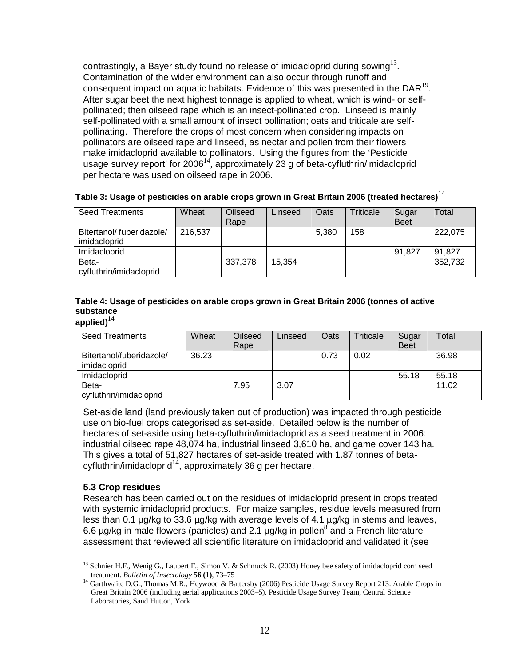contrastingly, a Bayer study found no release of imidacloprid during sowing $^{13}$ . Contamination of the wider environment can also occur through runoff and consequent impact on aquatic habitats. Evidence of this was presented in the DAR $^{19}$ . After sugar beet the next highest tonnage is applied to wheat, which is wind- or selfpollinated; then oilseed rape which is an insect-pollinated crop. Linseed is mainly self-pollinated with a small amount of insect pollination; oats and triticale are selfpollinating. Therefore the crops of most concern when considering impacts on pollinators are oilseed rape and linseed, as nectar and pollen from their flowers make imidacloprid available to pollinators. Using the figures from the 'Pesticide usage survey report' for 2006 $^{14}$ , approximately 23 g of beta-cyfluthrin/imidacloprid per hectare was used on oilseed rape in 2006.

| Seed Treatments                          | Wheat   | Oilseed<br>Rape | Linseed | Oats  | Triticale | Sugar<br><b>Beet</b> | Total   |
|------------------------------------------|---------|-----------------|---------|-------|-----------|----------------------|---------|
| Bitertanol/fuberidazole/<br>imidacloprid | 216,537 |                 |         | 5.380 | 158       |                      | 222,075 |
| Imidacloprid                             |         |                 |         |       |           | 91,827               | 91,827  |
| Beta-<br>cyfluthrin/imidacloprid         |         | 337,378         | 15,354  |       |           |                      | 352,732 |

### **Table 3: Usage of pesticides on arable crops grown in Great Britain 2006 (treated hectares)**<sup>14</sup>

# **Table 4: Usage of pesticides on arable crops grown in Great Britain 2006 (tonnes of active substance**

# applied) $^{14}$

| <b>Seed Treatments</b>                   | Wheat | Oilseed<br>Rape | Linseed | Oats | Triticale | Sugar<br><b>Beet</b> | Total |
|------------------------------------------|-------|-----------------|---------|------|-----------|----------------------|-------|
| Bitertanol/fuberidazole/<br>imidacloprid | 36.23 |                 |         | 0.73 | 0.02      |                      | 36.98 |
| Imidacloprid                             |       |                 |         |      |           | 55.18                | 55.18 |
| Beta-<br>cyfluthrin/imidacloprid         |       | 7.95            | 3.07    |      |           |                      | 11.02 |

Set-aside land (land previously taken out of production) was impacted through pesticide use on bio-fuel crops categorised as set-aside. Detailed below is the number of hectares of set-aside using beta-cyfluthrin/imidacloprid as a seed treatment in 2006: industrial oilseed rape 48,074 ha, industrial linseed 3,610 ha, and game cover 143 ha. This gives a total of 51,827 hectares of set-aside treated with 1.87 tonnes of betacyfluthrin/imidacloprid $14$ , approximately 36 g per hectare.

#### **5.3 Crop residues**

-

Research has been carried out on the residues of imidacloprid present in crops treated with systemic imidacloprid products. For maize samples, residue levels measured from less than 0.1 µg/kg to 33.6 µg/kg with average levels of 4.1 µg/kg in stems and leaves, 6.6  $\mu$ g/kg in male flowers (panicles) and 2.1  $\mu$ g/kg in pollen<sup>8</sup> and a French literature assessment that reviewed all scientific literature on imidacloprid and validated it (see

<sup>&</sup>lt;sup>13</sup> Schnier H.F., Wenig G., Laubert F., Simon V. & Schmuck R. (2003) Honey bee safety of imidacloprid corn seed treatment. *Bulletin of Insectology* **56 (1)**, 73–75

<sup>&</sup>lt;sup>14</sup> Garthwaite D.G., Thomas M.R., Heywood & Battersby (2006) Pesticide Usage Survey Report 213: Arable Crops in Great Britain 2006 (including aerial applications 2003–5). Pesticide Usage Survey Team, Central Science Laboratories, Sand Hutton, York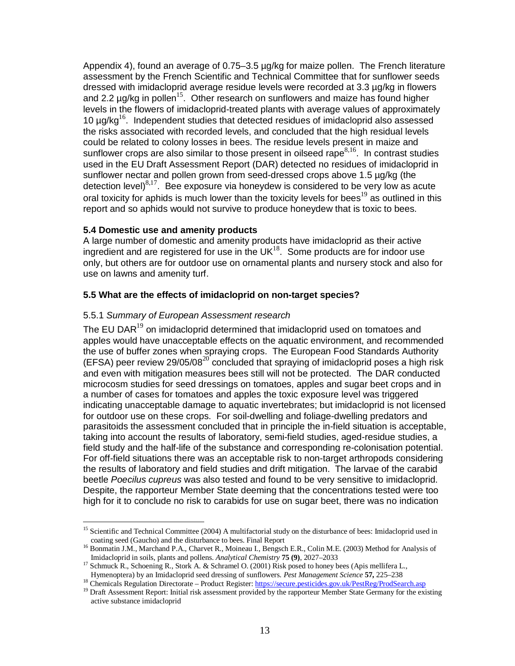Appendix 4), found an average of 0.75–3.5 µg/kg for maize pollen. The French literature assessment by the French Scientific and Technical Committee that for sunflower seeds dressed with imidacloprid average residue levels were recorded at 3.3 µg/kg in flowers and 2.2  $\mu$ g/kg in pollen<sup>15</sup>. Other research on sunflowers and maize has found higher levels in the flowers of imidacloprid-treated plants with average values of approximately 10  $\mu$ g/kg<sup>16</sup>. Independent studies that detected residues of imidacloprid also assessed the risks associated with recorded levels, and concluded that the high residual levels could be related to colony losses in bees. The residue levels present in maize and sunflower crops are also similar to those present in oilseed rape<sup>8,16</sup>. In contrast studies used in the EU Draft Assessment Report (DAR) detected no residues of imidacloprid in sunflower nectar and pollen grown from seed-dressed crops above 1.5 µg/kg (the detection level) $8,17$ . Bee exposure via honeydew is considered to be very low as acute oral toxicity for aphids is much lower than the toxicity levels for bees<sup>19</sup> as outlined in this report and so aphids would not survive to produce honeydew that is toxic to bees.

### **5.4 Domestic use and amenity products**

A large number of domestic and amenity products have imidacloprid as their active ingredient and are registered for use in the  $UK<sup>18</sup>$ . Some products are for indoor use only, but others are for outdoor use on ornamental plants and nursery stock and also for use on lawns and amenity turf.

### **5.5 What are the effects of imidacloprid on non-target species?**

### 5.5.1 Summary of European Assessment research

The EU DAR<sup>19</sup> on imidacloprid determined that imidacloprid used on tomatoes and apples would have unacceptable effects on the aquatic environment, and recommended the use of buffer zones when spraying crops. The European Food Standards Authority (EFSA) peer review 29/05/08<sup>20</sup> concluded that spraying of imidacloprid poses a high risk and even with mitigation measures bees still will not be protected. The DAR conducted microcosm studies for seed dressings on tomatoes, apples and sugar beet crops and in a number of cases for tomatoes and apples the toxic exposure level was triggered indicating unacceptable damage to aquatic invertebrates; but imidacloprid is not licensed for outdoor use on these crops. For soil-dwelling and foliage-dwelling predators and parasitoids the assessment concluded that in principle the in-field situation is acceptable, taking into account the results of laboratory, semi-field studies, aged-residue studies, a field study and the half-life of the substance and corresponding re-colonisation potential. For off-field situations there was an acceptable risk to non-target arthropods considering the results of laboratory and field studies and drift mitigation. The larvae of the carabid beetle Poecilus cupreus was also tested and found to be very sensitive to imidacloprid. Despite, the rapporteur Member State deeming that the concentrations tested were too high for it to conclude no risk to carabids for use on sugar beet, there was no indication

<sup>&</sup>lt;u>.</u> <sup>15</sup> Scientific and Technical Committee (2004) A multifactorial study on the disturbance of bees: Imidacloprid used in coating seed (Gaucho) and the disturbance to bees. Final Report

<sup>&</sup>lt;sup>16</sup> Bonmatin J.M., Marchand P.A., Charvet R., Moineau I., Bengsch E.R., Colin M.E. (2003) Method for Analysis of Imidacloprid in soils, plants and pollens. *Analytical Chemistry* **75 (9)**, 2027–2033

<sup>&</sup>lt;sup>17</sup> Schmuck R., Schoening R., Stork A. & Schramel O. (2001) Risk posed to honey bees (Apis mellifera L., Hymenoptera) by an Imidacloprid seed dressing of sunflowers. *Pest Management Science* **57,** 225–238

<sup>&</sup>lt;sup>18</sup> Chemicals Regulation Directorate – Product Register: https://secure.pesticides.gov.uk/PestReg/ProdSearch.asp

<sup>&</sup>lt;sup>19</sup> Draft Assessment Report: Initial risk assessment provided by the rapporteur Member State Germany for the existing active substance imidacloprid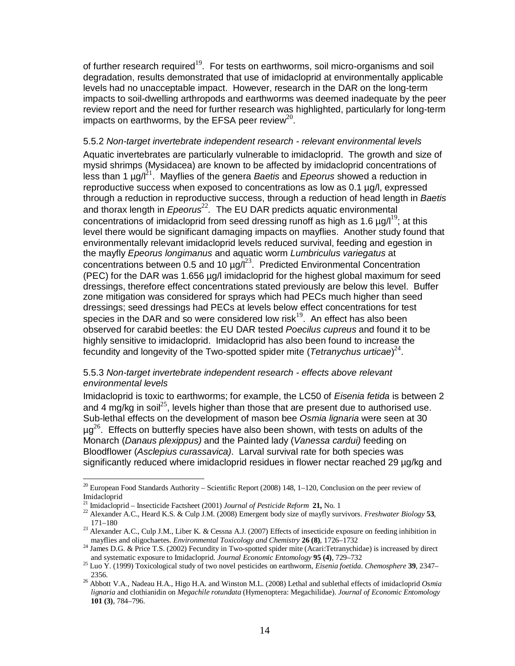of further research required<sup>19</sup>. For tests on earthworms, soil micro-organisms and soil degradation, results demonstrated that use of imidacloprid at environmentally applicable levels had no unacceptable impact. However, research in the DAR on the long-term impacts to soil-dwelling arthropods and earthworms was deemed inadequate by the peer review report and the need for further research was highlighted, particularly for long-term impacts on earthworms, by the EFSA peer review $^{20}$ .

#### 5.5.2 Non-target invertebrate independent research - relevant environmental levels

Aquatic invertebrates are particularly vulnerable to imidacloprid. The growth and size of mysid shrimps (Mysidacea) are known to be affected by imidacloprid concentrations of less than 1  $\mu$ g/ $l^{21}$ . Mayflies of the genera *Baetis* and *Epeorus* showed a reduction in reproductive success when exposed to concentrations as low as 0.1 µg/l, expressed through a reduction in reproductive success, through a reduction of head length in Baetis and thorax length in  $E$ peorus $^{22}$ . The EU DAR predicts aquatic environmental concentrations of imidacloprid from seed dressing runoff as high as 1.6  $\mu$ g/l<sup>19</sup>; at this level there would be significant damaging impacts on mayflies. Another study found that environmentally relevant imidacloprid levels reduced survival, feeding and egestion in the mayfly Epeorus longimanus and aquatic worm Lumbriculus variegatus at concentrations between 0.5 and 10  $\mu$ g/ $l^{23}$ . Predicted Environmental Concentration (PEC) for the DAR was 1.656 µg/l imidacloprid for the highest global maximum for seed dressings, therefore effect concentrations stated previously are below this level. Buffer zone mitigation was considered for sprays which had PECs much higher than seed dressings; seed dressings had PECs at levels below effect concentrations for test species in the DAR and so were considered low risk $19$ . An effect has also been observed for carabid beetles: the EU DAR tested Poecilus cupreus and found it to be highly sensitive to imidacloprid. Imidacloprid has also been found to increase the fecundity and longevity of the Two-spotted spider mite (Tetranychus urticae) $^{24}$ .

#### 5.5.3 Non-target invertebrate independent research - effects above relevant environmental levels

Imidacloprid is toxic to earthworms; for example, the LC50 of Eisenia fetida is between 2 and 4 mg/kg in soil<sup>25</sup>, levels higher than those that are present due to authorised use. Sub-lethal effects on the development of mason bee Osmia lignaria were seen at 30  $\mu$ g<sup>26</sup>. Effects on butterfly species have also been shown, with tests on adults of the Monarch (Danaus plexippus) and the Painted lady (Vanessa cardui) feeding on Bloodflower (Asclepius curassavica). Larval survival rate for both species was significantly reduced where imidacloprid residues in flower nectar reached 29 µg/kg and

<u>.</u>

 $20$  European Food Standards Authority – Scientific Report (2008) 148, 1–120, Conclusion on the peer review of Imidacloprid

<sup>21</sup> Imidacloprid – Insecticide Factsheet (2001) *Journal of Pesticide Reform* **21,** No. 1

<sup>22</sup> Alexander A.C., Heard K.S. & Culp J.M. (2008) Emergent body size of mayfly survivors. *Freshwater Biology* **53**, 171–180

<sup>&</sup>lt;sup>23</sup> Alexander A.C., Culp J.M., Liber K. & Cessna A.J. (2007) Effects of insecticide exposure on feeding inhibition in mayflies and oligochaetes*. Environmental Toxicology and Chemistry* **26 (8)**, 1726–1732

<sup>&</sup>lt;sup>24</sup> James D.G. & Price T.S. (2002) Fecundity in Two-spotted spider mite (Acari:Tetranychidae) is increased by direct and systematic exposure to Imidacloprid. *Journal Economic Entomology* **95 (4)**, 729–732

<sup>25</sup> Luo Y. (1999) Toxicological study of two novel pesticides on earthworm, *Eisenia foetida*. *Chemosphere* **39**, 2347– 2356.

<sup>26</sup> Abbott V.A., Nadeau H.A., Higo H.A. and Winston M.L. (2008) Lethal and sublethal effects of imidacloprid *Osmia lignaria* and clothianidin on *Megachile rotundata* (Hymenoptera: Megachilidae). *Journal of Economic Entomology* **101 (3)**, 784–796.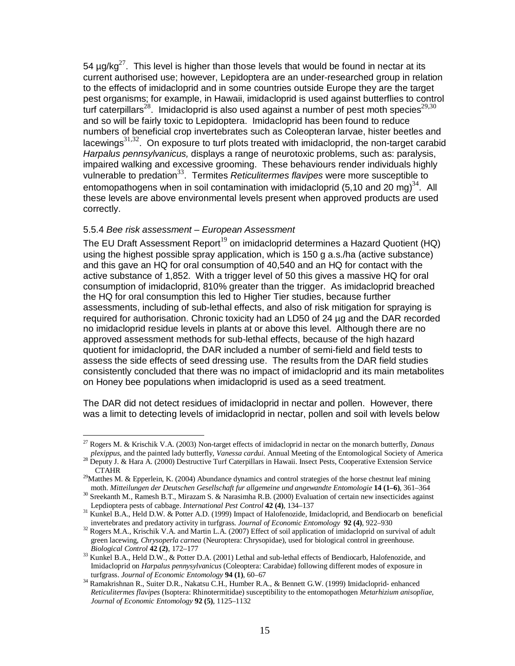54  $\mu$ g/kg<sup>27</sup>. This level is higher than those levels that would be found in nectar at its current authorised use; however, Lepidoptera are an under-researched group in relation to the effects of imidacloprid and in some countries outside Europe they are the target pest organisms; for example, in Hawaii, imidacloprid is used against butterflies to control turf caterpillars<sup>28</sup>. Imidacloprid is also used against a number of pest moth species<sup>29,30</sup> and so will be fairly toxic to Lepidoptera. Imidacloprid has been found to reduce numbers of beneficial crop invertebrates such as Coleopteran larvae, hister beetles and lacewings<sup>31,32</sup>. On exposure to turf plots treated with imidacloprid, the non-target carabid Harpalus pennsylvanicus, displays a range of neurotoxic problems, such as: paralysis, impaired walking and excessive grooming. These behaviours render individuals highly vulnerable to predation<sup>33</sup>. Termites Reticulitermes flavipes were more susceptible to entomopathogens when in soil contamination with imidacloprid (5,10 and 20 mg)<sup>34</sup>. All these levels are above environmental levels present when approved products are used correctly.

### 5.5.4 Bee risk assessment – European Assessment

The EU Draft Assessment Report<sup>19</sup> on imidacloprid determines a Hazard Quotient (HQ) using the highest possible spray application, which is 150 g a.s./ha (active substance) and this gave an HQ for oral consumption of 40,540 and an HQ for contact with the active substance of 1,852. With a trigger level of 50 this gives a massive HQ for oral consumption of imidacloprid, 810% greater than the trigger. As imidacloprid breached the HQ for oral consumption this led to Higher Tier studies, because further assessments, including of sub-lethal effects, and also of risk mitigation for spraying is required for authorisation. Chronic toxicity had an LD50 of 24 µg and the DAR recorded no imidacloprid residue levels in plants at or above this level. Although there are no approved assessment methods for sub-lethal effects, because of the high hazard quotient for imidacloprid, the DAR included a number of semi-field and field tests to assess the side effects of seed dressing use. The results from the DAR field studies consistently concluded that there was no impact of imidacloprid and its main metabolites on Honey bee populations when imidacloprid is used as a seed treatment.

The DAR did not detect residues of imidacloprid in nectar and pollen. However, there was a limit to detecting levels of imidacloprid in nectar, pollen and soil with levels below

<sup>&</sup>lt;u>.</u> <sup>27</sup> Rogers M. & Krischik V.A. (2003) Non-target effects of imidacloprid in nectar on the monarch butterfly, *Danaus plexippus*, and the painted lady butterfly, *Vanessa cardui*. Annual Meeting of the Entomological Society of America

<sup>&</sup>lt;sup>28</sup> Deputy J. & Hara A. (2000) Destructive Turf Caterpillars in Hawaii. Insect Pests, Cooperative Extension Service **CTAHR** 

<sup>&</sup>lt;sup>29</sup>Matthes M. & Epperlein, K. (2004) Abundance dynamics and control strategies of the horse chestnut leaf mining moth. *Mitteilungen der Deutschen Gesellschaft fur allgemeine und angewandte Entomologie* **14 (1–6)**, 361–364

<sup>&</sup>lt;sup>30</sup> Sreekanth M., Ramesh B.T., Mirazam S. & Narasimha R.B. (2000) Evaluation of certain new insecticides against Lepdioptera pests of cabbage. *International Pest Control* **42 (4)**, 134–137

<sup>&</sup>lt;sup>31</sup> Kunkel B.A., Held D.W. & Potter A.D. (1999) Impact of Halofenozide, Imidacloprid, and Bendiocarb on beneficial invertebrates and predatory activity in turfgrass. *Journal of Economic Entomology* **92 (4)**, 922–930

<sup>&</sup>lt;sup>32</sup> Rogers M.A., Krischik V.A. and Martin L.A. (2007) Effect of soil application of imidacloprid on survival of adult green lacewing, *Chrysoperla carnea* (Neuroptera: Chrysopidae), used for biological control in greenhouse. *Biological Control* **42 (2)**, 172–177

<sup>&</sup>lt;sup>33</sup> Kunkel B.A., Held D.W., & Potter D.A. (2001) Lethal and sub-lethal effects of Bendiocarb, Halofenozide, and Imidacloprid on *Harpalus pennysylvanicus* (Coleoptera: Carabidae) following different modes of exposure in turfgrass. *Journal of Economic Entomology* **94 (1)**, 60–67

<sup>&</sup>lt;sup>34</sup> Ramakrishnan R., Suiter D.R., Nakatsu C.H., Humber R.A., & Bennett G.W. (1999) Imidacloprid- enhanced *Reticulitermes flavipes* (Isoptera: Rhinotermitidae) susceptibility to the entomopathogen *Metarhizium anisopliae, Journal of Economic Entomology* **92 (5)**, 1125–1132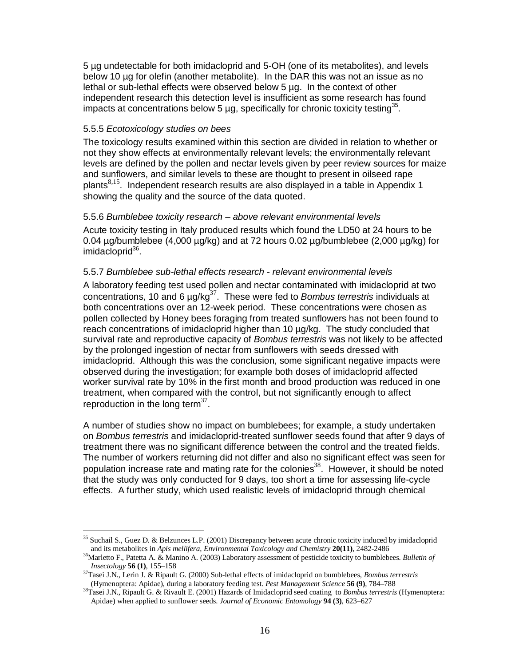5 µg undetectable for both imidacloprid and 5-OH (one of its metabolites), and levels below 10 µg for olefin (another metabolite). In the DAR this was not an issue as no lethal or sub-lethal effects were observed below 5 µg. In the context of other independent research this detection level is insufficient as some research has found impacts at concentrations below 5  $\mu$ g, specifically for chronic toxicity testing<sup>35</sup>.

#### 5.5.5 Ecotoxicology studies on bees

The toxicology results examined within this section are divided in relation to whether or not they show effects at environmentally relevant levels; the environmentally relevant levels are defined by the pollen and nectar levels given by peer review sources for maize and sunflowers, and similar levels to these are thought to present in oilseed rape plants $8,15$ . Independent research results are also displayed in a table in Appendix 1 showing the quality and the source of the data quoted.

#### 5.5.6 Bumblebee toxicity research – above relevant environmental levels

Acute toxicity testing in Italy produced results which found the LD50 at 24 hours to be 0.04  $\mu$ g/bumblebee (4,000  $\mu$ g/kg) and at 72 hours 0.02  $\mu$ g/bumblebee (2,000  $\mu$ g/kg) for imidacloprid<sup>36</sup>.

#### 5.5.7 Bumblebee sub-lethal effects research - relevant environmental levels

A laboratory feeding test used pollen and nectar contaminated with imidacloprid at two concentrations, 10 and 6  $\mu$ g/kg<sup>37</sup>. These were fed to *Bombus terrestris* individuals at both concentrations over an 12-week period. These concentrations were chosen as pollen collected by Honey bees foraging from treated sunflowers has not been found to reach concentrations of imidacloprid higher than 10 µg/kg. The study concluded that survival rate and reproductive capacity of Bombus terrestris was not likely to be affected by the prolonged ingestion of nectar from sunflowers with seeds dressed with imidacloprid. Although this was the conclusion, some significant negative impacts were observed during the investigation; for example both doses of imidacloprid affected worker survival rate by 10% in the first month and brood production was reduced in one treatment, when compared with the control, but not significantly enough to affect reproduction in the long term $37$ .

A number of studies show no impact on bumblebees; for example, a study undertaken on Bombus terrestris and imidacloprid-treated sunflower seeds found that after 9 days of treatment there was no significant difference between the control and the treated fields. The number of workers returning did not differ and also no significant effect was seen for population increase rate and mating rate for the colonies<sup>38</sup>. However, it should be noted that the study was only conducted for 9 days, too short a time for assessing life-cycle effects. A further study, which used realistic levels of imidacloprid through chemical

<sup>&</sup>lt;u>.</u> <sup>35</sup> Suchail S., Guez D. & Belzunces L.P. (2001) Discrepancy between acute chronic toxicity induced by imidacloprid and its metabolites in *Apis mellifera*, *Environmental Toxicology and Chemistry* **20(11)**, 2482-2486

<sup>36</sup>Marletto F., Patetta A. & Manino A. (2003) Laboratory assessment of pesticide toxicity to bumblebees. *Bulletin of Insectology* **56 (1)**, 155–158

<sup>37</sup>Tasei J.N., Lerin J. & Ripault G. (2000) Sub-lethal effects of imidacloprid on bumblebees, *Bombus terrestris* (Hymenoptera: Apidae), during a laboratory feeding test. *Pest Management Science* **56 (9)**, 784–788

<sup>38</sup>Tasei J.N., Ripault G. & Rivault E. (2001) Hazards of Imidacloprid seed coating to *Bombus terrestris* (Hymenoptera: Apidae) when applied to sunflower seeds. *Journal of Economic Entomology* **94 (3)**, 623–627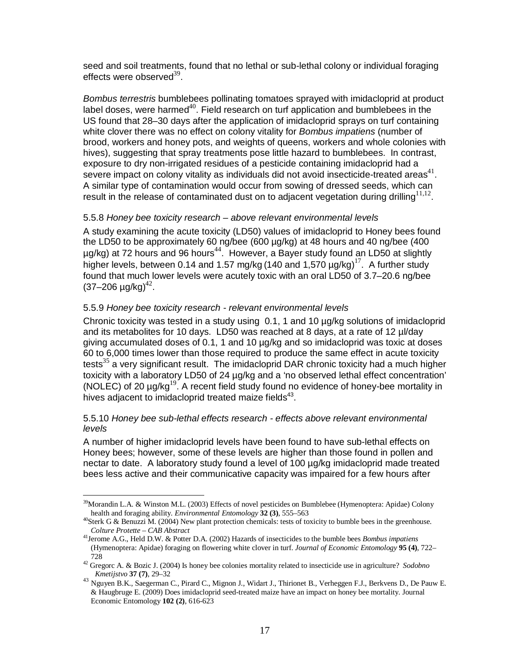seed and soil treatments, found that no lethal or sub-lethal colony or individual foraging effects were observed $^{39}$ .

Bombus terrestris bumblebees pollinating tomatoes sprayed with imidacloprid at product label doses, were harmed<sup>40</sup>. Field research on turf application and bumblebees in the US found that 28–30 days after the application of imidacloprid sprays on turf containing white clover there was no effect on colony vitality for *Bombus impatiens* (number of brood, workers and honey pots, and weights of queens, workers and whole colonies with hives), suggesting that spray treatments pose little hazard to bumblebees. In contrast, exposure to dry non-irrigated residues of a pesticide containing imidacloprid had a severe impact on colony vitality as individuals did not avoid insecticide-treated areas<sup>41</sup>. A similar type of contamination would occur from sowing of dressed seeds, which can result in the release of contaminated dust on to adjacent vegetation during drilling $11,12$ .

### 5.5.8 Honey bee toxicity research – above relevant environmental levels

A study examining the acute toxicity (LD50) values of imidacloprid to Honey bees found the LD50 to be approximately 60 ng/bee (600 µg/kg) at 48 hours and 40 ng/bee (400  $\mu$ g/kg) at 72 hours and 96 hours<sup>44</sup>. However, a Bayer study found an LD50 at slightly higher levels, between 0.14 and 1.57 mg/kg (140 and 1,570  $\mu$ g/kg)<sup>17</sup>. A further study found that much lower levels were acutely toxic with an oral LD50 of 3.7–20.6 ng/bee  $(37 - 206 \text{ µg/kg})^{42}$ .

### 5.5.9 Honey bee toxicity research - relevant environmental levels

<u>.</u>

Chronic toxicity was tested in a study using 0.1, 1 and 10 µg/kg solutions of imidacloprid and its metabolites for 10 days. LD50 was reached at 8 days, at a rate of 12 µl/day giving accumulated doses of 0.1, 1 and 10 µg/kg and so imidacloprid was toxic at doses 60 to 6,000 times lower than those required to produce the same effect in acute toxicity tests $35$  a very significant result. The imidacloprid DAR chronic toxicity had a much higher toxicity with a laboratory LD50 of 24 µg/kg and a 'no observed lethal effect concentration' (NOLEC) of 20  $\mu$ g/kg<sup>19</sup>. A recent field study found no evidence of honey-bee mortality in hives adjacent to imidacloprid treated maize fields $43$ .

### 5.5.10 Honey bee sub-lethal effects research - effects above relevant environmental levels

A number of higher imidacloprid levels have been found to have sub-lethal effects on Honey bees; however, some of these levels are higher than those found in pollen and nectar to date. A laboratory study found a level of 100 ug/kg imidacloprid made treated bees less active and their communicative capacity was impaired for a few hours after

 $39$ Morandin L.A. & Winston M.L. (2003) Effects of novel pesticides on Bumblebee (Hymenoptera: Apidae) Colony health and foraging ability. *Environmental Entomology* **32 (3)**, 555–563

 $^{40}$ Sterk G & Benuzzi M. (2004) New plant protection chemicals: tests of toxicity to bumble bees in the greenhouse. *Colture Protette – CAB Abstract*

<sup>41</sup>Jerome A.G., Held D.W. & Potter D.A. (2002) Hazards of insecticides to the bumble bees *Bombus impatiens* (Hymenoptera: Apidae) foraging on flowering white clover in turf. *Journal of Economic Entomology* **95 (4)**, 722– 728

<sup>42</sup> Gregorc A. & Bozic J. (2004) Is honey bee colonies mortality related to insecticide use in agriculture? *Sodobno Kmetijstvo* **37 (7)**, 29–32

<sup>&</sup>lt;sup>43</sup> Nguyen B.K., Saegerman C., Pirard C., Mignon J., Widart J., Thirionet B., Verheggen F.J., Berkvens D., De Pauw E. & Haugbruge E. (2009) Does imidacloprid seed-treated maize have an impact on honey bee mortality. Journal Economic Entomology **102 (2)**, 616-623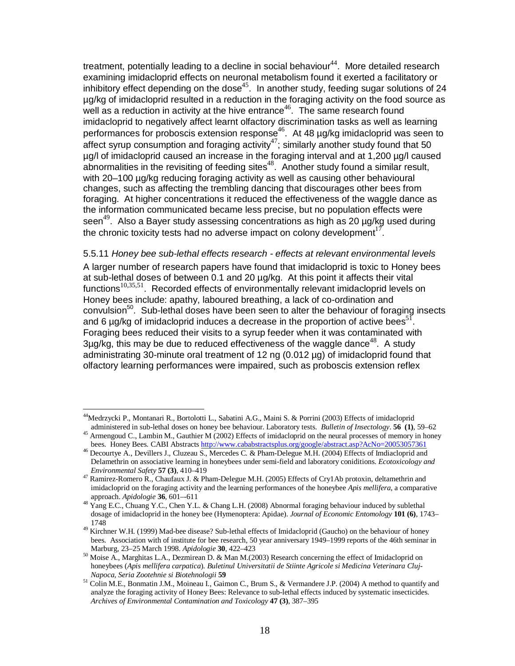treatment, potentially leading to a decline in social behaviour<sup>44</sup>. More detailed research examining imidacloprid effects on neuronal metabolism found it exerted a facilitatory or inhibitory effect depending on the dose<sup>45</sup>. In another study, feeding sugar solutions of 24 µg/kg of imidacloprid resulted in a reduction in the foraging activity on the food source as  $\sim$   $\frac{1}{2}$  as a reduction in activity at the hive entrance<sup>46</sup>. The same research found imidacloprid to negatively affect learnt olfactory discrimination tasks as well as learning performances for proboscis extension response<sup>46</sup>. At 48 µg/kg imidacloprid was seen to affect syrup consumption and foraging activity<sup>47</sup>; similarly another study found that 50 µg/l of imidacloprid caused an increase in the foraging interval and at 1,200 µg/l caused abnormalities in the revisiting of feeding sites<sup>48</sup>. Another study found a similar result, with 20–100 µg/kg reducing foraging activity as well as causing other behavioural changes, such as affecting the trembling dancing that discourages other bees from foraging. At higher concentrations it reduced the effectiveness of the waggle dance as the information communicated became less precise, but no population effects were seen<sup>49</sup>. Also a Bayer study assessing concentrations as high as 20  $\mu$ g/kg used during the chronic toxicity tests had no adverse impact on colony development $1^7$ .

5.5.11 Honey bee sub-lethal effects research - effects at relevant environmental levels A larger number of research papers have found that imidacloprid is toxic to Honey bees at sub-lethal doses of between 0.1 and 20 µg/kg. At this point it affects their vital functions<sup>10,35,51</sup>. Recorded effects of environmentally relevant imidacloprid levels on Honey bees include: apathy, laboured breathing, a lack of co-ordination and convulsion<sup>50</sup>. Sub-lethal doses have been seen to alter the behaviour of foraging insects and 6  $\mu$ g/kg of imidacloprid induces a decrease in the proportion of active bees<sup>51</sup>. Foraging bees reduced their visits to a syrup feeder when it was contaminated with  $3\mu$ g/kg, this may be due to reduced effectiveness of the waggle dance<sup>48</sup>. A study administrating 30-minute oral treatment of 12 ng (0.012 µg) of imidacloprid found that olfactory learning performances were impaired, such as proboscis extension reflex

-

<sup>44</sup>Medrzycki P., Montanari R., Bortolotti L., Sabatini A.G., Maini S. & Porrini (2003) Effects of imidacloprid administered in sub-lethal doses on honey bee behaviour. Laboratory tests. *Bulletin of Insectology*. **56 (1)**, 59–62

<sup>&</sup>lt;sup>45</sup> Armengoud C., Lambin M., Gauthier M (2002) Effects of imidacloprid on the neural processes of memory in honey bees. Honey Bees. CABI Abstracts http://www.cababstractsplus.org/google/abstract.asp?AcNo=20053057361

<sup>&</sup>lt;sup>46</sup> Decourtye A., Devillers J., Cluzeau S., Mercedes C. & Pham-Delegue M.H. (2004) Effects of Imdiacloprid and Delamethrin on associative learning in honeybees under semi-field and laboratory coniditions. *Ecotoxicology and Environmental Safety* **57 (3)**, 410–419

<sup>47</sup> Ramirez-Romero R., Chaufaux J. & Pham-Delegue M.H. (2005) Effects of Cryl Ab protoxin, deltamethrin and imidacloprid on the foraging activity and the learning performances of the honeybee *Apis mellifera*, a comparative approach. *Apidologie* **36**, 601–-611

<sup>&</sup>lt;sup>48</sup> Yang E.C., Chuang Y.C., Chen Y.L. & Chang L.H. (2008) Abnormal foraging behaviour induced by sublethal dosage of imidacloprid in the honey bee (Hymenoptera: Apidae). *Journal of Economic Entomology* **101 (6)**, 1743– 1748

<sup>&</sup>lt;sup>49</sup> Kirchner W.H. (1999) Mad-bee disease? Sub-lethal effects of Imidacloprid (Gaucho) on the behaviour of honey bees. Association with of institute for bee research, 50 year anniversary 1949–1999 reports of the 46th seminar in Marburg, 23–25 March 1998. *Apidologie* **30**, 422–423

 $50$  Moise A., Marghitas L.A., Dezmirean D. & Man M.(2003) Research concerning the effect of Imidacloprid on honeybees (*Apis mellifera carpatica*). *Buletinul Universitatii de Stiinte Agricole si Medicina Veterinara Cluj-Napoca, Seria Zootehnie si Biotehnologii* **59**

<sup>51</sup> Colin M.E., Bonmatin J.M., Moineau I., Gaimon C., Brum S., & Vermandere J.P. (2004) A method to quantify and analyze the foraging activity of Honey Bees: Relevance to sub-lethal effects induced by systematic insecticides. *Archives of Environmental Contamination and Toxicology* **47 (3)**, 387–395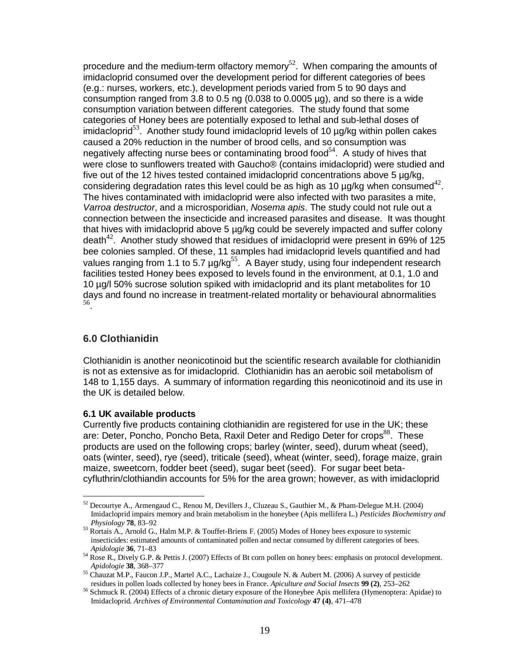procedure and the medium-term olfactory memory<sup>52</sup>. When comparing the amounts of imidacloprid consumed over the development period for different categories of bees (e.g.: nurses, workers, etc.), development periods varied from 5 to 90 days and consumption ranged from 3.8 to 0.5 ng (0.038 to 0.0005 µg), and so there is a wide consumption variation between different categories. The study found that some categories of Honey bees are potentially exposed to lethal and sub-lethal doses of  $imidaclopid<sup>53</sup>$ . Another study found imidacloprid levels of 10  $\mu$ g/kg within pollen cakes caused a 20% reduction in the number of brood cells, and so consumption was negatively affecting nurse bees or contaminating brood food<sup>54</sup>. A study of hives that were close to sunflowers treated with Gaucho® (contains imidacloprid) were studied and five out of the 12 hives tested contained imidacloprid concentrations above 5 µg/kg, considering degradation rates this level could be as high as 10  $\mu$ g/kg when consumed<sup>42</sup>. The hives contaminated with imidacloprid were also infected with two parasites a mite, Varroa destructor, and a microsporidian, Nosema apis. The study could not rule out a connection between the insecticide and increased parasites and disease. It was thought that hives with imidacloprid above 5 µg/kg could be severely impacted and suffer colony death $42$ . Another study showed that residues of imidacloprid were present in 69% of 125 bee colonies sampled. Of these, 11 samples had imidacloprid levels quantified and had values ranging from 1.1 to 5.7  $\mu$ g/kg<sup>55</sup>. A Bayer study, using four independent research facilities tested Honey bees exposed to levels found in the environment, at 0.1, 1.0 and 10 µg/l 50% sucrose solution spiked with imidacloprid and its plant metabolites for 10 days and found no increase in treatment-related mortality or behavioural abnormalities 56 .

## **6.0 Clothianidin**

<u>.</u>

Clothianidin is another neonicotinoid but the scientific research available for clothianidin is not as extensive as for imidacloprid. Clothianidin has an aerobic soil metabolism of 148 to 1,155 days. A summary of information regarding this neonicotinoid and its use in the UK is detailed below.

#### **6.1 UK available products**

Currently five products containing clothianidin are registered for use in the UK; these are: Deter, Poncho, Poncho Beta, Raxil Deter and Redigo Deter for crops<sup>88</sup>. These products are used on the following crops; barley (winter, seed), durum wheat (seed), oats (winter, seed), rye (seed), triticale (seed), wheat (winter, seed), forage maize, grain maize, sweetcorn, fodder beet (seed), sugar beet (seed). For sugar beet betacyfluthrin/clothiandin accounts for 5% for the area grown; however, as with imidacloprid

 $52$  Decourtye A., Armengaud C., Renou M, Devillers J., Cluzeau S., Gauthier M., & Pham-Delegue M.H. (2004) Imidacloprid impairs memory and brain metabolism in the honeybee (Apis mellifera L.) *Pesticides Biochemistry and Physiology* **78**, 83–92

<sup>53</sup> Rortais A., Arnold G., Halm M.P. & Touffet-Briens F. (2005) Modes of Honey bees exposure to systemic insecticides: estimated amounts of contaminated pollen and nectar consumed by different categories of bees. *Apidologie* **36**, 71–83

<sup>&</sup>lt;sup>54</sup> Rose R., Dively G.P. & Pettis J. (2007) Effects of Bt corn pollen on honey bees: emphasis on protocol development. *Apidologie* **38**, 368–377

<sup>&</sup>lt;sup>55</sup> Chauzat M.P., Faucon J.P., Martel A.C., Lachaize J., Cougoule N. & Aubert M. (2006) A survey of pesticide residues in pollen loads collected by honey bees in France. *Apiculture and Social Insects* **99 (2)**, 253–262

<sup>&</sup>lt;sup>56</sup> Schmuck R. (2004) Effects of a chronic dietary exposure of the Honeybee Apis mellifera (Hymenoptera: Apidae) to Imidacloprid. *Archives of Environmental Contamination and Toxicology* **47 (4)**, 471–478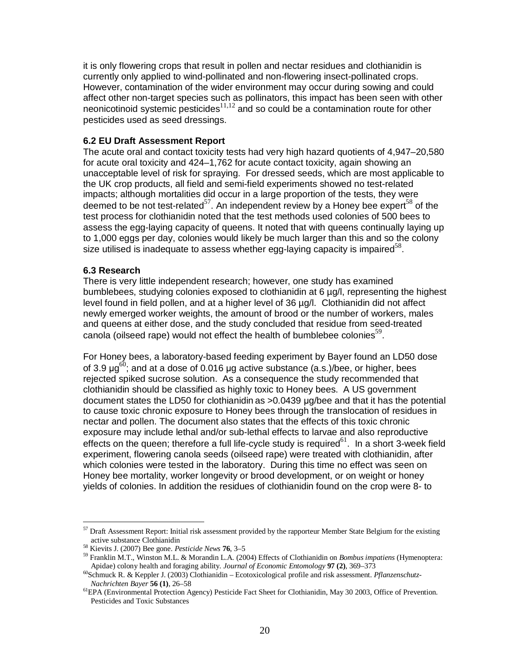it is only flowering crops that result in pollen and nectar residues and clothianidin is currently only applied to wind-pollinated and non-flowering insect-pollinated crops. However, contamination of the wider environment may occur during sowing and could affect other non-target species such as pollinators, this impact has been seen with other neonicotinoid systemic pesticides $11,12$  and so could be a contamination route for other pesticides used as seed dressings.

#### **6.2 EU Draft Assessment Report**

The acute oral and contact toxicity tests had very high hazard quotients of 4,947–20,580 for acute oral toxicity and 424–1,762 for acute contact toxicity, again showing an unacceptable level of risk for spraying. For dressed seeds, which are most applicable to the UK crop products, all field and semi-field experiments showed no test-related impacts; although mortalities did occur in a large proportion of the tests, they were deemed to be not test-related $57$ . An independent review by a Honey bee expert<sup>58</sup> of the test process for clothianidin noted that the test methods used colonies of 500 bees to assess the egg-laying capacity of queens. It noted that with queens continually laying up to 1,000 eggs per day, colonies would likely be much larger than this and so the colony size utilised is inadequate to assess whether egg-laying capacity is impaired<sup>58</sup>.

#### **6.3 Research**

<u>.</u>

There is very little independent research; however, one study has examined bumblebees, studying colonies exposed to clothianidin at 6 µg/l, representing the highest level found in field pollen, and at a higher level of 36 µg/l. Clothianidin did not affect newly emerged worker weights, the amount of brood or the number of workers, males and queens at either dose, and the study concluded that residue from seed-treated canola (oilseed rape) would not effect the health of bumblebee colonies $^{59}$ .

For Honey bees, a laboratory-based feeding experiment by Bayer found an LD50 dose of 3.9  $\mu$ g<sup>60</sup>; and at a dose of 0.016  $\mu$ g active substance (a.s.)/bee, or higher, bees rejected spiked sucrose solution. As a consequence the study recommended that clothianidin should be classified as highly toxic to Honey bees. A US government document states the LD50 for clothianidin as >0.0439 µg/bee and that it has the potential to cause toxic chronic exposure to Honey bees through the translocation of residues in nectar and pollen. The document also states that the effects of this toxic chronic exposure may include lethal and/or sub-lethal effects to larvae and also reproductive effects on the queen; therefore a full life-cycle study is required<sup>61</sup>. In a short 3-week field experiment, flowering canola seeds (oilseed rape) were treated with clothianidin, after which colonies were tested in the laboratory. During this time no effect was seen on Honey bee mortality, worker longevity or brood development, or on weight or honey yields of colonies. In addition the residues of clothianidin found on the crop were 8- to

<sup>57</sup> Draft Assessment Report: Initial risk assessment provided by the rapporteur Member State Belgium for the existing active substance Clothianidin

<sup>58</sup> Kievits J. (2007) Bee gone. *Pesticide News* **76**, 3–5

<sup>59</sup> Franklin M.T., Winston M.L. & Morandin L.A. (2004) Effects of Clothianidin on *Bombus impatiens* (Hymenoptera: Apidae) colony health and foraging ability. *Journal of Economic Entomology* **97 (2)**, 369–373

<sup>60</sup>Schmuck R. & Keppler J. (2003) Clothianidin – Ecotoxicological profile and risk assessment. *Pflanzenschutz-Nachrichten Bayer* **56 (1)**, 26–58

<sup>61</sup>EPA (Environmental Protection Agency) Pesticide Fact Sheet for Clothianidin, May 30 2003, Office of Prevention. Pesticides and Toxic Substances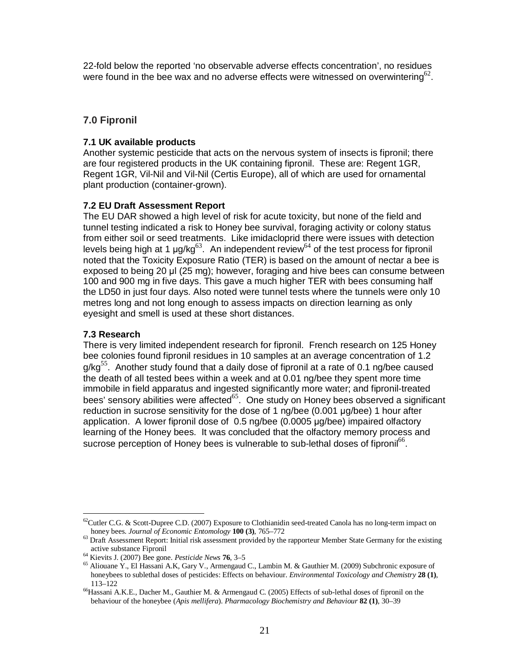22-fold below the reported 'no observable adverse effects concentration', no residues were found in the bee wax and no adverse effects were witnessed on overwintering<sup>62</sup>.

## **7.0 Fipronil**

### **7.1 UK available products**

Another systemic pesticide that acts on the nervous system of insects is fipronil; there are four registered products in the UK containing fipronil. These are: Regent 1GR, Regent 1GR, Vil-Nil and Vil-Nil (Certis Europe), all of which are used for ornamental plant production (container-grown).

## **7.2 EU Draft Assessment Report**

The EU DAR showed a high level of risk for acute toxicity, but none of the field and tunnel testing indicated a risk to Honey bee survival, foraging activity or colony status from either soil or seed treatments. Like imidacloprid there were issues with detection levels being high at 1  $\mu$ g/kg<sup>63</sup>. An independent review<sup>64</sup> of the test process for fipronil noted that the Toxicity Exposure Ratio (TER) is based on the amount of nectar a bee is exposed to being 20 µl (25 mg); however, foraging and hive bees can consume between 100 and 900 mg in five days. This gave a much higher TER with bees consuming half the LD50 in just four days. Also noted were tunnel tests where the tunnels were only 10 metres long and not long enough to assess impacts on direction learning as only eyesight and smell is used at these short distances.

### **7.3 Research**

<u>.</u>

There is very limited independent research for fipronil. French research on 125 Honey bee colonies found fipronil residues in 10 samples at an average concentration of 1.2  $g/kg<sup>55</sup>$ . Another study found that a daily dose of fipronil at a rate of 0.1 ng/bee caused the death of all tested bees within a week and at 0.01 ng/bee they spent more time immobile in field apparatus and ingested significantly more water; and fipronil-treated bees' sensory abilities were affected<sup>65</sup>. One study on Honey bees observed a significant reduction in sucrose sensitivity for the dose of 1 ng/bee (0.001 µg/bee) 1 hour after application. A lower fipronil dose of 0.5 ng/bee (0.0005 µg/bee) impaired olfactory learning of the Honey bees. It was concluded that the olfactory memory process and sucrose perception of Honey bees is vulnerable to sub-lethal doses of fipronil<sup>66</sup>.

 $62$ Cutler C.G. & Scott-Dupree C.D. (2007) Exposure to Clothianidin seed-treated Canola has no long-term impact on honey bees. *Journal of Economic Entomology* **100 (3)**, 765–772

<sup>&</sup>lt;sup>63</sup> Draft Assessment Report: Initial risk assessment provided by the rapporteur Member State Germany for the existing active substance Fipronil

<sup>64</sup> Kievits J. (2007) Bee gone. *Pesticide News* **76**, 3–5

<sup>65</sup> Aliouane Y., El Hassani A.K, Gary V., Armengaud C., Lambin M. & Gauthier M. (2009) Subchronic exposure of honeybees to sublethal doses of pesticides: Effects on behaviour. *Environmental Toxicology and Chemistry* **28 (1)**, 113–122

<sup>66</sup>Hassani A.K.E., Dacher M., Gauthier M. & Armengaud C. (2005) Effects of sub-lethal doses of fipronil on the behaviour of the honeybee (*Apis mellifera*). *Pharmacology Biochemistry and Behaviour* **82 (1)**, 30–39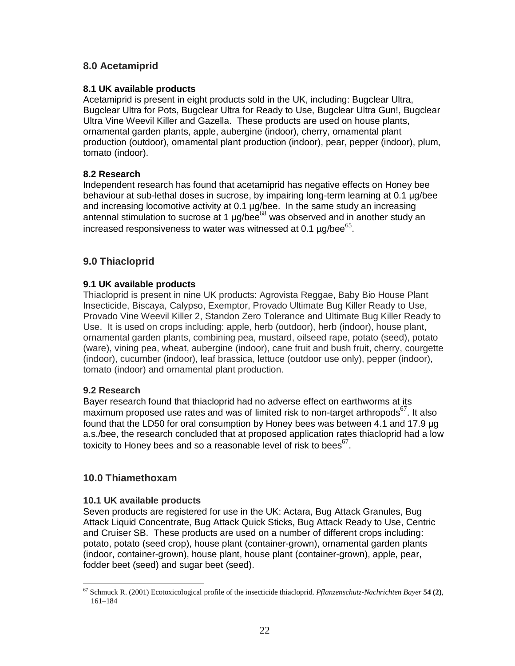# **8.0 Acetamiprid**

### **8.1 UK available products**

Acetamiprid is present in eight products sold in the UK, including: Bugclear Ultra, Bugclear Ultra for Pots, Bugclear Ultra for Ready to Use, Bugclear Ultra Gun!, Bugclear Ultra Vine Weevil Killer and Gazella. These products are used on house plants, ornamental garden plants, apple, aubergine (indoor), cherry, ornamental plant production (outdoor), ornamental plant production (indoor), pear, pepper (indoor), plum, tomato (indoor).

### **8.2 Research**

Independent research has found that acetamiprid has negative effects on Honey bee behaviour at sub-lethal doses in sucrose, by impairing long-term learning at 0.1 µg/bee and increasing locomotive activity at 0.1 µg/bee. In the same study an increasing antennal stimulation to sucrose at 1  $\mu$ g/bee<sup>68</sup> was observed and in another study an increased responsiveness to water was witnessed at 0.1  $\mu$ g/bee<sup>65</sup>.

# **9.0 Thiacloprid**

### **9.1 UK available products**

Thiacloprid is present in nine UK products: Agrovista Reggae, Baby Bio House Plant Insecticide, Biscaya, Calypso, Exemptor, Provado Ultimate Bug Killer Ready to Use, Provado Vine Weevil Killer 2, Standon Zero Tolerance and Ultimate Bug Killer Ready to Use. It is used on crops including: apple, herb (outdoor), herb (indoor), house plant, ornamental garden plants, combining pea, mustard, oilseed rape, potato (seed), potato (ware), vining pea, wheat, aubergine (indoor), cane fruit and bush fruit, cherry, courgette (indoor), cucumber (indoor), leaf brassica, lettuce (outdoor use only), pepper (indoor), tomato (indoor) and ornamental plant production.

### **9.2 Research**

Bayer research found that thiacloprid had no adverse effect on earthworms at its maximum proposed use rates and was of limited risk to non-target arthropods $67$ . It also found that the LD50 for oral consumption by Honey bees was between 4.1 and 17.9 µg a.s./bee, the research concluded that at proposed application rates thiacloprid had a low toxicity to Honey bees and so a reasonable level of risk to bees<sup>67</sup>.

## **10.0 Thiamethoxam**

### **10.1 UK available products**

Seven products are registered for use in the UK: Actara, Bug Attack Granules, Bug Attack Liquid Concentrate, Bug Attack Quick Sticks, Bug Attack Ready to Use, Centric and Cruiser SB. These products are used on a number of different crops including: potato, potato (seed crop), house plant (container-grown), ornamental garden plants (indoor, container-grown), house plant, house plant (container-grown), apple, pear, fodder beet (seed) and sugar beet (seed).

<sup>&</sup>lt;u>.</u> <sup>67</sup> Schmuck R. (2001) Ecotoxicological profile of the insecticide thiacloprid. *Pflanzenschutz-Nachrichten Bayer* **54 (2)**, 161–184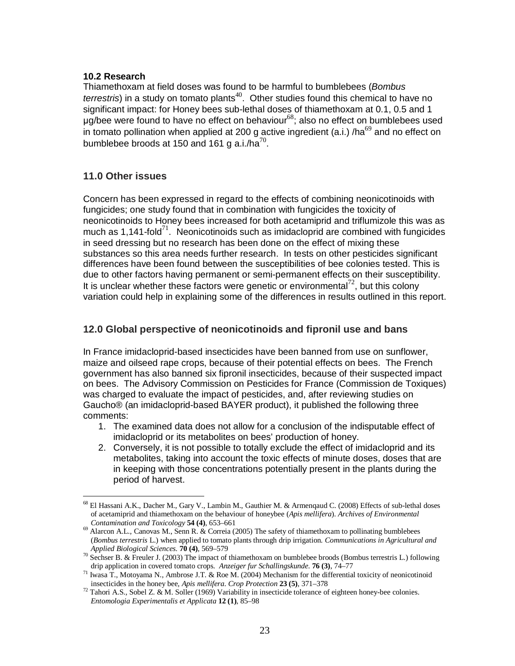### **10.2 Research**

Thiamethoxam at field doses was found to be harmful to bumblebees (Bombus terrestris) in a study on tomato plants<sup>40</sup>. Other studies found this chemical to have no significant impact: for Honey bees sub-lethal doses of thiamethoxam at 0.1, 0.5 and 1  $\mu$ g/bee were found to have no effect on behaviour<sup>68</sup>; also no effect on bumblebees used in tomato pollination when applied at 200 g active ingredient (a.i.) /ha<sup>69</sup> and no effect on bumblebee broods at 150 and 161 g a.i./ha $^{70}$ .

# **11.0 Other issues**

<u>.</u>

Concern has been expressed in regard to the effects of combining neonicotinoids with fungicides; one study found that in combination with fungicides the toxicity of neonicotinoids to Honey bees increased for both acetamiprid and triflumizole this was as much as 1,141-fold<sup>71</sup>. Neonicotinoids such as imidacloprid are combined with fungicides in seed dressing but no research has been done on the effect of mixing these substances so this area needs further research. In tests on other pesticides significant differences have been found between the susceptibilities of bee colonies tested. This is due to other factors having permanent or semi-permanent effects on their susceptibility. It is unclear whether these factors were genetic or environmental<sup>72</sup>, but this colony variation could help in explaining some of the differences in results outlined in this report.

# **12.0 Global perspective of neonicotinoids and fipronil use and bans**

In France imidacloprid-based insecticides have been banned from use on sunflower, maize and oilseed rape crops, because of their potential effects on bees. The French government has also banned six fipronil insecticides, because of their suspected impact on bees. The Advisory Commission on Pesticides for France (Commission de Toxiques) was charged to evaluate the impact of pesticides, and, after reviewing studies on Gaucho® (an imidacloprid-based BAYER product), it published the following three comments:

- 1. The examined data does not allow for a conclusion of the indisputable effect of imidacloprid or its metabolites on bees' production of honey.
- 2. Conversely, it is not possible to totally exclude the effect of imidacloprid and its metabolites, taking into account the toxic effects of minute doses, doses that are in keeping with those concentrations potentially present in the plants during the period of harvest.

<sup>68</sup> El Hassani A.K., Dacher M., Gary V., Lambin M., Gauthier M. & Armenqaud C. (2008) Effects of sub-lethal doses of acetamiprid and thiamethoxam on the behaviour of honeybee (*Apis mellifera*). *Archives of Environmental Contamination and Toxicology* **54 (4)**, 653–661

<sup>&</sup>lt;sup>69</sup> Alarcon A.L., Canovas M., Senn R. & Correia (2005) The safety of thiamethoxam to pollinating bumblebees (*Bombus terrestris* L.) when applied to tomato plants through drip irrigation. *Communications in Agricultural and Applied Biological Sciences.* **70 (4)**, 569–579

 $70$  Sechser B. & Freuler J. (2003) The impact of thiamethoxam on bumblebee broods (Bombus terrestris L.) following drip application in covered tomato crops. *Anzeiger fur Schallingskunde*. **76 (3)**, 74–77

 $71$  Iwasa T., Motoyama N., Ambrose J.T. & Roe M. (2004) Mechanism for the differential toxicity of neonicotinoid insecticides in the honey bee, *Apis mellifera*. *Crop Protection* **23 (5)**, 371–378

<sup>72</sup> Tahori A.S., Sobel Z. & M. Soller (1969) Variability in insecticide tolerance of eighteen honey-bee colonies. *Entomologia Experimentalis et Applicata* **12 (1)**, 85–98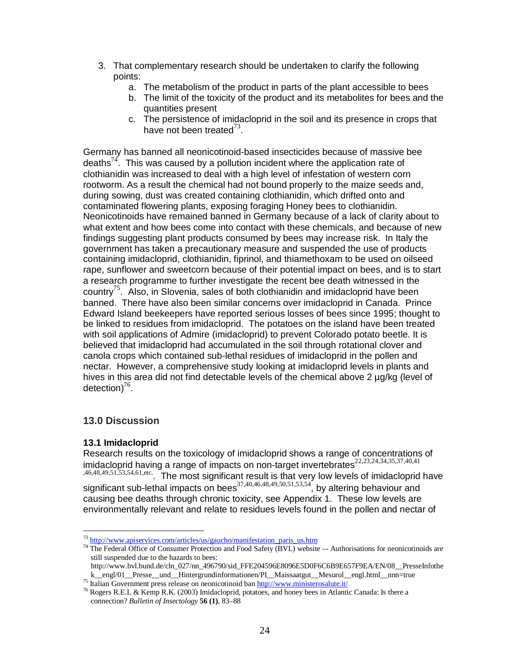- 3. That complementary research should be undertaken to clarify the following points:
	- a. The metabolism of the product in parts of the plant accessible to bees
	- b. The limit of the toxicity of the product and its metabolites for bees and the quantities present
	- c. The persistence of imidacloprid in the soil and its presence in crops that have not been treated $^{73}$ .

Germany has banned all neonicotinoid-based insecticides because of massive bee deaths<sup>74</sup>. This was caused by a pollution incident where the application rate of clothianidin was increased to deal with a high level of infestation of western corn rootworm. As a result the chemical had not bound properly to the maize seeds and, during sowing, dust was created containing clothianidin, which drifted onto and contaminated flowering plants, exposing foraging Honey bees to clothianidin. Neonicotinoids have remained banned in Germany because of a lack of clarity about to what extent and how bees come into contact with these chemicals, and because of new findings suggesting plant products consumed by bees may increase risk. In Italy the government has taken a precautionary measure and suspended the use of products containing imidacloprid, clothianidin, fiprinol, and thiamethoxam to be used on oilseed rape, sunflower and sweetcorn because of their potential impact on bees, and is to start a research programme to further investigate the recent bee death witnessed in the country<sup>75</sup>. Also, in Slovenia, sales of both clothianidin and imidacloprid have been banned. There have also been similar concerns over imidacloprid in Canada. Prince Edward Island beekeepers have reported serious losses of bees since 1995; thought to be linked to residues from imidacloprid. The potatoes on the island have been treated with soil applications of Admire (imidacloprid) to prevent Colorado potato beetle. It is believed that imidacloprid had accumulated in the soil through rotational clover and canola crops which contained sub-lethal residues of imidacloprid in the pollen and nectar. However, a comprehensive study looking at imidacloprid levels in plants and hives in this area did not find detectable levels of the chemical above 2  $\mu q/kg$  (level of detection) $^{76}$ .

# **13.0 Discussion**

## **13.1 Imidacloprid**

Research results on the toxicology of imidacloprid shows a range of concentrations of imidacloprid having a range of impacts on non-target invertebrates<sup>22,23,24,34,35,37,40,41</sup> ,46,48,49,51,53,54,61,etc.. The most significant result is that very low levels of imidacloprid have significant sub-lethal impacts on bees<sup>37,40,46,48,49,50,51,53,54</sup>, by altering behaviour and causing bee deaths through chronic toxicity, see Appendix 1. These low levels are environmentally relevant and relate to residues levels found in the pollen and nectar of

<sup>&</sup>lt;u>.</u> <sup>73</sup> http://www.apiservices.com/articles/us/gaucho/manifestation\_paris\_us.htm

<sup>&</sup>lt;sup>74</sup> The Federal Office of Consumer Protection and Food Safety (BVL) website –- Authorisations for neonicotinoids are still suspended due to the hazards to bees:

http://www.bvl.bund.de/cln\_027/nn\_496790/sid\_FFE204596E8096E5D0F6C6B9E657F9EA/EN/08\_\_PresseInfothe k engl/01 Presse und Hintergrundinformationen/PI Maissaatgut Mesurol engl.html nnn=true

<sup>75</sup> Italian Government press release on neonicotinoid ban http://www.ministerosalute.it/

<sup>76</sup> Rogers R.E.L & Kemp R.K. (2003) Imidacloprid, potatoes, and honey bees in Atlantic Canada: Is there a connection? *Bulletin of Insectology* **56 (1)**, 83–88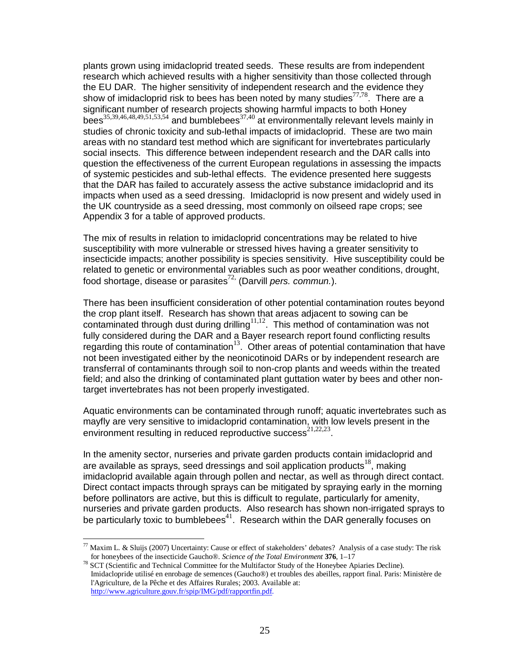plants grown using imidacloprid treated seeds. These results are from independent research which achieved results with a higher sensitivity than those collected through the EU DAR. The higher sensitivity of independent research and the evidence they show of imidacloprid risk to bees has been noted by many studies $^{77,78}$ . There are a significant number of research projects showing harmful impacts to both Honey bees<sup>35,39,46,48,49,51,53,54</sup> and bumblebees<sup>37,40</sup> at environmentally relevant levels mainly in studies of chronic toxicity and sub-lethal impacts of imidacloprid. These are two main areas with no standard test method which are significant for invertebrates particularly social insects. This difference between independent research and the DAR calls into question the effectiveness of the current European regulations in assessing the impacts of systemic pesticides and sub-lethal effects. The evidence presented here suggests that the DAR has failed to accurately assess the active substance imidacloprid and its impacts when used as a seed dressing. Imidacloprid is now present and widely used in the UK countryside as a seed dressing, most commonly on oilseed rape crops; see Appendix 3 for a table of approved products.

The mix of results in relation to imidacloprid concentrations may be related to hive susceptibility with more vulnerable or stressed hives having a greater sensitivity to insecticide impacts; another possibility is species sensitivity. Hive susceptibility could be related to genetic or environmental variables such as poor weather conditions, drought, food shortage, disease or parasites<sup>72,</sup> (Darvill pers. commun.).

There has been insufficient consideration of other potential contamination routes beyond the crop plant itself. Research has shown that areas adjacent to sowing can be contaminated through dust during drilling<sup>11,12</sup>. This method of contamination was not fully considered during the DAR and a Bayer research report found conflicting results regarding this route of contamination<sup>13</sup>. Other areas of potential contamination that have not been investigated either by the neonicotinoid DARs or by independent research are transferral of contaminants through soil to non-crop plants and weeds within the treated field; and also the drinking of contaminated plant guttation water by bees and other nontarget invertebrates has not been properly investigated.

Aquatic environments can be contaminated through runoff; aquatic invertebrates such as mayfly are very sensitive to imidacloprid contamination, with low levels present in the environment resulting in reduced reproductive success $^{21,22,23}$ .

In the amenity sector, nurseries and private garden products contain imidacloprid and are available as sprays, seed dressings and soil application products<sup>18</sup>, making imidacloprid available again through pollen and nectar, as well as through direct contact. Direct contact impacts through sprays can be mitigated by spraying early in the morning before pollinators are active, but this is difficult to regulate, particularly for amenity, nurseries and private garden products. Also research has shown non-irrigated sprays to be particularly toxic to bumblebees<sup>41</sup>. Research within the DAR generally focuses on

<u>.</u>

Maxim L. & Sluijs (2007) Uncertainty: Cause or effect of stakeholders' debates? Analysis of a case study: The risk for honeybees of the insecticide Gaucho®. *Science of the Total Environment* **376**, 1–17

<sup>78</sup> SCT (Scientific and Technical Committee for the Multifactor Study of the Honeybee Apiaries Decline). Imidaclopride utilisé en enrobage de semences (Gaucho®) et troubles des abeilles, rapport final. Paris: Ministère de l'Agriculture, de la Pêche et des Affaires Rurales; 2003. Available at: http://www.agriculture.gouv.fr/spip/IMG/pdf/rapportfin.pdf.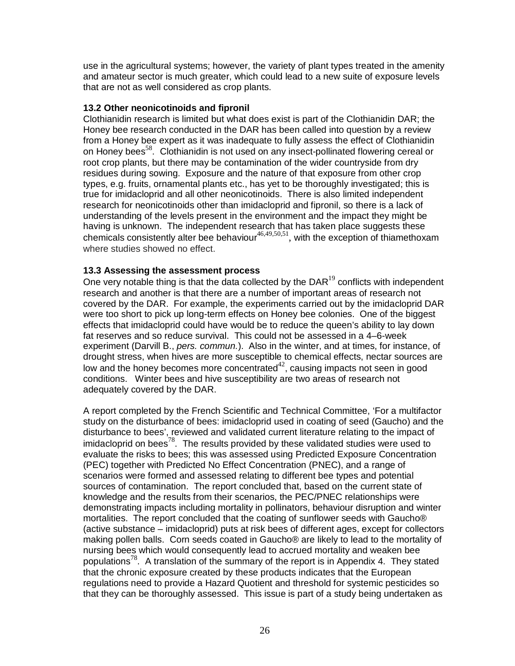use in the agricultural systems; however, the variety of plant types treated in the amenity and amateur sector is much greater, which could lead to a new suite of exposure levels that are not as well considered as crop plants.

#### **13.2 Other neonicotinoids and fipronil**

Clothianidin research is limited but what does exist is part of the Clothianidin DAR; the Honey bee research conducted in the DAR has been called into question by a review from a Honey bee expert as it was inadequate to fully assess the effect of Clothianidin on Honey bees<sup>58</sup>. Clothianidin is not used on any insect-pollinated flowering cereal or root crop plants, but there may be contamination of the wider countryside from dry residues during sowing. Exposure and the nature of that exposure from other crop types, e.g. fruits, ornamental plants etc., has yet to be thoroughly investigated; this is true for imidacloprid and all other neonicotinoids. There is also limited independent research for neonicotinoids other than imidacloprid and fipronil, so there is a lack of understanding of the levels present in the environment and the impact they might be having is unknown. The independent research that has taken place suggests these chemicals consistently alter bee behaviour $46,49,50,51$ , with the exception of thiamethoxam where studies showed no effect.

### **13.3 Assessing the assessment process**

One very notable thing is that the data collected by the  $DAR<sup>19</sup>$  conflicts with independent research and another is that there are a number of important areas of research not covered by the DAR. For example, the experiments carried out by the imidacloprid DAR were too short to pick up long-term effects on Honey bee colonies. One of the biggest effects that imidacloprid could have would be to reduce the queen's ability to lay down fat reserves and so reduce survival. This could not be assessed in a 4–6-week experiment (Darvill B., *pers. commun.*). Also in the winter, and at times, for instance, of drought stress, when hives are more susceptible to chemical effects, nectar sources are low and the honey becomes more concentrated $42$ , causing impacts not seen in good conditions. Winter bees and hive susceptibility are two areas of research not adequately covered by the DAR.

A report completed by the French Scientific and Technical Committee, 'For a multifactor study on the disturbance of bees: imidacloprid used in coating of seed (Gaucho) and the disturbance to bees', reviewed and validated current literature relating to the impact of imidacloprid on bees<sup>78</sup>. The results provided by these validated studies were used to evaluate the risks to bees; this was assessed using Predicted Exposure Concentration (PEC) together with Predicted No Effect Concentration (PNEC), and a range of scenarios were formed and assessed relating to different bee types and potential sources of contamination. The report concluded that, based on the current state of knowledge and the results from their scenarios, the PEC/PNEC relationships were demonstrating impacts including mortality in pollinators, behaviour disruption and winter mortalities. The report concluded that the coating of sunflower seeds with Gaucho® (active substance – imidacloprid) puts at risk bees of different ages, except for collectors making pollen balls. Corn seeds coated in Gaucho® are likely to lead to the mortality of nursing bees which would consequently lead to accrued mortality and weaken bee populations<sup>78</sup>. A translation of the summary of the report is in Appendix 4. They stated that the chronic exposure created by these products indicates that the European regulations need to provide a Hazard Quotient and threshold for systemic pesticides so that they can be thoroughly assessed. This issue is part of a study being undertaken as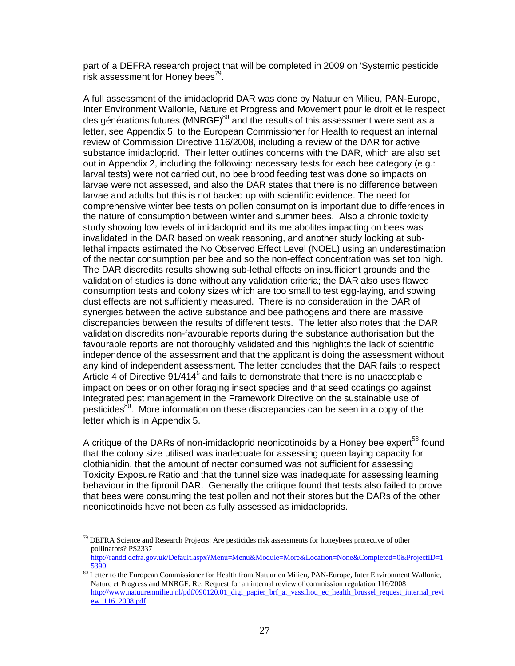part of a DEFRA research project that will be completed in 2009 on 'Systemic pesticide risk assessment for Honey bees<sup>79</sup>.

A full assessment of the imidacloprid DAR was done by Natuur en Milieu, PAN-Europe, Inter Environment Wallonie, Nature et Progress and Movement pour le droit et le respect des générations futures (MNRGF)<sup>80</sup> and the results of this assessment were sent as a letter, see Appendix 5, to the European Commissioner for Health to request an internal review of Commission Directive 116/2008, including a review of the DAR for active substance imidacloprid. Their letter outlines concerns with the DAR, which are also set out in Appendix 2, including the following: necessary tests for each bee category (e.g.: larval tests) were not carried out, no bee brood feeding test was done so impacts on larvae were not assessed, and also the DAR states that there is no difference between larvae and adults but this is not backed up with scientific evidence. The need for comprehensive winter bee tests on pollen consumption is important due to differences in the nature of consumption between winter and summer bees. Also a chronic toxicity study showing low levels of imidacloprid and its metabolites impacting on bees was invalidated in the DAR based on weak reasoning, and another study looking at sublethal impacts estimated the No Observed Effect Level (NOEL) using an underestimation of the nectar consumption per bee and so the non-effect concentration was set too high. The DAR discredits results showing sub-lethal effects on insufficient grounds and the validation of studies is done without any validation criteria; the DAR also uses flawed consumption tests and colony sizes which are too small to test egg-laying, and sowing dust effects are not sufficiently measured. There is no consideration in the DAR of synergies between the active substance and bee pathogens and there are massive discrepancies between the results of different tests. The letter also notes that the DAR validation discredits non-favourable reports during the substance authorisation but the favourable reports are not thoroughly validated and this highlights the lack of scientific independence of the assessment and that the applicant is doing the assessment without any kind of independent assessment. The letter concludes that the DAR fails to respect Article 4 of Directive 91/414<sup>6</sup> and fails to demonstrate that there is no unacceptable impact on bees or on other foraging insect species and that seed coatings go against integrated pest management in the Framework Directive on the sustainable use of pesticides<sup>80</sup>. More information on these discrepancies can be seen in a copy of the letter which is in Appendix 5.

A critique of the DARs of non-imidacloprid neonicotinoids by a Honey bee expert<sup>58</sup> found that the colony size utilised was inadequate for assessing queen laying capacity for clothianidin, that the amount of nectar consumed was not sufficient for assessing Toxicity Exposure Ratio and that the tunnel size was inadequate for assessing learning behaviour in the fipronil DAR. Generally the critique found that tests also failed to prove that bees were consuming the test pollen and not their stores but the DARs of the other neonicotinoids have not been as fully assessed as imidacloprids.

<sup>&</sup>lt;u>.</u>  $79$  DEFRA Science and Research Projects: Are pesticides risk assessments for honeybees protective of other pollinators? PS2337

http://randd.defra.gov.uk/Default.aspx?Menu=Menu&Module=More&Location=None&Completed=0&ProjectID=1 5390

<sup>80</sup> Letter to the European Commissioner for Health from Natuur en Milieu, PAN-Europe, Inter Environment Wallonie, Nature et Progress and MNRGF. Re: Request for an internal review of commission regulation 116/2008 http://www.natuurenmilieu.nl/pdf/090120.01\_digi\_papier\_brf\_a.\_vassiliou\_ec\_health\_brussel\_request\_internal\_revi ew\_116\_2008.pdf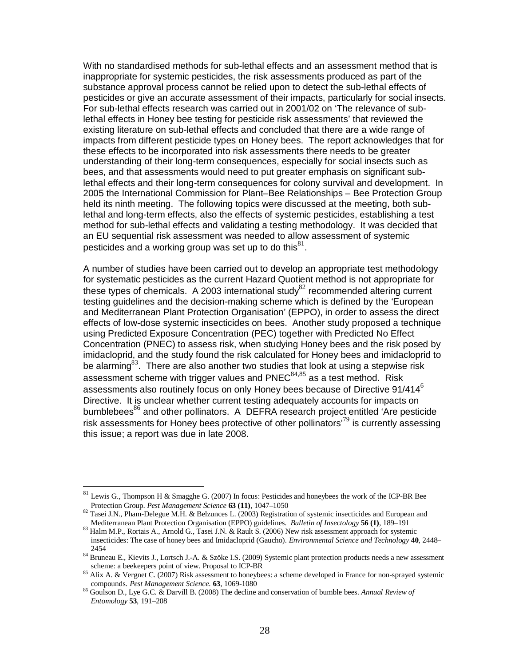With no standardised methods for sub-lethal effects and an assessment method that is inappropriate for systemic pesticides, the risk assessments produced as part of the substance approval process cannot be relied upon to detect the sub-lethal effects of pesticides or give an accurate assessment of their impacts, particularly for social insects. For sub-lethal effects research was carried out in 2001/02 on 'The relevance of sublethal effects in Honey bee testing for pesticide risk assessments' that reviewed the existing literature on sub-lethal effects and concluded that there are a wide range of impacts from different pesticide types on Honey bees. The report acknowledges that for these effects to be incorporated into risk assessments there needs to be greater understanding of their long-term consequences, especially for social insects such as bees, and that assessments would need to put greater emphasis on significant sublethal effects and their long-term consequences for colony survival and development. In 2005 the International Commission for Plant–Bee Relationships – Bee Protection Group held its ninth meeting. The following topics were discussed at the meeting, both sublethal and long-term effects, also the effects of systemic pesticides, establishing a test method for sub-lethal effects and validating a testing methodology. It was decided that an EU sequential risk assessment was needed to allow assessment of systemic pesticides and a working group was set up to do this $^{81}$ .

A number of studies have been carried out to develop an appropriate test methodology for systematic pesticides as the current Hazard Quotient method is not appropriate for these types of chemicals. A 2003 international study $82$  recommended altering current testing guidelines and the decision-making scheme which is defined by the 'European and Mediterranean Plant Protection Organisation' (EPPO), in order to assess the direct effects of low-dose systemic insecticides on bees. Another study proposed a technique using Predicted Exposure Concentration (PEC) together with Predicted No Effect Concentration (PNEC) to assess risk, when studying Honey bees and the risk posed by imidacloprid, and the study found the risk calculated for Honey bees and imidacloprid to be alarming $^{83}$ . There are also another two studies that look at using a stepwise risk assessment scheme with trigger values and  $PNEC^{84,85}$  as a test method. Risk assessments also routinely focus on only Honey bees because of Directive 91/414<sup>6</sup> Directive. It is unclear whether current testing adequately accounts for impacts on bumblebees<sup>86</sup> and other pollinators. A DEFRA research project entitled 'Are pesticide risk assessments for Honey bees protective of other pollinators<sup> $79$ </sup> is currently assessing this issue; a report was due in late 2008.

-

Lewis G., Thompson H & Smagghe G. (2007) In focus: Pesticides and honeybees the work of the ICP-BR Bee Protection Group. *Pest Management Science* **63 (11)**, 1047–1050

<sup>&</sup>lt;sup>82</sup> Tasei J.N., Pham-Delegue M.H. & Belzunces L. (2003) Registration of systemic insecticides and European and Mediterranean Plant Protection Organisation (EPPO) guidelines. *Bulletin of Insectology* **56 (1)**, 189–191

<sup>83</sup> Halm M.P., Rortais A., Arnold G., Tasei J.N. & Rault S. (2006) New risk assessment approach for systemic insecticides: The case of honey bees and Imidacloprid (Gaucho). *Environmental Science and Technology* **40**, 2448– 2454

<sup>&</sup>lt;sup>84</sup> Bruneau E., Kievits J., Lortsch J.-A. & Szöke I.S. (2009) Systemic plant protection products needs a new assessment scheme: a beekeepers point of view. Proposal to ICP-BR

<sup>&</sup>lt;sup>85</sup> Alix A. & Vergnet C. (2007) Risk assessment to honeybees: a scheme developed in France for non-sprayed systemic compounds. *Pest Management Science*. **63**, 1069-1080

<sup>86</sup> Goulson D., Lye G.C. & Darvill B. (2008) The decline and conservation of bumble bees. *Annual Review of Entomology* **53**, 191–208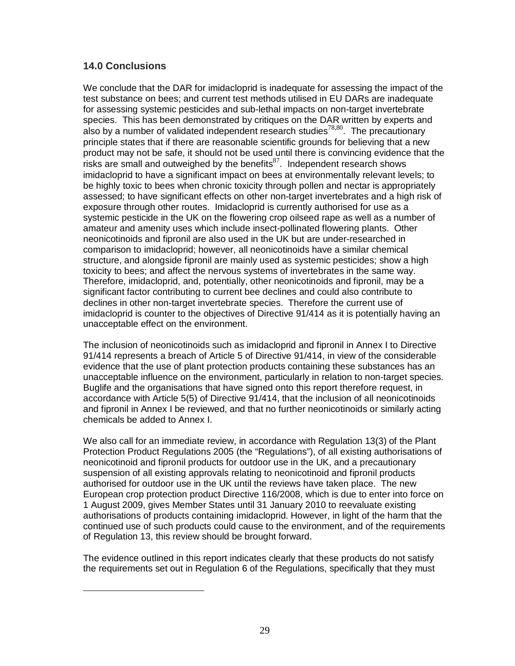# **14.0 Conclusions**

<u>.</u>

We conclude that the DAR for imidacloprid is inadequate for assessing the impact of the test substance on bees; and current test methods utilised in EU DARs are inadequate for assessing systemic pesticides and sub-lethal impacts on non-target invertebrate species. This has been demonstrated by critiques on the DAR written by experts and also by a number of validated independent research studies<sup>78,80</sup>. The precautionary principle states that if there are reasonable scientific grounds for believing that a new product may not be safe, it should not be used until there is convincing evidence that the risks are small and outweighed by the benefits $^{87}$ . Independent research shows imidacloprid to have a significant impact on bees at environmentally relevant levels; to be highly toxic to bees when chronic toxicity through pollen and nectar is appropriately assessed; to have significant effects on other non-target invertebrates and a high risk of exposure through other routes. Imidacloprid is currently authorised for use as a systemic pesticide in the UK on the flowering crop oilseed rape as well as a number of amateur and amenity uses which include insect-pollinated flowering plants. Other neonicotinoids and fipronil are also used in the UK but are under-researched in comparison to imidacloprid; however, all neonicotinoids have a similar chemical structure, and alongside fipronil are mainly used as systemic pesticides; show a high toxicity to bees; and affect the nervous systems of invertebrates in the same way. Therefore, imidacloprid, and, potentially, other neonicotinoids and fipronil, may be a significant factor contributing to current bee declines and could also contribute to declines in other non-target invertebrate species. Therefore the current use of imidacloprid is counter to the objectives of Directive 91/414 as it is potentially having an unacceptable effect on the environment.

The inclusion of neonicotinoids such as imidacloprid and fipronil in Annex I to Directive 91/414 represents a breach of Article 5 of Directive 91/414, in view of the considerable evidence that the use of plant protection products containing these substances has an unacceptable influence on the environment, particularly in relation to non-target species. Buglife and the organisations that have signed onto this report therefore request, in accordance with Article 5(5) of Directive 91/414, that the inclusion of all neonicotinoids and fipronil in Annex I be reviewed, and that no further neonicotinoids or similarly acting chemicals be added to Annex I.

We also call for an immediate review, in accordance with Regulation 13(3) of the Plant Protection Product Regulations 2005 (the "Regulations"), of all existing authorisations of neonicotinoid and fipronil products for outdoor use in the UK, and a precautionary suspension of all existing approvals relating to neonicotinoid and fipronil products authorised for outdoor use in the UK until the reviews have taken place. The new European crop protection product Directive 116/2008, which is due to enter into force on 1 August 2009, gives Member States until 31 January 2010 to reevaluate existing authorisations of products containing imidacloprid. However, in light of the harm that the continued use of such products could cause to the environment, and of the requirements of Regulation 13, this review should be brought forward.

The evidence outlined in this report indicates clearly that these products do not satisfy the requirements set out in Regulation 6 of the Regulations, specifically that they must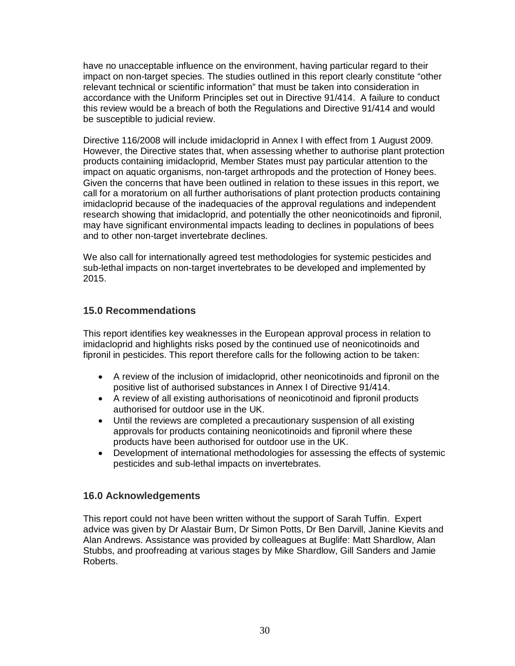have no unacceptable influence on the environment, having particular regard to their impact on non-target species. The studies outlined in this report clearly constitute "other relevant technical or scientific information" that must be taken into consideration in accordance with the Uniform Principles set out in Directive 91/414. A failure to conduct this review would be a breach of both the Regulations and Directive 91/414 and would be susceptible to judicial review.

Directive 116/2008 will include imidacloprid in Annex I with effect from 1 August 2009. However, the Directive states that, when assessing whether to authorise plant protection products containing imidacloprid, Member States must pay particular attention to the impact on aquatic organisms, non-target arthropods and the protection of Honey bees. Given the concerns that have been outlined in relation to these issues in this report, we call for a moratorium on all further authorisations of plant protection products containing imidacloprid because of the inadequacies of the approval regulations and independent research showing that imidacloprid, and potentially the other neonicotinoids and fipronil, may have significant environmental impacts leading to declines in populations of bees and to other non-target invertebrate declines.

We also call for internationally agreed test methodologies for systemic pesticides and sub-lethal impacts on non-target invertebrates to be developed and implemented by 2015.

# **15.0 Recommendations**

This report identifies key weaknesses in the European approval process in relation to imidacloprid and highlights risks posed by the continued use of neonicotinoids and fipronil in pesticides. This report therefore calls for the following action to be taken:

- A review of the inclusion of imidacloprid, other neonicotinoids and fipronil on the positive list of authorised substances in Annex I of Directive 91/414.
- A review of all existing authorisations of neonicotinoid and fipronil products authorised for outdoor use in the UK.
- Until the reviews are completed a precautionary suspension of all existing approvals for products containing neonicotinoids and fipronil where these products have been authorised for outdoor use in the UK.
- Development of international methodologies for assessing the effects of systemic pesticides and sub-lethal impacts on invertebrates.

## **16.0 Acknowledgements**

This report could not have been written without the support of Sarah Tuffin. Expert advice was given by Dr Alastair Burn, Dr Simon Potts, Dr Ben Darvill, Janine Kievits and Alan Andrews. Assistance was provided by colleagues at Buglife: Matt Shardlow, Alan Stubbs, and proofreading at various stages by Mike Shardlow, Gill Sanders and Jamie Roberts.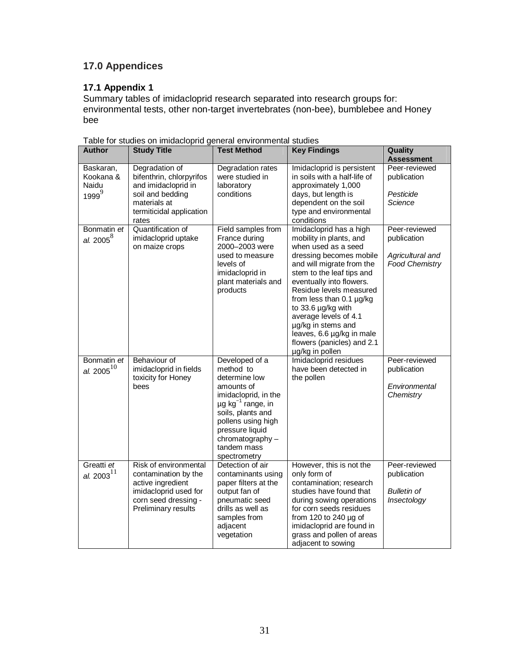# **17.0 Appendices**

## **17.1 Appendix 1**

Summary tables of imidacloprid research separated into research groups for: environmental tests, other non-target invertebrates (non-bee), bumblebee and Honey bee

| <b>Author</b>                               | <b>Study Title</b>                                                                                                                         | <b>Test Method</b>                                                                                                                                                                                                                       | <b>Key Findings</b>                                                                                                                                                                                                                                                                                                                                                                                       | Quality<br><b>Assessment</b>                                              |
|---------------------------------------------|--------------------------------------------------------------------------------------------------------------------------------------------|------------------------------------------------------------------------------------------------------------------------------------------------------------------------------------------------------------------------------------------|-----------------------------------------------------------------------------------------------------------------------------------------------------------------------------------------------------------------------------------------------------------------------------------------------------------------------------------------------------------------------------------------------------------|---------------------------------------------------------------------------|
| Baskaran,<br>Kookana &<br>Naidu<br>$1999^9$ | Degradation of<br>bifenthrin, chlorpyrifos<br>and imidacloprid in<br>soil and bedding<br>materials at<br>termiticidal application<br>rates | Degradation rates<br>were studied in<br>laboratory<br>conditions                                                                                                                                                                         | Imidacloprid is persistent<br>in soils with a half-life of<br>approximately 1,000<br>days, but length is<br>dependent on the soil<br>type and environmental<br>conditions                                                                                                                                                                                                                                 | Peer-reviewed<br>publication<br>Pesticide<br>Science                      |
| Bonmatin et<br>al. $2005^8$                 | Quantification of<br>imidacloprid uptake<br>on maize crops                                                                                 | Field samples from<br>France during<br>2000-2003 were<br>used to measure<br>levels of<br>imidacloprid in<br>plant materials and<br>products                                                                                              | Imidacloprid has a high<br>mobility in plants, and<br>when used as a seed<br>dressing becomes mobile<br>and will migrate from the<br>stem to the leaf tips and<br>eventually into flowers.<br>Residue levels measured<br>from less than $0.1 \mu g/kg$<br>to 33.6 µg/kg with<br>average levels of 4.1<br>µg/kg in stems and<br>leaves, 6.6 µg/kg in male<br>flowers (panicles) and 2.1<br>µg/kg in pollen | Peer-reviewed<br>publication<br>Agricultural and<br><b>Food Chemistry</b> |
| Bonmatin et<br>al. 2005 $^{10}$             | <b>Behaviour of</b><br>imidacloprid in fields<br>toxicity for Honey<br>bees                                                                | Developed of a<br>method to<br>determine low<br>amounts of<br>imidacloprid, in the<br>$\mu$ g kg <sup>-1</sup> range, in<br>soils, plants and<br>pollens using high<br>pressure liquid<br>chromatography-<br>tandem mass<br>spectrometry | Imidacloprid residues<br>have been detected in<br>the pollen                                                                                                                                                                                                                                                                                                                                              | Peer-reviewed<br>publication<br>Environmental<br>Chemistry                |
| Greatti et<br>al. $2003^{11}$               | Risk of environmental<br>contamination by the<br>active ingredient<br>imidacloprid used for<br>corn seed dressing -<br>Preliminary results | Detection of air<br>contaminants using<br>paper filters at the<br>output fan of<br>pneumatic seed<br>drills as well as<br>samples from<br>adjacent<br>vegetation                                                                         | However, this is not the<br>only form of<br>contamination; research<br>studies have found that<br>during sowing operations<br>for corn seeds residues<br>from 120 to 240 $\mu$ g of<br>imidacloprid are found in<br>grass and pollen of areas<br>adjacent to sowing                                                                                                                                       | Peer-reviewed<br>publication<br><b>Bulletin of</b><br>Insectology         |

Table for studies on imidacloprid general environmental studies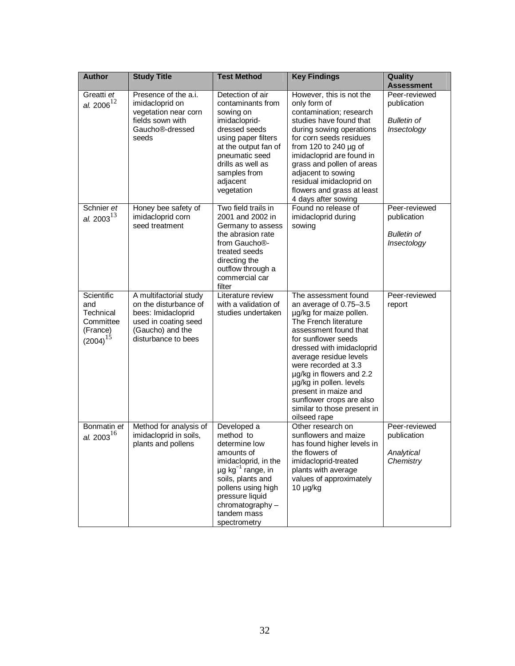| <b>Author</b>                                                            | <b>Study Title</b>                                                                                                                       | <b>Test Method</b>                                                                                                                                                                                                                     | <b>Key Findings</b>                                                                                                                                                                                                                                                                                                                                                                              | Quality<br><b>Assessment</b>                                      |
|--------------------------------------------------------------------------|------------------------------------------------------------------------------------------------------------------------------------------|----------------------------------------------------------------------------------------------------------------------------------------------------------------------------------------------------------------------------------------|--------------------------------------------------------------------------------------------------------------------------------------------------------------------------------------------------------------------------------------------------------------------------------------------------------------------------------------------------------------------------------------------------|-------------------------------------------------------------------|
| Greatti et<br>al. $2006^{12}$                                            | Presence of the a.i.<br>imidacloprid on<br>vegetation near corn<br>fields sown with<br>Gaucho <sup>®</sup> -dressed<br>seeds             | Detection of air<br>contaminants from<br>sowing on<br>imidacloprid-<br>dressed seeds<br>using paper filters<br>at the output fan of<br>pneumatic seed<br>drills as well as<br>samples from<br>adjacent<br>vegetation                   | However, this is not the<br>only form of<br>contamination; research<br>studies have found that<br>during sowing operations<br>for corn seeds residues<br>from 120 to 240 µg of<br>imidacloprid are found in<br>grass and pollen of areas<br>adjacent to sowing<br>residual imidacloprid on<br>flowers and grass at least<br>4 days after sowing                                                  | Peer-reviewed<br>publication<br><b>Bulletin of</b><br>Insectology |
| Schnier et<br>al. 2003 $^{13}$                                           | Honey bee safety of<br>imidacloprid corn<br>seed treatment                                                                               | Two field trails in<br>2001 and 2002 in<br>Germany to assess<br>the abrasion rate<br>from Gaucho®-<br>treated seeds<br>directing the<br>outflow through a<br>commercial car<br>filter                                                  | Found no release of<br>imidacloprid during<br>sowing                                                                                                                                                                                                                                                                                                                                             | Peer-reviewed<br>publication<br><b>Bulletin of</b><br>Insectology |
| Scientific<br>and<br>Technical<br>Committee<br>(France)<br>$(2004)^{15}$ | A multifactorial study<br>on the disturbance of<br>bees: Imidacloprid<br>used in coating seed<br>(Gaucho) and the<br>disturbance to bees | Literature review<br>with a validation of<br>studies undertaken                                                                                                                                                                        | The assessment found<br>an average of 0.75-3.5<br>µg/kg for maize pollen.<br>The French literature<br>assessment found that<br>for sunflower seeds<br>dressed with imidacloprid<br>average residue levels<br>were recorded at 3.3<br>$\mu$ g/kg in flowers and 2.2<br>µg/kg in pollen. levels<br>present in maize and<br>sunflower crops are also<br>similar to those present in<br>oilseed rape | Peer-reviewed<br>report                                           |
| Bonmatin et<br>al. 2003 $^{16}$                                          | Method for analysis of<br>imidacloprid in soils,<br>plants and pollens                                                                   | Developed a<br>method to<br>determine low<br>amounts of<br>imidacloprid, in the<br>$\mu$ g kg <sup>-1</sup> range, in<br>soils, plants and<br>pollens using high<br>pressure liquid<br>chromatography -<br>tandem mass<br>spectrometry | Other research on<br>sunflowers and maize<br>has found higher levels in<br>the flowers of<br>imidacloprid-treated<br>plants with average<br>values of approximately<br>$10 \mu g/kg$                                                                                                                                                                                                             | Peer-reviewed<br>publication<br>Analytical<br>Chemistry           |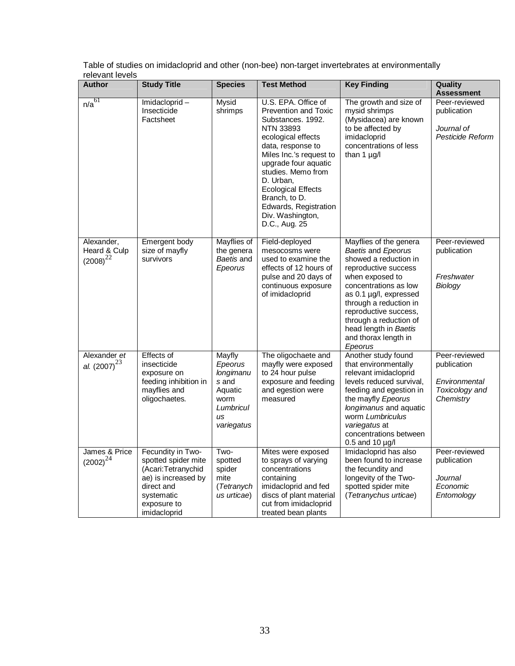Table of studies on imidacloprid and other (non-bee) non-target invertebrates at environmentally relevant levels

| <b>Author</b>                               | <b>Study Title</b>                                                                                                                                | <b>Species</b>                                                                              | <b>Test Method</b>                                                                                                                                                                                                                                                                                                                       | <b>Key Finding</b>                                                                                                                                                                                                                                                                                           | Quality<br><b>Assessment</b>                                                 |
|---------------------------------------------|---------------------------------------------------------------------------------------------------------------------------------------------------|---------------------------------------------------------------------------------------------|------------------------------------------------------------------------------------------------------------------------------------------------------------------------------------------------------------------------------------------------------------------------------------------------------------------------------------------|--------------------------------------------------------------------------------------------------------------------------------------------------------------------------------------------------------------------------------------------------------------------------------------------------------------|------------------------------------------------------------------------------|
| n/a <sup>61</sup>                           | Imidacloprid-<br>Insecticide<br>Factsheet                                                                                                         | Mysid<br>shrimps                                                                            | U.S. EPA. Office of<br><b>Prevention and Toxic</b><br>Substances. 1992.<br><b>NTN 33893</b><br>ecological effects<br>data, response to<br>Miles Inc.'s request to<br>upgrade four aquatic<br>studies. Memo from<br>D. Urban,<br><b>Ecological Effects</b><br>Branch, to D.<br>Edwards, Registration<br>Div. Washington,<br>D.C., Aug. 25 | The growth and size of<br>mysid shrimps<br>(Mysidacea) are known<br>to be affected by<br>imidacloprid<br>concentrations of less<br>than $1 \mu g/l$                                                                                                                                                          | Peer-reviewed<br>publication<br>Journal of<br>Pesticide Reform               |
| Alexander,<br>Heard & Culp<br>$(2008)^{22}$ | Emergent body<br>size of mayfly<br>survivors                                                                                                      | Mayflies of<br>the genera<br>Baetis and<br>Epeorus                                          | Field-deployed<br>mesocosms were<br>used to examine the<br>effects of 12 hours of<br>pulse and 20 days of<br>continuous exposure<br>of imidacloprid                                                                                                                                                                                      | Mayflies of the genera<br>Baetis and Epeorus<br>showed a reduction in<br>reproductive success<br>when exposed to<br>concentrations as low<br>as 0.1 µg/l, expressed<br>through a reduction in<br>reproductive success,<br>through a reduction of<br>head length in Baetis<br>and thorax length in<br>Epeorus | Peer-reviewed<br>publication<br>Freshwater<br>Biology                        |
| Alexander et<br>al. $(2007)^{23}$           | Effects of<br>insecticide<br>exposure on<br>feeding inhibition in<br>mayflies and<br>oligochaetes.                                                | Mayfly<br>Epeorus<br>longimanu<br>s and<br>Aquatic<br>worm<br>Lumbricul<br>us<br>variegatus | The oligochaete and<br>mayfly were exposed<br>to 24 hour pulse<br>exposure and feeding<br>and egestion were<br>measured                                                                                                                                                                                                                  | Another study found<br>that environmentally<br>relevant imidacloprid<br>levels reduced survival,<br>feeding and egestion in<br>the mayfly Epeorus<br>longimanus and aquatic<br>worm Lumbriculus<br>variegatus at<br>concentrations between<br>$0.5$ and 10 $\mu$ g/l                                         | Peer-reviewed<br>publication<br>Environmental<br>Toxicology and<br>Chemistry |
| James & Price<br>$(2002)^{24}$              | Fecundity in Two-<br>spotted spider mite<br>(Acari: Tetranychid<br>ae) is increased by<br>direct and<br>systematic<br>exposure to<br>imidacloprid | Two-<br>spotted<br>spider<br>mite<br>(Tetranych<br>us urticae)                              | Mites were exposed<br>to sprays of varying<br>concentrations<br>containing<br>imidacloprid and fed<br>discs of plant material<br>cut from imidacloprid<br>treated bean plants                                                                                                                                                            | Imidacloprid has also<br>been found to increase<br>the fecundity and<br>longevity of the Two-<br>spotted spider mite<br>(Tetranychus urticae)                                                                                                                                                                | Peer-reviewed<br>publication<br>Journal<br>Economic<br>Entomology            |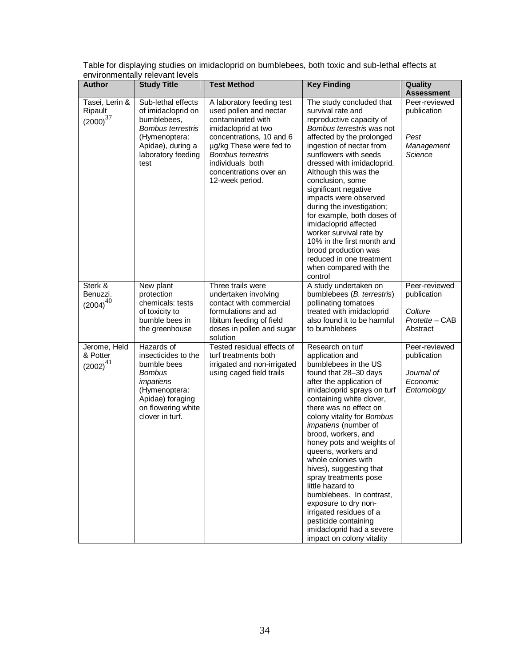| <b>Author</b>                                | Christianichially TCIC vanticvCIS<br><b>Study Title</b>                                                                                                      | <b>Test Method</b>                                                                                                                                                                                                                                  | <b>Key Finding</b>                                                                                                                                                                                                                                                                                                                                                                                                                                                                                                                                                                                     | Quality                                                               |
|----------------------------------------------|--------------------------------------------------------------------------------------------------------------------------------------------------------------|-----------------------------------------------------------------------------------------------------------------------------------------------------------------------------------------------------------------------------------------------------|--------------------------------------------------------------------------------------------------------------------------------------------------------------------------------------------------------------------------------------------------------------------------------------------------------------------------------------------------------------------------------------------------------------------------------------------------------------------------------------------------------------------------------------------------------------------------------------------------------|-----------------------------------------------------------------------|
|                                              |                                                                                                                                                              |                                                                                                                                                                                                                                                     |                                                                                                                                                                                                                                                                                                                                                                                                                                                                                                                                                                                                        | <b>Assessment</b>                                                     |
| Tasei, Lerin &<br>Ripault<br>${(2000)}^{37}$ | Sub-lethal effects<br>of imidacloprid on<br>bumblebees,<br><b>Bombus terrestris</b><br>(Hymenoptera:<br>Apidae), during a<br>laboratory feeding<br>test      | A laboratory feeding test<br>used pollen and nectar<br>contaminated with<br>imidacloprid at two<br>concentrations, 10 and 6<br>µg/kg These were fed to<br><b>Bombus terrestris</b><br>individuals both<br>concentrations over an<br>12-week period. | The study concluded that<br>survival rate and<br>reproductive capacity of<br>Bombus terrestris was not<br>affected by the prolonged<br>ingestion of nectar from<br>sunflowers with seeds<br>dressed with imidacloprid.<br>Although this was the<br>conclusion, some<br>significant negative<br>impacts were observed<br>during the investigation;<br>for example, both doses of<br>imidacloprid affected<br>worker survival rate by<br>10% in the first month and<br>brood production was<br>reduced in one treatment<br>when compared with the<br>control                                             | Peer-reviewed<br>publication<br>Pest<br>Management<br>Science         |
| Sterk &<br>Benuzzi.<br>$(2004)^{40}$         | New plant<br>protection<br>chemicals: tests<br>of toxicity to<br>bumble bees in<br>the greenhouse                                                            | Three trails were<br>undertaken involving<br>contact with commercial<br>formulations and ad<br>libitum feeding of field<br>doses in pollen and sugar<br>solution                                                                                    | A study undertaken on<br>bumblebees (B. terrestris)<br>pollinating tomatoes<br>treated with imidacloprid<br>also found it to be harmful<br>to bumblebees                                                                                                                                                                                                                                                                                                                                                                                                                                               | Peer-reviewed<br>publication<br>Colture<br>Protette - CAB<br>Abstract |
| Jerome, Held<br>& Potter<br>$(2002)^{41}$    | Hazards of<br>insecticides to the<br>bumble bees<br><b>Bombus</b><br>impatiens<br>(Hymenoptera:<br>Apidae) foraging<br>on flowering white<br>clover in turf. | Tested residual effects of<br>turf treatments both<br>irrigated and non-irrigated<br>using caged field trails                                                                                                                                       | Research on turf<br>application and<br>bumblebees in the US<br>found that 28-30 days<br>after the application of<br>imidacloprid sprays on turf<br>containing white clover,<br>there was no effect on<br>colony vitality for Bombus<br>impatiens (number of<br>brood, workers, and<br>honey pots and weights of<br>queens, workers and<br>whole colonies with<br>hives), suggesting that<br>spray treatments pose<br>little hazard to<br>bumblebees. In contrast,<br>exposure to dry non-<br>irrigated residues of a<br>pesticide containing<br>imidacloprid had a severe<br>impact on colony vitality | Peer-reviewed<br>publication<br>Journal of<br>Economic<br>Entomology  |

Table for displaying studies on imidacloprid on bumblebees, both toxic and sub-lethal effects at environmentally relevant levels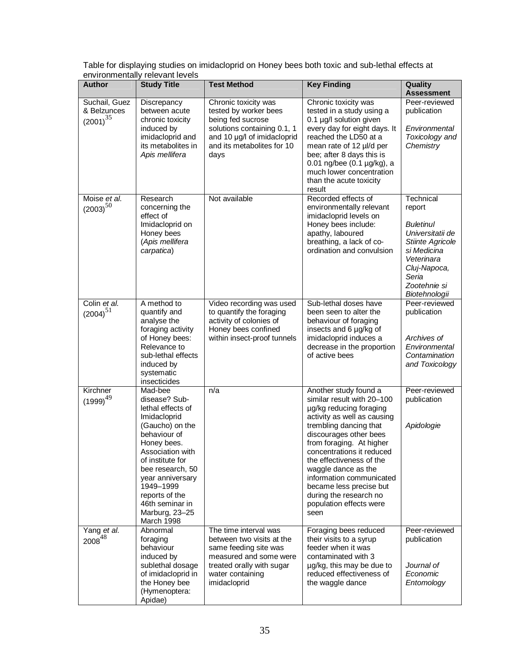| ~~~~~~~~~~~~<br><b>Author</b>                 | 1010 <b>1011 1101</b><br><b>Study Title</b>                                                                                                                                                                                                                                       | <b>Test Method</b>                                                                                                                                                     | <b>Key Finding</b>                                                                                                                                                                                                                                                                                                                                                                                | Quality<br><b>Assessment</b>                                                                                                                                           |
|-----------------------------------------------|-----------------------------------------------------------------------------------------------------------------------------------------------------------------------------------------------------------------------------------------------------------------------------------|------------------------------------------------------------------------------------------------------------------------------------------------------------------------|---------------------------------------------------------------------------------------------------------------------------------------------------------------------------------------------------------------------------------------------------------------------------------------------------------------------------------------------------------------------------------------------------|------------------------------------------------------------------------------------------------------------------------------------------------------------------------|
| Suchail, Guez<br>& Belzunces<br>$(2001)^{35}$ | Discrepancy<br>between acute<br>chronic toxicity<br>induced by<br>imidacloprid and<br>its metabolites in<br>Apis mellifera                                                                                                                                                        | Chronic toxicity was<br>tested by worker bees<br>being fed sucrose<br>solutions containing 0.1, 1<br>and 10 µg/l of imidacloprid<br>and its metabolites for 10<br>days | Chronic toxicity was<br>tested in a study using a<br>0.1 µg/l solution given<br>every day for eight days. It<br>reached the LD50 at a<br>mean rate of 12 µl/d per<br>bee; after 8 days this is<br>0.01 ng/bee $(0.1 \mu g/kg)$ , a<br>much lower concentration<br>than the acute toxicity<br>result                                                                                               | Peer-reviewed<br>publication<br>Environmental<br>Toxicology and<br>Chemistry                                                                                           |
| Moise et al.<br>$(2003)^{50}$                 | Research<br>concerning the<br>effect of<br>Imidacloprid on<br>Honey bees<br>(Apis mellifera<br>carpatica)                                                                                                                                                                         | Not available                                                                                                                                                          | Recorded effects of<br>environmentally relevant<br>imidacloprid levels on<br>Honey bees include:<br>apathy, laboured<br>breathing, a lack of co-<br>ordination and convulsion                                                                                                                                                                                                                     | Technical<br>report<br><b>Buletinul</b><br>Universitatii de<br>Stiinte Agricole<br>si Medicina<br>Veterinara<br>Cluj-Napoca,<br>Seria<br>Zootehnie si<br>Biotehnologii |
| Colin et al.<br>$(2004)^{51}$                 | A method to<br>quantify and<br>analyse the<br>foraging activity<br>of Honey bees:<br>Relevance to<br>sub-lethal effects<br>induced by<br>systematic<br>insecticides                                                                                                               | Video recording was used<br>to quantify the foraging<br>activity of colonies of<br>Honey bees confined<br>within insect-proof tunnels                                  | Sub-lethal doses have<br>been seen to alter the<br>behaviour of foraging<br>insects and 6 µg/kg of<br>imidacloprid induces a<br>decrease in the proportion<br>of active bees                                                                                                                                                                                                                      | Peer-reviewed<br>publication<br>Archives of<br>Environmental<br>Contamination<br>and Toxicology                                                                        |
| Kirchner<br>$(1999)^{49}$                     | Mad-bee<br>disease? Sub-<br>lethal effects of<br>Imidacloprid<br>(Gaucho) on the<br>behaviour of<br>Honey bees.<br>Association with<br>of institute for<br>bee research, 50<br>year anniversary<br>1949-1999<br>reports of the<br>46th seminar in<br>Marburg, 23-25<br>March 1998 | n/a                                                                                                                                                                    | Another study found a<br>similar result with 20-100<br>µg/kg reducing foraging<br>activity as well as causing<br>trembling dancing that<br>discourages other bees<br>from foraging. At higher<br>concentrations it reduced<br>the effectiveness of the<br>waggle dance as the<br>information communicated<br>became less precise but<br>during the research no<br>population effects were<br>seen | Peer-reviewed<br>publication<br>Apidologie                                                                                                                             |
| Yang et al.<br>$2008^{48}$                    | Abnormal<br>foraging<br>behaviour<br>induced by<br>sublethal dosage<br>of imidacloprid in<br>the Honey bee<br>(Hymenoptera:<br>Apidae)                                                                                                                                            | The time interval was<br>between two visits at the<br>same feeding site was<br>measured and some were<br>treated orally with sugar<br>water containing<br>imidacloprid | Foraging bees reduced<br>their visits to a syrup<br>feeder when it was<br>contaminated with 3<br>µg/kg, this may be due to<br>reduced effectiveness of<br>the waggle dance                                                                                                                                                                                                                        | Peer-reviewed<br>publication<br>Journal of<br>Economic<br>Entomology                                                                                                   |

Table for displaying studies on imidacloprid on Honey bees both toxic and sub-lethal effects at environmentally relevant levels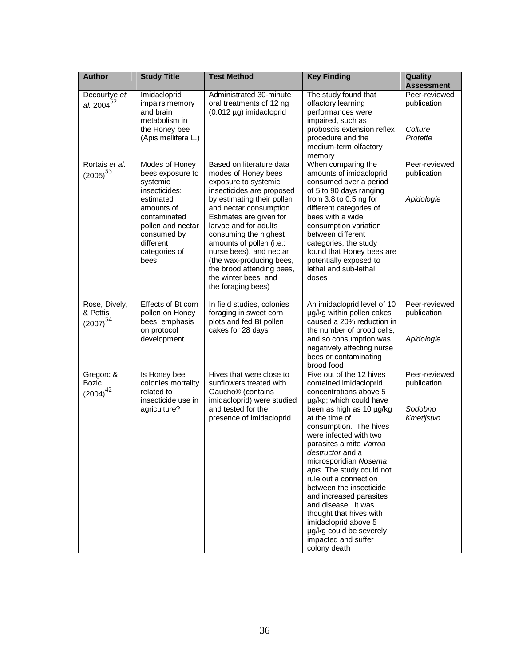| <b>Author</b>                              | <b>Study Title</b>                                                                                                                                                                   | <b>Test Method</b>                                                                                                                                                                                                                                                                                                                                                                                       | <b>Key Finding</b>                                                                                                                                                                                                                                                                                                                                                                                                                                                                                                                        | Quality<br><b>Assessment</b>                          |
|--------------------------------------------|--------------------------------------------------------------------------------------------------------------------------------------------------------------------------------------|----------------------------------------------------------------------------------------------------------------------------------------------------------------------------------------------------------------------------------------------------------------------------------------------------------------------------------------------------------------------------------------------------------|-------------------------------------------------------------------------------------------------------------------------------------------------------------------------------------------------------------------------------------------------------------------------------------------------------------------------------------------------------------------------------------------------------------------------------------------------------------------------------------------------------------------------------------------|-------------------------------------------------------|
| Decourtye et<br>al. $2004^{52}$            | Imidacloprid<br>impairs memory<br>and brain<br>metabolism in<br>the Honey bee<br>(Apis mellifera L.)                                                                                 | Administrated 30-minute<br>oral treatments of 12 ng<br>$(0.012 \mu g)$ imidacloprid                                                                                                                                                                                                                                                                                                                      | The study found that<br>olfactory learning<br>performances were<br>impaired, such as<br>proboscis extension reflex<br>procedure and the<br>medium-term olfactory<br>memory                                                                                                                                                                                                                                                                                                                                                                | Peer-reviewed<br>publication<br>Colture<br>Protette   |
| Rortais et al.<br>$(2005)^{53}$            | Modes of Honey<br>bees exposure to<br>systemic<br>insecticides:<br>estimated<br>amounts of<br>contaminated<br>pollen and nectar<br>consumed by<br>different<br>categories of<br>bees | Based on literature data<br>modes of Honey bees<br>exposure to systemic<br>insecticides are proposed<br>by estimating their pollen<br>and nectar consumption.<br>Estimates are given for<br>larvae and for adults<br>consuming the highest<br>amounts of pollen (i.e.:<br>nurse bees), and nectar<br>(the wax-producing bees,<br>the brood attending bees,<br>the winter bees, and<br>the foraging bees) | When comparing the<br>amounts of imidacloprid<br>consumed over a period<br>of 5 to 90 days ranging<br>from 3.8 to 0.5 ng for<br>different categories of<br>bees with a wide<br>consumption variation<br>between different<br>categories, the study<br>found that Honey bees are<br>potentially exposed to<br>lethal and sub-lethal<br>doses                                                                                                                                                                                               | Peer-reviewed<br>publication<br>Apidologie            |
| Rose, Dively,<br>& Pettis<br>$(2007)^{54}$ | Effects of Bt corn<br>pollen on Honey<br>bees: emphasis<br>on protocol<br>development                                                                                                | In field studies, colonies<br>foraging in sweet corn<br>plots and fed Bt pollen<br>cakes for 28 days                                                                                                                                                                                                                                                                                                     | An imidacloprid level of 10<br>µg/kg within pollen cakes<br>caused a 20% reduction in<br>the number of brood cells,<br>and so consumption was<br>negatively affecting nurse<br>bees or contaminating<br>brood food                                                                                                                                                                                                                                                                                                                        | Peer-reviewed<br>publication<br>Apidologie            |
| Gregorc &<br><b>Bozic</b><br>$(2004)^{42}$ | Is Honey bee<br>colonies mortality<br>related to<br>insecticide use in<br>agriculture?                                                                                               | Hives that were close to<br>sunflowers treated with<br>Gaucho <sup>®</sup> (contains<br>imidacloprid) were studied<br>and tested for the<br>presence of imidacloprid                                                                                                                                                                                                                                     | Five out of the 12 hives<br>contained imidacloprid<br>concentrations above 5<br>µg/kg; which could have<br>been as high as 10 µg/kg<br>at the time of<br>consumption. The hives<br>were infected with two<br>parasites a mite Varroa<br>destructor and a<br>microsporidian Nosema<br>apis. The study could not<br>rule out a connection<br>between the insecticide<br>and increased parasites<br>and disease. It was<br>thought that hives with<br>imidacloprid above 5<br>µg/kg could be severely<br>impacted and suffer<br>colony death | Peer-reviewed<br>publication<br>Sodobno<br>Kmetijstvo |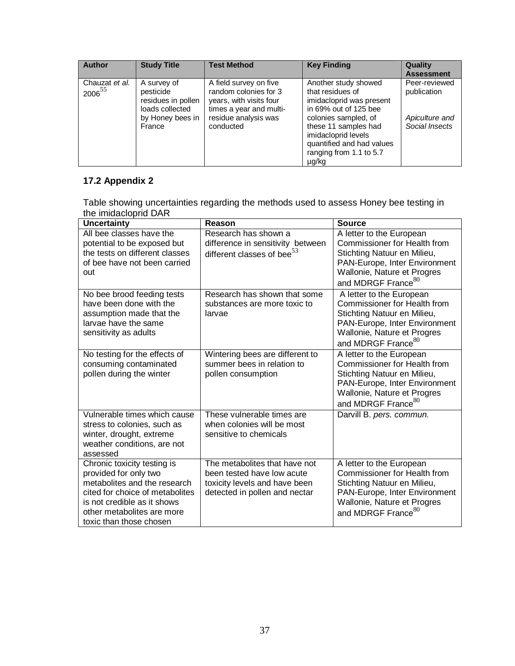| <b>Author</b>                        | <b>Study Title</b>                                                                              | <b>Test Method</b>                                                                                                                         | <b>Key Finding</b>                                                                                                                                                                                                                    | Quality<br><b>Assessment</b>                                     |
|--------------------------------------|-------------------------------------------------------------------------------------------------|--------------------------------------------------------------------------------------------------------------------------------------------|---------------------------------------------------------------------------------------------------------------------------------------------------------------------------------------------------------------------------------------|------------------------------------------------------------------|
| Chauzat et al.<br>2006 <sup>55</sup> | A survey of<br>pesticide<br>residues in pollen<br>loads collected<br>by Honey bees in<br>France | A field survey on five<br>random colonies for 3<br>years, with visits four<br>times a year and multi-<br>residue analysis was<br>conducted | Another study showed<br>that residues of<br>imidacloprid was present<br>in 69% out of 125 bee<br>colonies sampled, of<br>these 11 samples had<br>imidacloprid levels<br>quantified and had values<br>ranging from 1.1 to 5.7<br>µg/kg | Peer-reviewed<br>publication<br>Apiculture and<br>Social Insects |

# **17.2 Appendix 2**

Table showing uncertainties regarding the methods used to assess Honey bee testing in the imidacloprid DAR

| Uncertainty                                                                                                                                                                                                     | Reason                                                                                                                        | <b>Source</b>                                                                                                                                                                                    |
|-----------------------------------------------------------------------------------------------------------------------------------------------------------------------------------------------------------------|-------------------------------------------------------------------------------------------------------------------------------|--------------------------------------------------------------------------------------------------------------------------------------------------------------------------------------------------|
| All bee classes have the<br>potential to be exposed but<br>the tests on different classes<br>of bee have not been carried<br>out                                                                                | Research has shown a<br>difference in sensitivity between<br>different classes of bee <sup>53</sup>                           | A letter to the European<br>Commissioner for Health from<br>Stichting Natuur en Milieu,<br>PAN-Europe, Inter Environment<br>Wallonie, Nature et Progres<br>and MDRGF France <sup>80</sup>        |
| No bee brood feeding tests<br>have been done with the<br>assumption made that the<br>larvae have the same<br>sensitivity as adults                                                                              | Research has shown that some<br>substances are more toxic to<br>larvae                                                        | A letter to the European<br><b>Commissioner for Health from</b><br>Stichting Natuur en Milieu,<br>PAN-Europe, Inter Environment<br>Wallonie, Nature et Progres<br>and MDRGF France <sup>80</sup> |
| No testing for the effects of<br>consuming contaminated<br>pollen during the winter                                                                                                                             | Wintering bees are different to<br>summer bees in relation to<br>pollen consumption                                           | A letter to the European<br><b>Commissioner for Health from</b><br>Stichting Natuur en Milieu,<br>PAN-Europe, Inter Environment<br>Wallonie, Nature et Progres<br>and MDRGF France <sup>80</sup> |
| Vulnerable times which cause<br>stress to colonies, such as<br>winter, drought, extreme<br>weather conditions, are not<br>assessed                                                                              | These vulnerable times are<br>when colonies will be most<br>sensitive to chemicals                                            | Darvill B. pers. commun.                                                                                                                                                                         |
| Chronic toxicity testing is<br>provided for only two<br>metabolites and the research<br>cited for choice of metabolites<br>is not credible as it shows<br>other metabolites are more<br>toxic than those chosen | The metabolites that have not<br>been tested have low acute<br>toxicity levels and have been<br>detected in pollen and nectar | A letter to the European<br>Commissioner for Health from<br>Stichting Natuur en Milieu,<br>PAN-Europe, Inter Environment<br>Wallonie, Nature et Progres<br>and MDRGF France <sup>80</sup>        |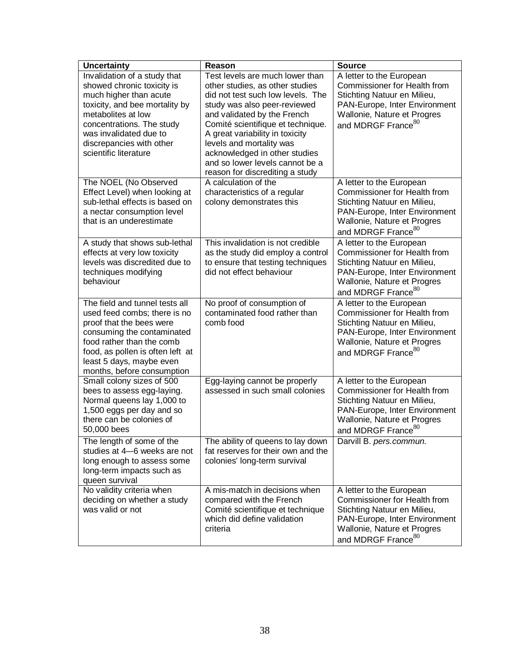| <b>Uncertainty</b>                                                                                                                                                                                                                                       | Reason                                                                                                                                                                                                                                                                                                                                                                            | <b>Source</b>                                                                                                                                                                                    |
|----------------------------------------------------------------------------------------------------------------------------------------------------------------------------------------------------------------------------------------------------------|-----------------------------------------------------------------------------------------------------------------------------------------------------------------------------------------------------------------------------------------------------------------------------------------------------------------------------------------------------------------------------------|--------------------------------------------------------------------------------------------------------------------------------------------------------------------------------------------------|
| Invalidation of a study that<br>showed chronic toxicity is<br>much higher than acute<br>toxicity, and bee mortality by<br>metabolites at low<br>concentrations. The study<br>was invalidated due to<br>discrepancies with other<br>scientific literature | Test levels are much lower than<br>other studies, as other studies<br>did not test such low levels. The<br>study was also peer-reviewed<br>and validated by the French<br>Comité scientifique et technique.<br>A great variability in toxicity<br>levels and mortality was<br>acknowledged in other studies<br>and so lower levels cannot be a<br>reason for discrediting a study | A letter to the European<br><b>Commissioner for Health from</b><br>Stichting Natuur en Milieu,<br>PAN-Europe, Inter Environment<br>Wallonie, Nature et Progres<br>and MDRGF France <sup>80</sup> |
| The NOEL (No Observed<br>Effect Level) when looking at<br>sub-lethal effects is based on<br>a nectar consumption level<br>that is an underestimate                                                                                                       | A calculation of the<br>characteristics of a regular<br>colony demonstrates this                                                                                                                                                                                                                                                                                                  | A letter to the European<br><b>Commissioner for Health from</b><br>Stichting Natuur en Milieu,<br>PAN-Europe, Inter Environment<br>Wallonie, Nature et Progres<br>and MDRGF France <sup>80</sup> |
| A study that shows sub-lethal<br>effects at very low toxicity<br>levels was discredited due to<br>techniques modifying<br>behaviour                                                                                                                      | This invalidation is not credible<br>as the study did employ a control<br>to ensure that testing techniques<br>did not effect behaviour                                                                                                                                                                                                                                           | A letter to the European<br><b>Commissioner for Health from</b><br>Stichting Natuur en Milieu,<br>PAN-Europe, Inter Environment<br>Wallonie, Nature et Progres<br>and MDRGF France <sup>80</sup> |
| The field and tunnel tests all<br>used feed combs; there is no<br>proof that the bees were<br>consuming the contaminated<br>food rather than the comb<br>food, as pollen is often left at<br>least 5 days, maybe even<br>months, before consumption      | No proof of consumption of<br>contaminated food rather than<br>comb food                                                                                                                                                                                                                                                                                                          | A letter to the European<br><b>Commissioner for Health from</b><br>Stichting Natuur en Milieu,<br>PAN-Europe, Inter Environment<br>Wallonie, Nature et Progres<br>and MDRGF France <sup>80</sup> |
| Small colony sizes of 500<br>bees to assess egg-laying.<br>Normal queens lay 1,000 to<br>1,500 eggs per day and so<br>there can be colonies of<br>50,000 bees                                                                                            | Egg-laying cannot be properly<br>assessed in such small colonies                                                                                                                                                                                                                                                                                                                  | A letter to the European<br><b>Commissioner for Health from</b><br>Stichting Natuur en Milieu,<br>PAN-Europe, Inter Environment<br>Wallonie, Nature et Progres<br>and MDRGF France <sup>80</sup> |
| The length of some of the<br>studies at 4--6 weeks are not<br>long enough to assess some<br>long-term impacts such as<br>queen survival                                                                                                                  | The ability of queens to lay down<br>fat reserves for their own and the<br>colonies' long-term survival                                                                                                                                                                                                                                                                           | Darvill B. pers.commun.                                                                                                                                                                          |
| No validity criteria when<br>deciding on whether a study<br>was valid or not                                                                                                                                                                             | A mis-match in decisions when<br>compared with the French<br>Comité scientifique et technique<br>which did define validation<br>criteria                                                                                                                                                                                                                                          | A letter to the European<br>Commissioner for Health from<br>Stichting Natuur en Milieu,<br>PAN-Europe, Inter Environment<br>Wallonie, Nature et Progres<br>and MDRGF France <sup>80</sup>        |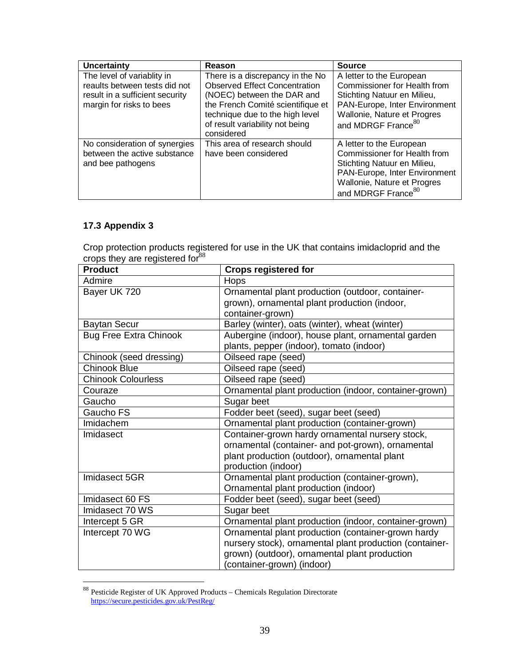| <b>Uncertainty</b>              | Reason                               | <b>Source</b>                       |
|---------------------------------|--------------------------------------|-------------------------------------|
| The level of variablity in      | There is a discrepancy in the No     | A letter to the European            |
| reaults between tests did not   | <b>Observed Effect Concentration</b> | <b>Commissioner for Health from</b> |
| result in a sufficient security | (NOEC) between the DAR and           | Stichting Natuur en Milieu,         |
| margin for risks to bees        | the French Comité scientifique et    | PAN-Europe, Inter Environment       |
|                                 | technique due to the high level      | Wallonie, Nature et Progres         |
|                                 | of result variability not being      | and MDRGF France <sup>80</sup>      |
|                                 | considered                           |                                     |
| No consideration of synergies   | This area of research should         | A letter to the European            |
| between the active substance    | have been considered                 | <b>Commissioner for Health from</b> |
| and bee pathogens               |                                      | Stichting Natuur en Milieu,         |
|                                 |                                      | PAN-Europe, Inter Environment       |
|                                 |                                      | Wallonie, Nature et Progres         |
|                                 |                                      | and MDRGF France <sup>80</sup>      |

# **17.3 Appendix 3**

<u>.</u>

Crop protection products registered for use in the UK that contains imidacloprid and the crops they are registered for  $88$ 

| <b>Product</b>                | <b>Crops registered for</b>                             |
|-------------------------------|---------------------------------------------------------|
| Admire                        | Hops                                                    |
| Bayer UK 720                  | Ornamental plant production (outdoor, container-        |
|                               | grown), ornamental plant production (indoor,            |
|                               | container-grown)                                        |
| <b>Baytan Secur</b>           | Barley (winter), oats (winter), wheat (winter)          |
| <b>Bug Free Extra Chinook</b> | Aubergine (indoor), house plant, ornamental garden      |
|                               | plants, pepper (indoor), tomato (indoor)                |
| Chinook (seed dressing)       | Oilseed rape (seed)                                     |
| <b>Chinook Blue</b>           | Oilseed rape (seed)                                     |
| <b>Chinook Colourless</b>     | Oilseed rape (seed)                                     |
| Couraze                       | Ornamental plant production (indoor, container-grown)   |
| Gaucho                        | Sugar beet                                              |
| Gaucho FS                     | Fodder beet (seed), sugar beet (seed)                   |
| Imidachem                     | Ornamental plant production (container-grown)           |
| Imidasect                     | Container-grown hardy ornamental nursery stock,         |
|                               | ornamental (container- and pot-grown), ornamental       |
|                               | plant production (outdoor), ornamental plant            |
|                               | production (indoor)                                     |
| Imidasect 5GR                 | Ornamental plant production (container-grown),          |
|                               | Ornamental plant production (indoor)                    |
| Imidasect 60 FS               | Fodder beet (seed), sugar beet (seed)                   |
| Imidasect 70 WS               | Sugar beet                                              |
| Intercept 5 GR                | Ornamental plant production (indoor, container-grown)   |
| Intercept 70 WG               | Ornamental plant production (container-grown hardy      |
|                               | nursery stock), ornamental plant production (container- |
|                               | grown) (outdoor), ornamental plant production           |
|                               | (container-grown) (indoor)                              |

 $88$  Pesticide Register of UK Approved Products – Chemicals Regulation Directorate https://secure.pesticides.gov.uk/PestReg/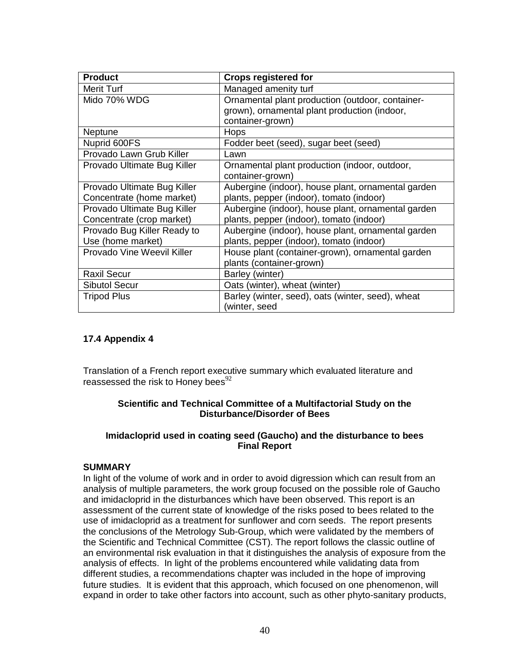| <b>Product</b>              | <b>Crops registered for</b>                        |
|-----------------------------|----------------------------------------------------|
| Merit Turf                  | Managed amenity turf                               |
| Mido 70% WDG                | Ornamental plant production (outdoor, container-   |
|                             | grown), ornamental plant production (indoor,       |
|                             | container-grown)                                   |
| Neptune                     | <b>Hops</b>                                        |
| Nuprid 600FS                | Fodder beet (seed), sugar beet (seed)              |
| Provado Lawn Grub Killer    | Lawn                                               |
| Provado Ultimate Bug Killer | Ornamental plant production (indoor, outdoor,      |
|                             | container-grown)                                   |
| Provado Ultimate Bug Killer | Aubergine (indoor), house plant, ornamental garden |
| Concentrate (home market)   | plants, pepper (indoor), tomato (indoor)           |
| Provado Ultimate Bug Killer | Aubergine (indoor), house plant, ornamental garden |
| Concentrate (crop market)   | plants, pepper (indoor), tomato (indoor)           |
| Provado Bug Killer Ready to | Aubergine (indoor), house plant, ornamental garden |
| Use (home market)           | plants, pepper (indoor), tomato (indoor)           |
| Provado Vine Weevil Killer  | House plant (container-grown), ornamental garden   |
|                             | plants (container-grown)                           |
| <b>Raxil Secur</b>          | Barley (winter)                                    |
| Sibutol Secur               | Oats (winter), wheat (winter)                      |
| <b>Tripod Plus</b>          | Barley (winter, seed), oats (winter, seed), wheat  |
|                             | (winter, seed                                      |

### **17.4 Appendix 4**

Translation of a French report executive summary which evaluated literature and reassessed the risk to Honey bees $92$ 

#### **Scientific and Technical Committee of a Multifactorial Study on the Disturbance/Disorder of Bees**

#### **Imidacloprid used in coating seed (Gaucho) and the disturbance to bees Final Report**

#### **SUMMARY**

In light of the volume of work and in order to avoid digression which can result from an analysis of multiple parameters, the work group focused on the possible role of Gaucho and imidacloprid in the disturbances which have been observed. This report is an assessment of the current state of knowledge of the risks posed to bees related to the use of imidacloprid as a treatment for sunflower and corn seeds. The report presents the conclusions of the Metrology Sub-Group, which were validated by the members of the Scientific and Technical Committee (CST). The report follows the classic outline of an environmental risk evaluation in that it distinguishes the analysis of exposure from the analysis of effects. In light of the problems encountered while validating data from different studies, a recommendations chapter was included in the hope of improving future studies. It is evident that this approach, which focused on one phenomenon, will expand in order to take other factors into account, such as other phyto-sanitary products,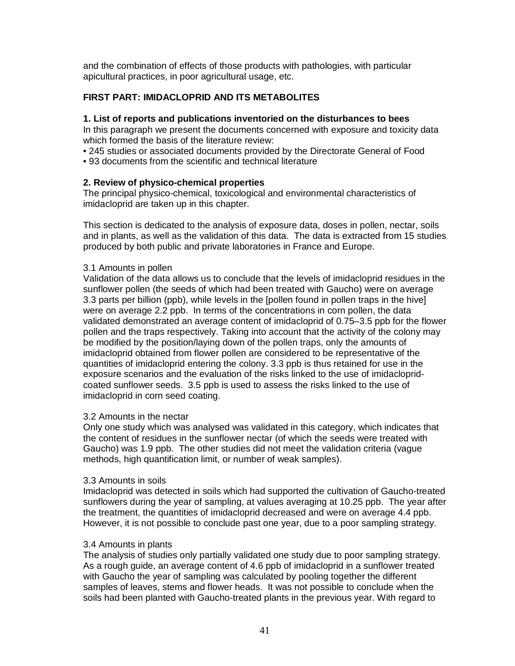and the combination of effects of those products with pathologies, with particular apicultural practices, in poor agricultural usage, etc.

### **FIRST PART: IMIDACLOPRID AND ITS METABOLITES**

#### **1. List of reports and publications inventoried on the disturbances to bees**

In this paragraph we present the documents concerned with exposure and toxicity data which formed the basis of the literature review:

- 245 studies or associated documents provided by the Directorate General of Food
- 93 documents from the scientific and technical literature

#### **2. Review of physico-chemical properties**

The principal physico-chemical, toxicological and environmental characteristics of imidacloprid are taken up in this chapter.

This section is dedicated to the analysis of exposure data, doses in pollen, nectar, soils and in plants, as well as the validation of this data. The data is extracted from 15 studies produced by both public and private laboratories in France and Europe.

#### 3.1 Amounts in pollen

Validation of the data allows us to conclude that the levels of imidacloprid residues in the sunflower pollen (the seeds of which had been treated with Gaucho) were on average 3.3 parts per billion (ppb), while levels in the [pollen found in pollen traps in the hive] were on average 2.2 ppb. In terms of the concentrations in corn pollen, the data validated demonstrated an average content of imidacloprid of 0.75–3.5 ppb for the flower pollen and the traps respectively. Taking into account that the activity of the colony may be modified by the position/laying down of the pollen traps, only the amounts of imidacloprid obtained from flower pollen are considered to be representative of the quantities of imidacloprid entering the colony. 3.3 ppb is thus retained for use in the exposure scenarios and the evaluation of the risks linked to the use of imidaclopridcoated sunflower seeds. 3.5 ppb is used to assess the risks linked to the use of imidacloprid in corn seed coating.

#### 3.2 Amounts in the nectar

Only one study which was analysed was validated in this category, which indicates that the content of residues in the sunflower nectar (of which the seeds were treated with Gaucho) was 1.9 ppb. The other studies did not meet the validation criteria (vague methods, high quantification limit, or number of weak samples).

#### 3.3 Amounts in soils

Imidacloprid was detected in soils which had supported the cultivation of Gaucho-treated sunflowers during the year of sampling, at values averaging at 10.25 ppb. The year after the treatment, the quantities of imidacloprid decreased and were on average 4.4 ppb. However, it is not possible to conclude past one year, due to a poor sampling strategy.

#### 3.4 Amounts in plants

The analysis of studies only partially validated one study due to poor sampling strategy. As a rough guide, an average content of 4.6 ppb of imidacloprid in a sunflower treated with Gaucho the year of sampling was calculated by pooling together the different samples of leaves, stems and flower heads. It was not possible to conclude when the soils had been planted with Gaucho-treated plants in the previous year. With regard to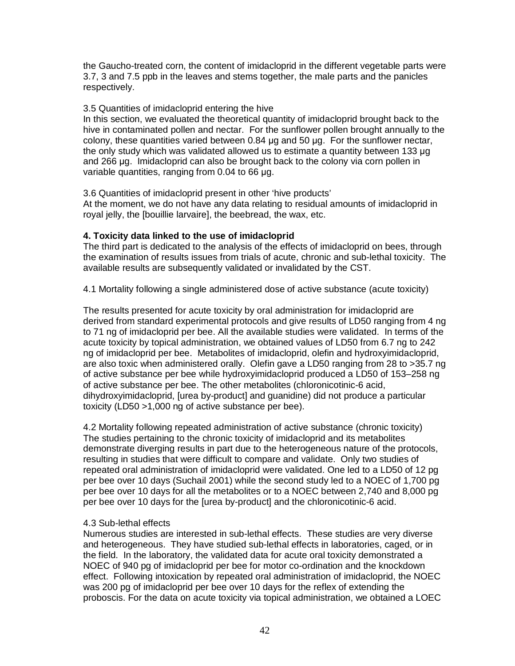the Gaucho-treated corn, the content of imidacloprid in the different vegetable parts were 3.7, 3 and 7.5 ppb in the leaves and stems together, the male parts and the panicles respectively.

#### 3.5 Quantities of imidacloprid entering the hive

In this section, we evaluated the theoretical quantity of imidacloprid brought back to the hive in contaminated pollen and nectar. For the sunflower pollen brought annually to the colony, these quantities varied between 0.84 µg and 50 µg. For the sunflower nectar, the only study which was validated allowed us to estimate a quantity between 133 µg and 266 µg. Imidacloprid can also be brought back to the colony via corn pollen in variable quantities, ranging from 0.04 to 66 µg.

3.6 Quantities of imidacloprid present in other 'hive products'

At the moment, we do not have any data relating to residual amounts of imidacloprid in royal jelly, the [bouillie larvaire], the beebread, the wax, etc.

### **4. Toxicity data linked to the use of imidacloprid**

The third part is dedicated to the analysis of the effects of imidacloprid on bees, through the examination of results issues from trials of acute, chronic and sub-lethal toxicity. The available results are subsequently validated or invalidated by the CST.

4.1 Mortality following a single administered dose of active substance (acute toxicity)

The results presented for acute toxicity by oral administration for imidacloprid are derived from standard experimental protocols and give results of LD50 ranging from 4 ng to 71 ng of imidacloprid per bee. All the available studies were validated. In terms of the acute toxicity by topical administration, we obtained values of LD50 from 6.7 ng to 242 ng of imidacloprid per bee. Metabolites of imidacloprid, olefin and hydroxyimidacloprid, are also toxic when administered orally. Olefin gave a LD50 ranging from 28 to >35.7 ng of active substance per bee while hydroxyimidacloprid produced a LD50 of 153–258 ng of active substance per bee. The other metabolites (chloronicotinic-6 acid, dihydroxyimidacloprid, [urea by-product] and guanidine) did not produce a particular toxicity (LD50 >1,000 ng of active substance per bee).

4.2 Mortality following repeated administration of active substance (chronic toxicity) The studies pertaining to the chronic toxicity of imidacloprid and its metabolites demonstrate diverging results in part due to the heterogeneous nature of the protocols, resulting in studies that were difficult to compare and validate. Only two studies of repeated oral administration of imidacloprid were validated. One led to a LD50 of 12 pg per bee over 10 days (Suchail 2001) while the second study led to a NOEC of 1,700 pg per bee over 10 days for all the metabolites or to a NOEC between 2,740 and 8,000 pg per bee over 10 days for the [urea by-product] and the chloronicotinic-6 acid.

### 4.3 Sub-lethal effects

Numerous studies are interested in sub-lethal effects. These studies are very diverse and heterogeneous. They have studied sub-lethal effects in laboratories, caged, or in the field. In the laboratory, the validated data for acute oral toxicity demonstrated a NOEC of 940 pg of imidacloprid per bee for motor co-ordination and the knockdown effect. Following intoxication by repeated oral administration of imidacloprid, the NOEC was 200 pg of imidacloprid per bee over 10 days for the reflex of extending the proboscis. For the data on acute toxicity via topical administration, we obtained a LOEC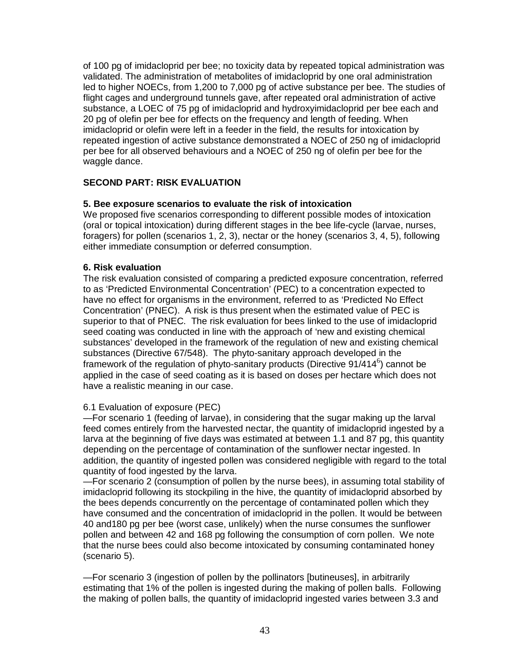of 100 pg of imidacloprid per bee; no toxicity data by repeated topical administration was validated. The administration of metabolites of imidacloprid by one oral administration led to higher NOECs, from 1,200 to 7,000 pg of active substance per bee. The studies of flight cages and underground tunnels gave, after repeated oral administration of active substance, a LOEC of 75 pg of imidacloprid and hydroxyimidacloprid per bee each and 20 pg of olefin per bee for effects on the frequency and length of feeding. When imidacloprid or olefin were left in a feeder in the field, the results for intoxication by repeated ingestion of active substance demonstrated a NOEC of 250 ng of imidacloprid per bee for all observed behaviours and a NOEC of 250 ng of olefin per bee for the waggle dance.

## **SECOND PART: RISK EVALUATION**

### **5. Bee exposure scenarios to evaluate the risk of intoxication**

We proposed five scenarios corresponding to different possible modes of intoxication (oral or topical intoxication) during different stages in the bee life-cycle (larvae, nurses, foragers) for pollen (scenarios 1, 2, 3), nectar or the honey (scenarios 3, 4, 5), following either immediate consumption or deferred consumption.

### **6. Risk evaluation**

The risk evaluation consisted of comparing a predicted exposure concentration, referred to as 'Predicted Environmental Concentration' (PEC) to a concentration expected to have no effect for organisms in the environment, referred to as 'Predicted No Effect Concentration' (PNEC). A risk is thus present when the estimated value of PEC is superior to that of PNEC. The risk evaluation for bees linked to the use of imidacloprid seed coating was conducted in line with the approach of 'new and existing chemical substances' developed in the framework of the regulation of new and existing chemical substances (Directive 67/548). The phyto-sanitary approach developed in the framework of the regulation of phyto-sanitary products (Directive  $91/414^6$ ) cannot be applied in the case of seed coating as it is based on doses per hectare which does not have a realistic meaning in our case.

### 6.1 Evaluation of exposure (PEC)

—For scenario 1 (feeding of larvae), in considering that the sugar making up the larval feed comes entirely from the harvested nectar, the quantity of imidacloprid ingested by a larva at the beginning of five days was estimated at between 1.1 and 87 pg, this quantity depending on the percentage of contamination of the sunflower nectar ingested. In addition, the quantity of ingested pollen was considered negligible with regard to the total quantity of food ingested by the larva.

—For scenario 2 (consumption of pollen by the nurse bees), in assuming total stability of imidacloprid following its stockpiling in the hive, the quantity of imidacloprid absorbed by the bees depends concurrently on the percentage of contaminated pollen which they have consumed and the concentration of imidacloprid in the pollen. It would be between 40 and180 pg per bee (worst case, unlikely) when the nurse consumes the sunflower pollen and between 42 and 168 pg following the consumption of corn pollen. We note that the nurse bees could also become intoxicated by consuming contaminated honey (scenario 5).

—For scenario 3 (ingestion of pollen by the pollinators [butineuses], in arbitrarily estimating that 1% of the pollen is ingested during the making of pollen balls. Following the making of pollen balls, the quantity of imidacloprid ingested varies between 3.3 and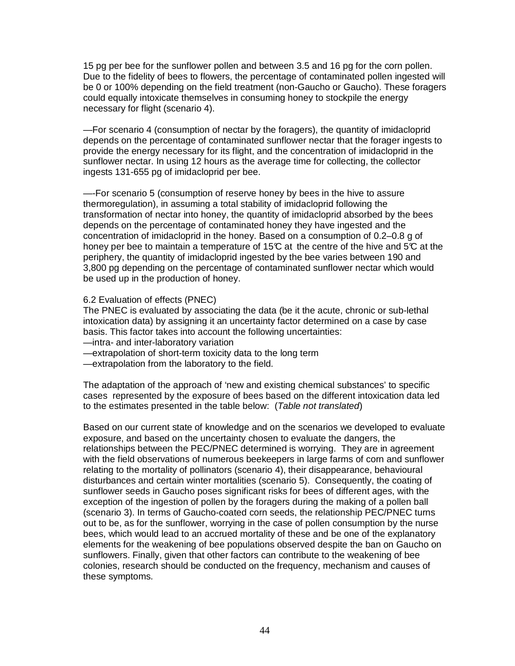15 pg per bee for the sunflower pollen and between 3.5 and 16 pg for the corn pollen. Due to the fidelity of bees to flowers, the percentage of contaminated pollen ingested will be 0 or 100% depending on the field treatment (non-Gaucho or Gaucho). These foragers could equally intoxicate themselves in consuming honey to stockpile the energy necessary for flight (scenario 4).

—For scenario 4 (consumption of nectar by the foragers), the quantity of imidacloprid depends on the percentage of contaminated sunflower nectar that the forager ingests to provide the energy necessary for its flight, and the concentration of imidacloprid in the sunflower nectar. In using 12 hours as the average time for collecting, the collector ingests 131-655 pg of imidacloprid per bee.

—-For scenario 5 (consumption of reserve honey by bees in the hive to assure thermoregulation), in assuming a total stability of imidacloprid following the transformation of nectar into honey, the quantity of imidacloprid absorbed by the bees depends on the percentage of contaminated honey they have ingested and the concentration of imidacloprid in the honey. Based on a consumption of 0.2–0.8 g of honey per bee to maintain a temperature of 15 $\mathbb C$  at the centre of the hive and 5 $\mathbb C$  at the periphery, the quantity of imidacloprid ingested by the bee varies between 190 and 3,800 pg depending on the percentage of contaminated sunflower nectar which would be used up in the production of honey.

6.2 Evaluation of effects (PNEC)

The PNEC is evaluated by associating the data (be it the acute, chronic or sub-lethal intoxication data) by assigning it an uncertainty factor determined on a case by case basis. This factor takes into account the following uncertainties:

- —intra- and inter-laboratory variation
- —extrapolation of short-term toxicity data to the long term
- —extrapolation from the laboratory to the field.

The adaptation of the approach of 'new and existing chemical substances' to specific cases represented by the exposure of bees based on the different intoxication data led to the estimates presented in the table below: (Table not translated)

Based on our current state of knowledge and on the scenarios we developed to evaluate exposure, and based on the uncertainty chosen to evaluate the dangers, the relationships between the PEC/PNEC determined is worrying. They are in agreement with the field observations of numerous beekeepers in large farms of corn and sunflower relating to the mortality of pollinators (scenario 4), their disappearance, behavioural disturbances and certain winter mortalities (scenario 5). Consequently, the coating of sunflower seeds in Gaucho poses significant risks for bees of different ages, with the exception of the ingestion of pollen by the foragers during the making of a pollen ball (scenario 3). In terms of Gaucho-coated corn seeds, the relationship PEC/PNEC turns out to be, as for the sunflower, worrying in the case of pollen consumption by the nurse bees, which would lead to an accrued mortality of these and be one of the explanatory elements for the weakening of bee populations observed despite the ban on Gaucho on sunflowers. Finally, given that other factors can contribute to the weakening of bee colonies, research should be conducted on the frequency, mechanism and causes of these symptoms.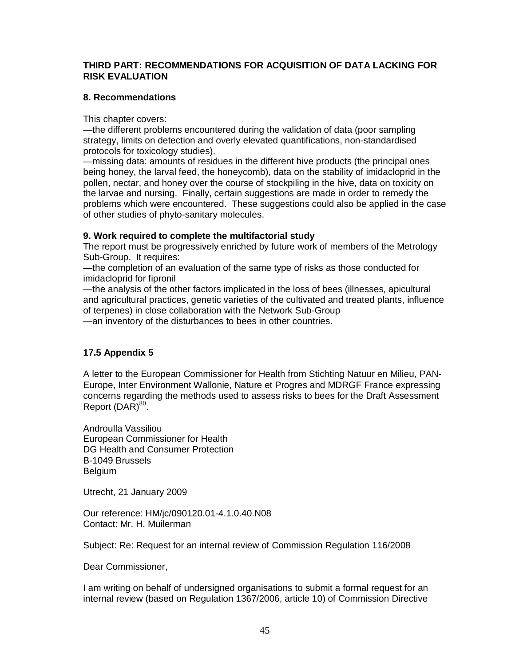#### **THIRD PART: RECOMMENDATIONS FOR ACQUISITION OF DATA LACKING FOR RISK EVALUATION**

### **8. Recommendations**

This chapter covers:

—the different problems encountered during the validation of data (poor sampling strategy, limits on detection and overly elevated quantifications, non-standardised protocols for toxicology studies).

—missing data: amounts of residues in the different hive products (the principal ones being honey, the larval feed, the honeycomb), data on the stability of imidacloprid in the pollen, nectar, and honey over the course of stockpiling in the hive, data on toxicity on the larvae and nursing. Finally, certain suggestions are made in order to remedy the problems which were encountered. These suggestions could also be applied in the case of other studies of phyto-sanitary molecules.

### **9. Work required to complete the multifactorial study**

The report must be progressively enriched by future work of members of the Metrology Sub-Group. It requires:

—the completion of an evaluation of the same type of risks as those conducted for imidacloprid for fipronil

—the analysis of the other factors implicated in the loss of bees (illnesses, apicultural and agricultural practices, genetic varieties of the cultivated and treated plants, influence of terpenes) in close collaboration with the Network Sub-Group

—an inventory of the disturbances to bees in other countries.

## **17.5 Appendix 5**

A letter to the European Commissioner for Health from Stichting Natuur en Milieu, PAN-Europe, Inter Environment Wallonie, Nature et Progres and MDRGF France expressing concerns regarding the methods used to assess risks to bees for the Draft Assessment Report  $(DAR)^{80}$ .

Androulla Vassiliou European Commissioner for Health DG Health and Consumer Protection B-1049 Brussels Belgium

Utrecht, 21 January 2009

Our reference: HM/jc/090120.01-4.1.0.40.N08 Contact: Mr. H. Muilerman

Subject: Re: Request for an internal review of Commission Regulation 116/2008

Dear Commissioner,

I am writing on behalf of undersigned organisations to submit a formal request for an internal review (based on Regulation 1367/2006, article 10) of Commission Directive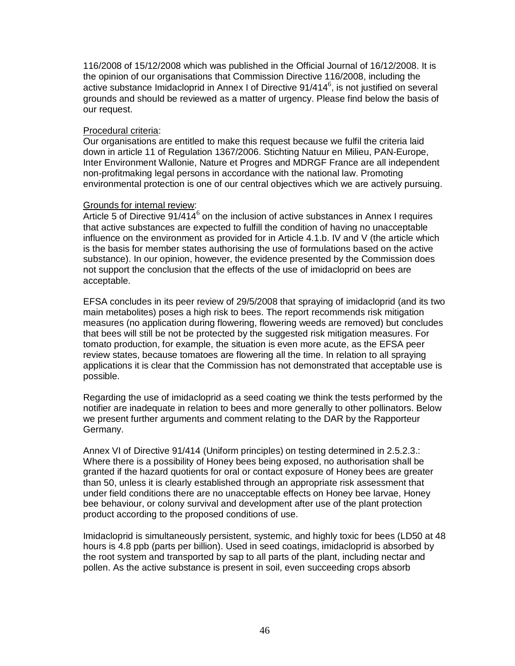116/2008 of 15/12/2008 which was published in the Official Journal of 16/12/2008. It is the opinion of our organisations that Commission Directive 116/2008, including the active substance Imidacloprid in Annex I of Directive  $91/414^6$ , is not justified on several grounds and should be reviewed as a matter of urgency. Please find below the basis of our request.

#### Procedural criteria:

Our organisations are entitled to make this request because we fulfil the criteria laid down in article 11 of Regulation 1367/2006. Stichting Natuur en Milieu, PAN-Europe, Inter Environment Wallonie, Nature et Progres and MDRGF France are all independent non-profitmaking legal persons in accordance with the national law. Promoting environmental protection is one of our central objectives which we are actively pursuing.

#### Grounds for internal review:

Article 5 of Directive  $91/414^6$  on the inclusion of active substances in Annex I requires that active substances are expected to fulfill the condition of having no unacceptable influence on the environment as provided for in Article 4.1.b. IV and V (the article which is the basis for member states authorising the use of formulations based on the active substance). In our opinion, however, the evidence presented by the Commission does not support the conclusion that the effects of the use of imidacloprid on bees are acceptable.

EFSA concludes in its peer review of 29/5/2008 that spraying of imidacloprid (and its two main metabolites) poses a high risk to bees. The report recommends risk mitigation measures (no application during flowering, flowering weeds are removed) but concludes that bees will still be not be protected by the suggested risk mitigation measures. For tomato production, for example, the situation is even more acute, as the EFSA peer review states, because tomatoes are flowering all the time. In relation to all spraying applications it is clear that the Commission has not demonstrated that acceptable use is possible.

Regarding the use of imidacloprid as a seed coating we think the tests performed by the notifier are inadequate in relation to bees and more generally to other pollinators. Below we present further arguments and comment relating to the DAR by the Rapporteur Germany.

Annex VI of Directive 91/414 (Uniform principles) on testing determined in 2.5.2.3.: Where there is a possibility of Honey bees being exposed, no authorisation shall be granted if the hazard quotients for oral or contact exposure of Honey bees are greater than 50, unless it is clearly established through an appropriate risk assessment that under field conditions there are no unacceptable effects on Honey bee larvae, Honey bee behaviour, or colony survival and development after use of the plant protection product according to the proposed conditions of use.

Imidacloprid is simultaneously persistent, systemic, and highly toxic for bees (LD50 at 48 hours is 4.8 ppb (parts per billion). Used in seed coatings, imidacloprid is absorbed by the root system and transported by sap to all parts of the plant, including nectar and pollen. As the active substance is present in soil, even succeeding crops absorb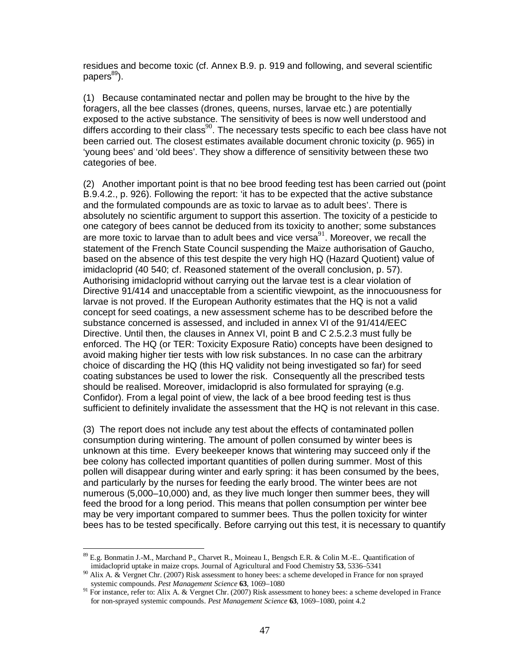residues and become toxic (cf. Annex B.9. p. 919 and following, and several scientific  $papers<sup>89</sup>$ ).

(1) Because contaminated nectar and pollen may be brought to the hive by the foragers, all the bee classes (drones, queens, nurses, larvae etc.) are potentially exposed to the active substance. The sensitivity of bees is now well understood and differs according to their class<sup>90</sup>. The necessary tests specific to each bee class have not been carried out. The closest estimates available document chronic toxicity (p. 965) in 'young bees' and 'old bees'. They show a difference of sensitivity between these two categories of bee.

(2) Another important point is that no bee brood feeding test has been carried out (point B.9.4.2., p. 926). Following the report: 'it has to be expected that the active substance and the formulated compounds are as toxic to larvae as to adult bees'. There is absolutely no scientific argument to support this assertion. The toxicity of a pesticide to one category of bees cannot be deduced from its toxicity to another; some substances are more toxic to larvae than to adult bees and vice versa<sup>91</sup>. Moreover, we recall the statement of the French State Council suspending the Maize authorisation of Gaucho, based on the absence of this test despite the very high HQ (Hazard Quotient) value of imidacloprid (40 540; cf. Reasoned statement of the overall conclusion, p. 57). Authorising imidacloprid without carrying out the larvae test is a clear violation of Directive 91/414 and unacceptable from a scientific viewpoint, as the innocuousness for larvae is not proved. If the European Authority estimates that the HQ is not a valid concept for seed coatings, a new assessment scheme has to be described before the substance concerned is assessed, and included in annex VI of the 91/414/EEC Directive. Until then, the clauses in Annex VI, point B and C 2.5.2.3 must fully be enforced. The HQ (or TER: Toxicity Exposure Ratio) concepts have been designed to avoid making higher tier tests with low risk substances. In no case can the arbitrary choice of discarding the HQ (this HQ validity not being investigated so far) for seed coating substances be used to lower the risk. Consequently all the prescribed tests should be realised. Moreover, imidacloprid is also formulated for spraying (e.g. Confidor). From a legal point of view, the lack of a bee brood feeding test is thus sufficient to definitely invalidate the assessment that the HQ is not relevant in this case.

(3) The report does not include any test about the effects of contaminated pollen consumption during wintering. The amount of pollen consumed by winter bees is unknown at this time. Every beekeeper knows that wintering may succeed only if the bee colony has collected important quantities of pollen during summer. Most of this pollen will disappear during winter and early spring: it has been consumed by the bees, and particularly by the nurses for feeding the early brood. The winter bees are not numerous (5,000–10,000) and, as they live much longer then summer bees, they will feed the brood for a long period. This means that pollen consumption per winter bee may be very important compared to summer bees. Thus the pollen toxicity for winter bees has to be tested specifically. Before carrying out this test, it is necessary to quantify

<sup>&</sup>lt;u>.</u> <sup>89</sup> E.g. Bonmatin J.-M., Marchand P., Charvet R., Moineau I., Bengsch E.R. & Colin M.-E.. Quantification of imidacloprid uptake in maize crops. Journal of Agricultural and Food Chemistry **53**, 5336–5341

 $90$  Alix A.  $\&$  Vergnet Chr. (2007) Risk assessment to honey bees: a scheme developed in France for non sprayed systemic compounds. *Pest Management Science* **63**, 1069–1080

<sup>&</sup>lt;sup>91</sup> For instance, refer to: Alix A. & Vergnet Chr. (2007) Risk assessment to honey bees: a scheme developed in France for non-sprayed systemic compounds. *Pest Management Science* **63**, 1069–1080, point 4.2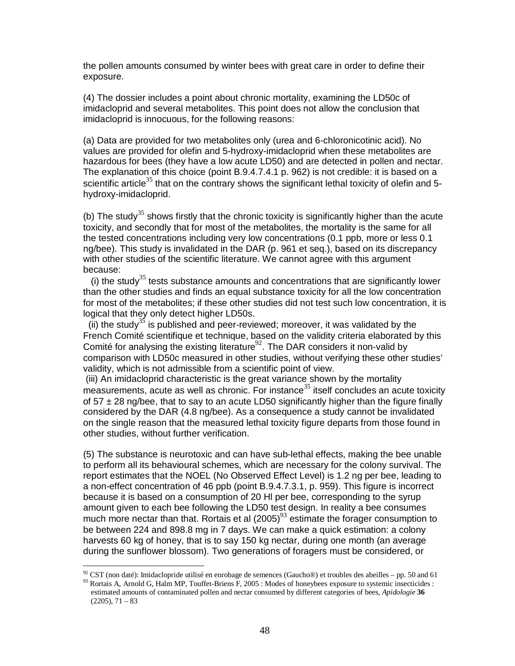the pollen amounts consumed by winter bees with great care in order to define their exposure.

(4) The dossier includes a point about chronic mortality, examining the LD50c of imidacloprid and several metabolites. This point does not allow the conclusion that imidacloprid is innocuous, for the following reasons:

(a) Data are provided for two metabolites only (urea and 6-chloronicotinic acid). No values are provided for olefin and 5-hydroxy-imidacloprid when these metabolites are hazardous for bees (they have a low acute LD50) and are detected in pollen and nectar. The explanation of this choice (point B.9.4.7.4.1 p. 962) is not credible: it is based on a scientific article<sup>35</sup> that on the contrary shows the significant lethal toxicity of olefin and 5hydroxy-imidacloprid.

(b) The study<sup>35</sup> shows firstly that the chronic toxicity is significantly higher than the acute toxicity, and secondly that for most of the metabolites, the mortality is the same for all the tested concentrations including very low concentrations (0.1 ppb, more or less 0.1 ng/bee). This study is invalidated in the DAR (p. 961 et seq.), based on its discrepancy with other studies of the scientific literature. We cannot agree with this argument because:

(i) the study<sup>35</sup> tests substance amounts and concentrations that are significantly lower than the other studies and finds an equal substance toxicity for all the low concentration for most of the metabolites; if these other studies did not test such low concentration, it is logical that they only detect higher LD50s.

(ii) the study<sup>35</sup> is published and peer-reviewed; moreover, it was validated by the French Comité scientifique et technique, based on the validity criteria elaborated by this Comité for analysing the existing literature<sup>92</sup>. The DAR considers it non-valid by comparison with LD50c measured in other studies, without verifying these other studies' validity, which is not admissible from a scientific point of view.

 (iii) An imidacloprid characteristic is the great variance shown by the mortality measurements, acute as well as chronic. For instance<sup>35</sup> itself concludes an acute toxicity of  $57 \pm 28$  ng/bee, that to say to an acute LD50 significantly higher than the figure finally considered by the DAR (4.8 ng/bee). As a consequence a study cannot be invalidated on the single reason that the measured lethal toxicity figure departs from those found in other studies, without further verification.

(5) The substance is neurotoxic and can have sub-lethal effects, making the bee unable to perform all its behavioural schemes, which are necessary for the colony survival. The report estimates that the NOEL (No Observed Effect Level) is 1.2 ng per bee, leading to a non-effect concentration of 46 ppb (point B.9.4.7.3.1, p. 959). This figure is incorrect because it is based on a consumption of 20 Hl per bee, corresponding to the syrup amount given to each bee following the LD50 test design. In reality a bee consumes much more nectar than that. Rortais et al  $(2005)^{93}$  estimate the forager consumption to be between 224 and 898.8 mg in 7 days. We can make a quick estimation: a colony harvests 60 kg of honey, that is to say 150 kg nectar, during one month (an average during the sunflower blossom). Two generations of foragers must be considered, or

<u>.</u>

 $92$  CST (non daté): Imidaclopride utilisé en enrobage de semences (Gaucho<sup>®</sup>) et troubles des abeilles – pp. 50 and 61 <sup>93</sup> Rortais A, Arnold G, Halm MP, Touffet-Briens F, 2005 : Modes of honeybees exposure to systemic insecticides : estimated amounts of contaminated pollen and nectar consumed by different categories of bees, *Apidologie* **36**  $(2205), 71 - 83$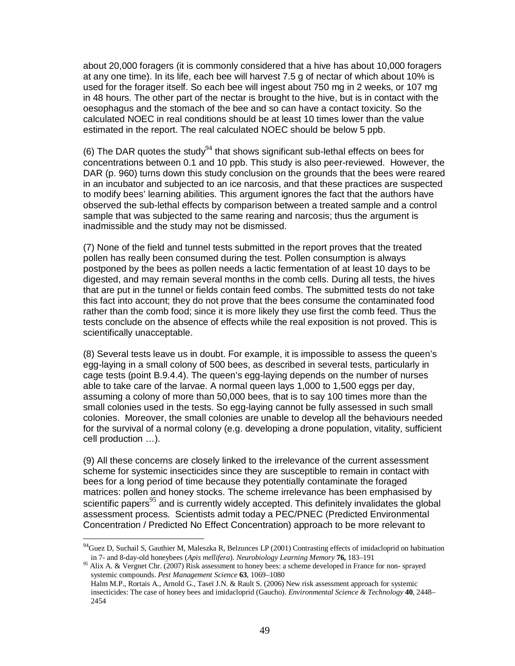about 20,000 foragers (it is commonly considered that a hive has about 10,000 foragers at any one time). In its life, each bee will harvest 7.5 g of nectar of which about 10% is used for the forager itself. So each bee will ingest about 750 mg in 2 weeks, or 107 mg in 48 hours. The other part of the nectar is brought to the hive, but is in contact with the oesophagus and the stomach of the bee and so can have a contact toxicity. So the calculated NOEC in real conditions should be at least 10 times lower than the value estimated in the report. The real calculated NOEC should be below 5 ppb.

(6) The DAR quotes the study<sup>94</sup> that shows significant sub-lethal effects on bees for concentrations between 0.1 and 10 ppb. This study is also peer-reviewed. However, the DAR (p. 960) turns down this study conclusion on the grounds that the bees were reared in an incubator and subjected to an ice narcosis, and that these practices are suspected to modify bees' learning abilities. This argument ignores the fact that the authors have observed the sub-lethal effects by comparison between a treated sample and a control sample that was subjected to the same rearing and narcosis; thus the argument is inadmissible and the study may not be dismissed.

(7) None of the field and tunnel tests submitted in the report proves that the treated pollen has really been consumed during the test. Pollen consumption is always postponed by the bees as pollen needs a lactic fermentation of at least 10 days to be digested, and may remain several months in the comb cells. During all tests, the hives that are put in the tunnel or fields contain feed combs. The submitted tests do not take this fact into account; they do not prove that the bees consume the contaminated food rather than the comb food; since it is more likely they use first the comb feed. Thus the tests conclude on the absence of effects while the real exposition is not proved. This is scientifically unacceptable.

(8) Several tests leave us in doubt. For example, it is impossible to assess the queen's egg-laying in a small colony of 500 bees, as described in several tests, particularly in cage tests (point B.9.4.4). The queen's egg-laying depends on the number of nurses able to take care of the larvae. A normal queen lays 1,000 to 1,500 eggs per day, assuming a colony of more than 50,000 bees, that is to say 100 times more than the small colonies used in the tests. So egg-laying cannot be fully assessed in such small colonies. Moreover, the small colonies are unable to develop all the behaviours needed for the survival of a normal colony (e.g. developing a drone population, vitality, sufficient cell production …).

(9) All these concerns are closely linked to the irrelevance of the current assessment scheme for systemic insecticides since they are susceptible to remain in contact with bees for a long period of time because they potentially contaminate the foraged matrices: pollen and honey stocks. The scheme irrelevance has been emphasised by scientific papers<sup>95</sup> and is currently widely accepted. This definitely invalidates the global assessment process. Scientists admit today a PEC/PNEC (Predicted Environmental Concentration / Predicted No Effect Concentration) approach to be more relevant to

<u>.</u>

<sup>95</sup> Alix A. & Vergnet Chr. (2007) Risk assessment to honey bees: a scheme developed in France for non-sprayed systemic compounds. *Pest Management Science* **63**, 1069–1080 Halm M.P., Rortais A., Arnold G., Taseï J.N. & Rault S. (2006) New risk assessment approach for systemic insecticides: The case of honey bees and imidacloprid (Gaucho). *Environmental Science & Technology* **40**, 2448– 2454

<sup>&</sup>lt;sup>94</sup>Guez D, Suchail S, Gauthier M, Maleszka R, Belzunces LP (2001) Contrasting effects of imidacloprid on habituation in 7- and 8-day-old honeybees (*Apis mellifera*). *Neurobiology Learning Memory* **76,** 183–191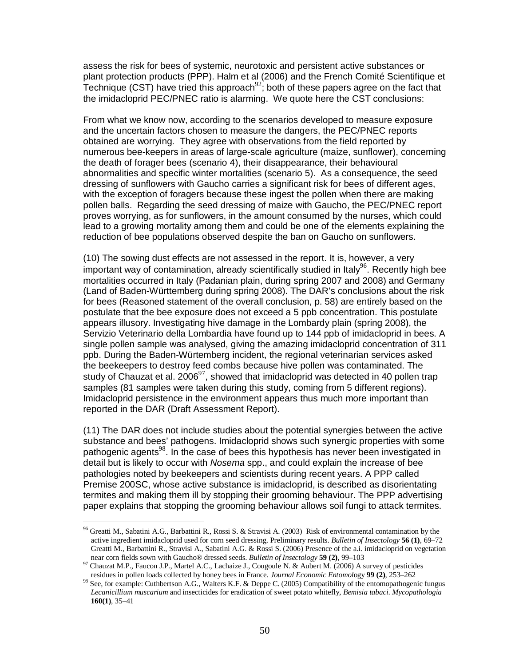assess the risk for bees of systemic, neurotoxic and persistent active substances or plant protection products (PPP). Halm et al (2006) and the French Comité Scientifique et Technique (CST) have tried this approach<sup>92</sup>; both of these papers agree on the fact that the imidacloprid PEC/PNEC ratio is alarming. We quote here the CST conclusions:

From what we know now, according to the scenarios developed to measure exposure and the uncertain factors chosen to measure the dangers, the PEC/PNEC reports obtained are worrying. They agree with observations from the field reported by numerous bee-keepers in areas of large-scale agriculture (maize, sunflower), concerning the death of forager bees (scenario 4), their disappearance, their behavioural abnormalities and specific winter mortalities (scenario 5). As a consequence, the seed dressing of sunflowers with Gaucho carries a significant risk for bees of different ages, with the exception of foragers because these ingest the pollen when there are making pollen balls. Regarding the seed dressing of maize with Gaucho, the PEC/PNEC report proves worrying, as for sunflowers, in the amount consumed by the nurses, which could lead to a growing mortality among them and could be one of the elements explaining the reduction of bee populations observed despite the ban on Gaucho on sunflowers.

(10) The sowing dust effects are not assessed in the report. It is, however, a very important way of contamination, already scientifically studied in Italy<sup>96</sup>. Recently high bee mortalities occurred in Italy (Padanian plain, during spring 2007 and 2008) and Germany (Land of Baden-Württemberg during spring 2008). The DAR's conclusions about the risk for bees (Reasoned statement of the overall conclusion, p. 58) are entirely based on the postulate that the bee exposure does not exceed a 5 ppb concentration. This postulate appears illusory. Investigating hive damage in the Lombardy plain (spring 2008), the Servizio Veterinario della Lombardia have found up to 144 ppb of imidacloprid in bees. A single pollen sample was analysed, giving the amazing imidacloprid concentration of 311 ppb. During the Baden-Würtemberg incident, the regional veterinarian services asked the beekeepers to destroy feed combs because hive pollen was contaminated. The study of Chauzat et al. 2006 $97$ , showed that imidacloprid was detected in 40 pollen trap samples (81 samples were taken during this study, coming from 5 different regions). Imidacloprid persistence in the environment appears thus much more important than reported in the DAR (Draft Assessment Report).

(11) The DAR does not include studies about the potential synergies between the active substance and bees' pathogens. Imidacloprid shows such synergic properties with some pathogenic agents<sup>98</sup>. In the case of bees this hypothesis has never been investigated in detail but is likely to occur with Nosema spp., and could explain the increase of bee pathologies noted by beekeepers and scientists during recent years. A PPP called Premise 200SC, whose active substance is imidacloprid, is described as disorientating termites and making them ill by stopping their grooming behaviour. The PPP advertising paper explains that stopping the grooming behaviour allows soil fungi to attack termites.

<sup>&</sup>lt;u>.</u> <sup>96</sup> Greatti M., Sabatini A.G., Barbattini R., Rossi S. & Stravisi A. (2003) Risk of environmental contamination by the active ingredient imidacloprid used for corn seed dressing. Preliminary results. *Bulletin of Insectology* **56 (1)**, 69–72 Greatti M., Barbattini R., Stravisi A., Sabatini A.G. & Rossi S. (2006) Presence of the a.i. imidacloprid on vegetation near corn fields sown with Gaucho® dressed seeds. *Bulletin of Insectology* **59 (2)**, 99–103

<sup>97</sup> Chauzat M.P., Faucon J.P., Martel A.C., Lachaize J., Cougoule N. & Aubert M. (2006) A survey of pesticides residues in pollen loads collected by honey bees in France. *Journal Economic Entomol*ogy **99 (2)**, 253–262

<sup>98</sup> See, for example: Cuthbertson A.G., Walters K.F. & Deppe C. (2005) Compatibility of the entomopathogenic fungus *Lecanicillium muscarium* and insecticides for eradication of sweet potato whitefly, *Bemisia tabaci*. *Mycopathologia* **160(1)**, 35–41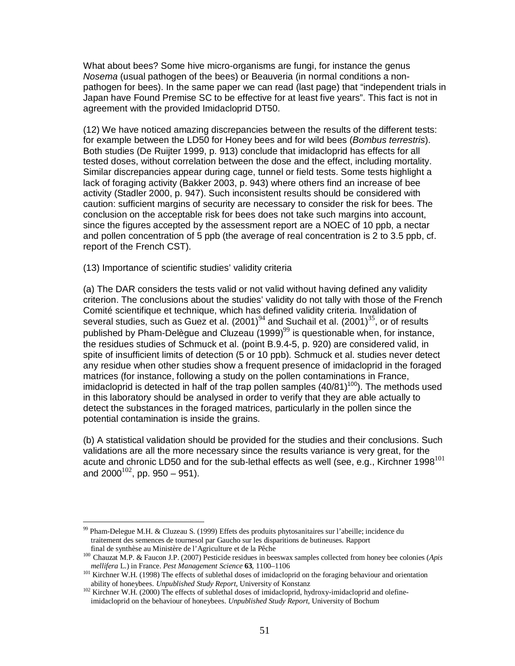What about bees? Some hive micro-organisms are fungi, for instance the genus Nosema (usual pathogen of the bees) or Beauveria (in normal conditions a nonpathogen for bees). In the same paper we can read (last page) that "independent trials in Japan have Found Premise SC to be effective for at least five years". This fact is not in agreement with the provided Imidacloprid DT50.

(12) We have noticed amazing discrepancies between the results of the different tests: for example between the LD50 for Honey bees and for wild bees (Bombus terrestris). Both studies (De Ruijter 1999, p. 913) conclude that imidacloprid has effects for all tested doses, without correlation between the dose and the effect, including mortality. Similar discrepancies appear during cage, tunnel or field tests. Some tests highlight a lack of foraging activity (Bakker 2003, p. 943) where others find an increase of bee activity (Stadler 2000, p. 947). Such inconsistent results should be considered with caution: sufficient margins of security are necessary to consider the risk for bees. The conclusion on the acceptable risk for bees does not take such margins into account, since the figures accepted by the assessment report are a NOEC of 10 ppb, a nectar and pollen concentration of 5 ppb (the average of real concentration is 2 to 3.5 ppb, cf. report of the French CST).

(13) Importance of scientific studies' validity criteria

<u>.</u>

(a) The DAR considers the tests valid or not valid without having defined any validity criterion. The conclusions about the studies' validity do not tally with those of the French Comité scientifique et technique, which has defined validity criteria. Invalidation of several studies, such as Guez et al.  $(2001)^{94}$  and Suchail et al.  $(2001)^{35}$ , or of results published by Pham-Delègue and Cluzeau  $(1999)^{99}$  is questionable when, for instance, the residues studies of Schmuck et al. (point B.9.4-5, p. 920) are considered valid, in spite of insufficient limits of detection (5 or 10 ppb). Schmuck et al. studies never detect any residue when other studies show a frequent presence of imidacloprid in the foraged matrices (for instance, following a study on the pollen contaminations in France, imidacloprid is detected in half of the trap pollen samples  $(40/81)^{100}$ ). The methods used in this laboratory should be analysed in order to verify that they are able actually to detect the substances in the foraged matrices, particularly in the pollen since the potential contamination is inside the grains.

(b) A statistical validation should be provided for the studies and their conclusions. Such validations are all the more necessary since the results variance is very great, for the acute and chronic LD50 and for the sub-lethal effects as well (see, e.g., Kirchner 1998<sup>101</sup> and  $2000^{102}$ , pp. 950 – 951).

Pham-Delegue M.H. & Cluzeau S. (1999) Effets des produits phytosanitaires sur l'abeille; incidence du traitement des semences de tournesol par Gaucho sur les disparitions de butineuses. Rapport final de synthèse au Ministère de l'Agriculture et de la Pêche

<sup>100</sup> Chauzat M.P. & Faucon J.P. (2007) Pesticide residues in beeswax samples collected from honey bee colonies (*Apis mellifera* L.) in France. *Pest Management Science* **63**, 1100–1106

<sup>101</sup> Kirchner W.H. (1998) The effects of sublethal doses of imidacloprid on the foraging behaviour and orientation ability of honeybees. *Unpublished Study Report*, University of Konstanz

<sup>&</sup>lt;sup>102</sup> Kirchner W.H. (2000) The effects of sublethal doses of imidacloprid, hydroxy-imidacloprid and olefineimidacloprid on the behaviour of honeybees. *Unpublished Study Report*, University of Bochum